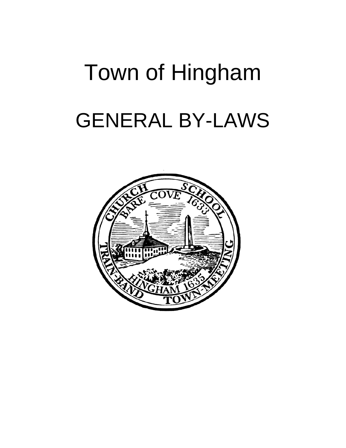# Town of Hingham GENERAL BY-LAWS

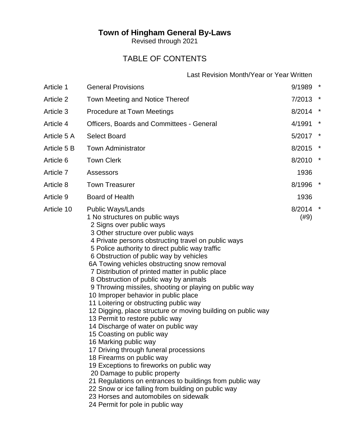# **Town of Hingham General By-Laws**

Revised through 2021

# TABLE OF CONTENTS

Last Revision Month/Year or Year Written

| Article 1   | <b>General Provisions</b>                                                                                                                                                                                                                                                                                                                                                                                                                                                                                                                                                                                                                                                                                                                                                                                                                                                                                                                                                                                                                                                                                                    | 9/1989         | $\star$ |
|-------------|------------------------------------------------------------------------------------------------------------------------------------------------------------------------------------------------------------------------------------------------------------------------------------------------------------------------------------------------------------------------------------------------------------------------------------------------------------------------------------------------------------------------------------------------------------------------------------------------------------------------------------------------------------------------------------------------------------------------------------------------------------------------------------------------------------------------------------------------------------------------------------------------------------------------------------------------------------------------------------------------------------------------------------------------------------------------------------------------------------------------------|----------------|---------|
| Article 2   | Town Meeting and Notice Thereof                                                                                                                                                                                                                                                                                                                                                                                                                                                                                                                                                                                                                                                                                                                                                                                                                                                                                                                                                                                                                                                                                              | $7/2013$ *     |         |
| Article 3   | <b>Procedure at Town Meetings</b>                                                                                                                                                                                                                                                                                                                                                                                                                                                                                                                                                                                                                                                                                                                                                                                                                                                                                                                                                                                                                                                                                            | 8/2014 *       |         |
| Article 4   | Officers, Boards and Committees - General                                                                                                                                                                                                                                                                                                                                                                                                                                                                                                                                                                                                                                                                                                                                                                                                                                                                                                                                                                                                                                                                                    | 4/1991         | $\ast$  |
| Article 5 A | <b>Select Board</b>                                                                                                                                                                                                                                                                                                                                                                                                                                                                                                                                                                                                                                                                                                                                                                                                                                                                                                                                                                                                                                                                                                          | 5/2017         | $\star$ |
| Article 5 B | <b>Town Administrator</b>                                                                                                                                                                                                                                                                                                                                                                                                                                                                                                                                                                                                                                                                                                                                                                                                                                                                                                                                                                                                                                                                                                    | 8/2015         | $\star$ |
| Article 6   | <b>Town Clerk</b>                                                                                                                                                                                                                                                                                                                                                                                                                                                                                                                                                                                                                                                                                                                                                                                                                                                                                                                                                                                                                                                                                                            | 8/2010         |         |
| Article 7   | Assessors                                                                                                                                                                                                                                                                                                                                                                                                                                                                                                                                                                                                                                                                                                                                                                                                                                                                                                                                                                                                                                                                                                                    | 1936           |         |
| Article 8   | <b>Town Treasurer</b>                                                                                                                                                                                                                                                                                                                                                                                                                                                                                                                                                                                                                                                                                                                                                                                                                                                                                                                                                                                                                                                                                                        | 8/1996         | $\ast$  |
| Article 9   | <b>Board of Health</b>                                                                                                                                                                                                                                                                                                                                                                                                                                                                                                                                                                                                                                                                                                                                                                                                                                                                                                                                                                                                                                                                                                       | 1936           |         |
| Article 10  | <b>Public Ways/Lands</b><br>1 No structures on public ways<br>2 Signs over public ways<br>3 Other structure over public ways<br>4 Private persons obstructing travel on public ways<br>5 Police authority to direct public way traffic<br>6 Obstruction of public way by vehicles<br>6A Towing vehicles obstructing snow removal<br>7 Distribution of printed matter in public place<br>8 Obstruction of public way by animals<br>9 Throwing missiles, shooting or playing on public way<br>10 Improper behavior in public place<br>11 Loitering or obstructing public way<br>12 Digging, place structure or moving building on public way<br>13 Permit to restore public way<br>14 Discharge of water on public way<br>15 Coasting on public way<br>16 Marking public way<br>17 Driving through funeral processions<br>18 Firearms on public way<br>19 Exceptions to fireworks on public way<br>20 Damage to public property<br>21 Regulations on entrances to buildings from public way<br>22 Snow or ice falling from building on public way<br>23 Horses and automobiles on sidewalk<br>24 Permit for pole in public way | 8/2014<br>(#9) | $\ast$  |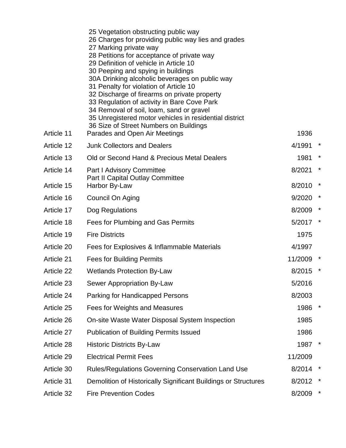| Article 11 | 25 Vegetation obstructing public way<br>26 Charges for providing public way lies and grades<br>27 Marking private way<br>28 Petitions for acceptance of private way<br>29 Definition of vehicle in Article 10<br>30 Peeping and spying in buildings<br>30A Drinking alcoholic beverages on public way<br>31 Penalty for violation of Article 10<br>32 Discharge of firearms on private property<br>33 Regulation of activity in Bare Cove Park<br>34 Removal of soil, loam, sand or gravel<br>35 Unregistered motor vehicles in residential district<br>36 Size of Street Numbers on Buildings<br>Parades and Open Air Meetings | 1936    |         |
|------------|---------------------------------------------------------------------------------------------------------------------------------------------------------------------------------------------------------------------------------------------------------------------------------------------------------------------------------------------------------------------------------------------------------------------------------------------------------------------------------------------------------------------------------------------------------------------------------------------------------------------------------|---------|---------|
| Article 12 | <b>Junk Collectors and Dealers</b>                                                                                                                                                                                                                                                                                                                                                                                                                                                                                                                                                                                              | 4/1991  | $\ast$  |
| Article 13 | Old or Second Hand & Precious Metal Dealers                                                                                                                                                                                                                                                                                                                                                                                                                                                                                                                                                                                     | 1981    | $\ast$  |
| Article 14 | <b>Part I Advisory Committee</b>                                                                                                                                                                                                                                                                                                                                                                                                                                                                                                                                                                                                | 8/2021  | $\ast$  |
| Article 15 | <b>Part II Capital Outlay Committee</b><br>Harbor By-Law                                                                                                                                                                                                                                                                                                                                                                                                                                                                                                                                                                        | 8/2010  | $\ast$  |
| Article 16 | Council On Aging                                                                                                                                                                                                                                                                                                                                                                                                                                                                                                                                                                                                                | 9/2020  |         |
| Article 17 | Dog Regulations                                                                                                                                                                                                                                                                                                                                                                                                                                                                                                                                                                                                                 | 8/2009  | $\ast$  |
| Article 18 | Fees for Plumbing and Gas Permits                                                                                                                                                                                                                                                                                                                                                                                                                                                                                                                                                                                               | 5/2017  | $\star$ |
| Article 19 | <b>Fire Districts</b>                                                                                                                                                                                                                                                                                                                                                                                                                                                                                                                                                                                                           | 1975    |         |
| Article 20 | Fees for Explosives & Inflammable Materials                                                                                                                                                                                                                                                                                                                                                                                                                                                                                                                                                                                     | 4/1997  |         |
| Article 21 | <b>Fees for Building Permits</b>                                                                                                                                                                                                                                                                                                                                                                                                                                                                                                                                                                                                | 11/2009 |         |
| Article 22 | <b>Wetlands Protection By-Law</b>                                                                                                                                                                                                                                                                                                                                                                                                                                                                                                                                                                                               | 8/2015  |         |
| Article 23 | Sewer Appropriation By-Law                                                                                                                                                                                                                                                                                                                                                                                                                                                                                                                                                                                                      | 5/2016  |         |
| Article 24 | <b>Parking for Handicapped Persons</b>                                                                                                                                                                                                                                                                                                                                                                                                                                                                                                                                                                                          | 8/2003  |         |
| Article 25 | Fees for Weights and Measures                                                                                                                                                                                                                                                                                                                                                                                                                                                                                                                                                                                                   | 1986    |         |
| Article 26 | On-site Waste Water Disposal System Inspection                                                                                                                                                                                                                                                                                                                                                                                                                                                                                                                                                                                  | 1985    |         |
| Article 27 | <b>Publication of Building Permits Issued</b>                                                                                                                                                                                                                                                                                                                                                                                                                                                                                                                                                                                   | 1986    |         |
| Article 28 | <b>Historic Districts By-Law</b>                                                                                                                                                                                                                                                                                                                                                                                                                                                                                                                                                                                                | 1987    |         |
| Article 29 | <b>Electrical Permit Fees</b>                                                                                                                                                                                                                                                                                                                                                                                                                                                                                                                                                                                                   | 11/2009 |         |
| Article 30 | <b>Rules/Regulations Governing Conservation Land Use</b>                                                                                                                                                                                                                                                                                                                                                                                                                                                                                                                                                                        | 8/2014  |         |
| Article 31 | Demolition of Historically Significant Buildings or Structures                                                                                                                                                                                                                                                                                                                                                                                                                                                                                                                                                                  | 8/2012  | $\star$ |
| Article 32 | <b>Fire Prevention Codes</b>                                                                                                                                                                                                                                                                                                                                                                                                                                                                                                                                                                                                    | 8/2009  | $\ast$  |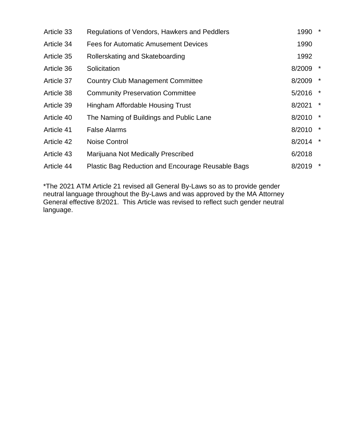| Article 33 | Regulations of Vendors, Hawkers and Peddlers             | 1990   | $\star$ |
|------------|----------------------------------------------------------|--------|---------|
| Article 34 | <b>Fees for Automatic Amusement Devices</b>              | 1990   |         |
| Article 35 | Rollerskating and Skateboarding                          | 1992   |         |
| Article 36 | Solicitation                                             | 8/2009 | $\star$ |
| Article 37 | <b>Country Club Management Committee</b>                 | 8/2009 | $\star$ |
| Article 38 | <b>Community Preservation Committee</b>                  | 5/2016 | $\star$ |
| Article 39 | Hingham Affordable Housing Trust                         | 8/2021 | $\star$ |
| Article 40 | The Naming of Buildings and Public Lane                  | 8/2010 | $\star$ |
| Article 41 | <b>False Alarms</b>                                      | 8/2010 | $\star$ |
| Article 42 | Noise Control                                            | 8/2014 | $\star$ |
| Article 43 | Marijuana Not Medically Prescribed                       | 6/2018 |         |
| Article 44 | <b>Plastic Bag Reduction and Encourage Reusable Bags</b> | 8/2019 | $\star$ |

\*The 2021 ATM Article 21 revised all General By-Laws so as to provide gender neutral language throughout the By-Laws and was approved by the MA Attorney General effective 8/2021. This Article was revised to reflect such gender neutral language.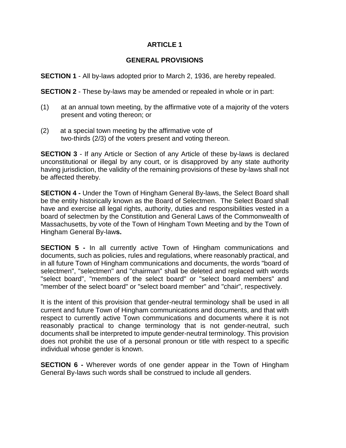#### **GENERAL PROVISIONS**

**SECTION 1** - All by-laws adopted prior to March 2, 1936, are hereby repealed.

**SECTION 2** - These by-laws may be amended or repealed in whole or in part:

- (1) at an annual town meeting, by the affirmative vote of a majority of the voters present and voting thereon; or
- (2) at a special town meeting by the affirmative vote of two-thirds (2/3) of the voters present and voting thereon.

**SECTION 3** - If any Article or Section of any Article of these by-laws is declared unconstitutional or illegal by any court, or is disapproved by any state authority having jurisdiction, the validity of the remaining provisions of these by-laws shall not be affected thereby.

**SECTION 4 -** Under the Town of Hingham General By-laws, the Select Board shall be the entity historically known as the Board of Selectmen. The Select Board shall have and exercise all legal rights, authority, duties and responsibilities vested in a board of selectmen by the Constitution and General Laws of the Commonwealth of Massachusetts, by vote of the Town of Hingham Town Meeting and by the Town of Hingham General By-law**s.** 

**SECTION 5 -** In all currently active Town of Hingham communications and documents, such as policies, rules and regulations, where reasonably practical, and in all future Town of Hingham communications and documents, the words "board of selectmen", "selectmen" and "chairman" shall be deleted and replaced with words "select board", "members of the select board" or "select board members" and "member of the select board" or "select board member" and "chair", respectively.

It is the intent of this provision that gender-neutral terminology shall be used in all current and future Town of Hingham communications and documents, and that with respect to currently active Town communications and documents where it is not reasonably practical to change terminology that is not gender-neutral, such documents shall be interpreted to impute gender-neutral terminology. This provision does not prohibit the use of a personal pronoun or title with respect to a specific individual whose gender is known.

**SECTION 6 -** Wherever words of one gender appear in the Town of Hingham General By-laws such words shall be construed to include all genders.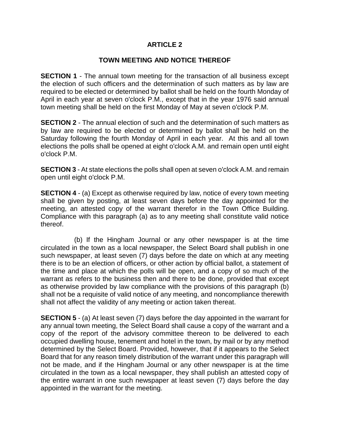#### **TOWN MEETING AND NOTICE THEREOF**

**SECTION 1** - The annual town meeting for the transaction of all business except the election of such officers and the determination of such matters as by law are required to be elected or determined by ballot shall be held on the fourth Monday of April in each year at seven o'clock P.M., except that in the year 1976 said annual town meeting shall be held on the first Monday of May at seven o'clock P.M.

**SECTION 2** - The annual election of such and the determination of such matters as by law are required to be elected or determined by ballot shall be held on the Saturday following the fourth Monday of April in each year. At this and all town elections the polls shall be opened at eight o'clock A.M. and remain open until eight o'clock P.M.

**SECTION 3** - At state elections the polls shall open at seven o'clock A.M. and remain open until eight o'clock P.M.

**SECTION 4** - (a) Except as otherwise required by law, notice of every town meeting shall be given by posting, at least seven days before the day appointed for the meeting, an attested copy of the warrant therefor in the Town Office Building. Compliance with this paragraph (a) as to any meeting shall constitute valid notice thereof.

 (b) If the Hingham Journal or any other newspaper is at the time circulated in the town as a local newspaper, the Select Board shall publish in one such newspaper, at least seven (7) days before the date on which at any meeting there is to be an election of officers, or other action by official ballot, a statement of the time and place at which the polls will be open, and a copy of so much of the warrant as refers to the business then and there to be done, provided that except as otherwise provided by law compliance with the provisions of this paragraph (b) shall not be a requisite of valid notice of any meeting, and noncompliance therewith shall not affect the validity of any meeting or action taken thereat.

**SECTION 5** - (a) At least seven (7) days before the day appointed in the warrant for any annual town meeting, the Select Board shall cause a copy of the warrant and a copy of the report of the advisory committee thereon to be delivered to each occupied dwelling house, tenement and hotel in the town, by mail or by any method determined by the Select Board. Provided, however, that if it appears to the Select Board that for any reason timely distribution of the warrant under this paragraph will not be made, and if the Hingham Journal or any other newspaper is at the time circulated in the town as a local newspaper, they shall publish an attested copy of the entire warrant in one such newspaper at least seven (7) days before the day appointed in the warrant for the meeting.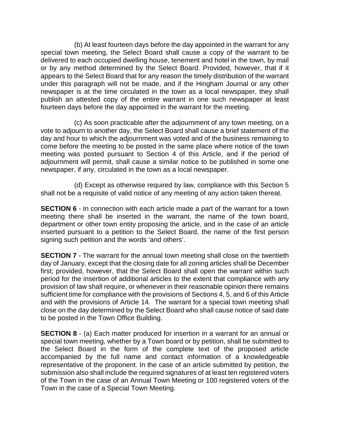(b) At least fourteen days before the day appointed in the warrant for any special town meeting, the Select Board shall cause a copy of the warrant to be delivered to each occupied dwelling house, tenement and hotel in the town, by mail or by any method determined by the Select Board. Provided, however, that if it appears to the Select Board that for any reason the timely distribution of the warrant under this paragraph will not be made, and if the Hingham Journal or any other newspaper is at the time circulated in the town as a local newspaper, they shall publish an attested copy of the entire warrant in one such newspaper at least fourteen days before the day appointed in the warrant for the meeting.

 (c) As soon practicable after the adjournment of any town meeting, on a vote to adjourn to another day, the Select Board shall cause a brief statement of the day and hour to which the adjournment was voted and of the business remaining to come before the meeting to be posted in the same place where notice of the town meeting was posted pursuant to Section 4 of this Article, and if the period of adjournment will permit, shall cause a similar notice to be published in some one newspaper, if any, circulated in the town as a local newspaper.

 (d) Except as otherwise required by law, compliance with this Section 5 shall not be a requisite of valid notice of any meeting of any action taken thereat.

**SECTION 6** - In connection with each article made a part of the warrant for a town meeting there shall be inserted in the warrant, the name of the town board, department or other town entity proposing the article, and in the case of an article inserted pursuant to a petition to the Select Board, the name of the first person signing such petition and the words 'and others'.

**SECTION 7** - The warrant for the annual town meeting shall close on the twentieth day of January, except that the closing date for all zoning articles shall be December first; provided, however, that the Select Board shall open the warrant within such period for the insertion of additional articles to the extent that compliance with any provision of law shall require, or whenever in their reasonable opinion there remains sufficient time for compliance with the provisions of Sections 4, 5, and 6 of this Article and with the provisions of Article 14. The warrant for a special town meeting shall close on the day determined by the Select Board who shall cause notice of said date to be posted in the Town Office Building.

**SECTION 8** - (a) Each matter produced for insertion in a warrant for an annual or special town meeting, whether by a Town board or by petition, shall be submitted to the Select Board in the form of the complete text of the proposed article accompanied by the full name and contact information of a knowledgeable representative of the proponent. In the case of an article submitted by petition, the submission also shall include the required signatures of at least ten registered voters of the Town in the case of an Annual Town Meeting or 100 registered voters of the Town in the case of a Special Town Meeting.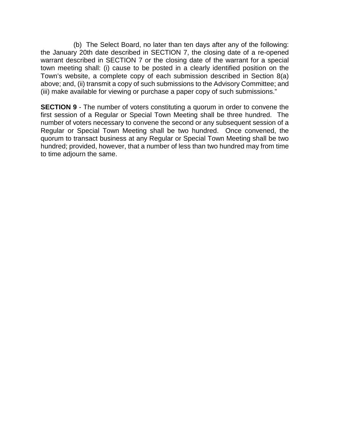(b) The Select Board, no later than ten days after any of the following: the January 20th date described in SECTION 7, the closing date of a re-opened warrant described in SECTION 7 or the closing date of the warrant for a special town meeting shall: (i) cause to be posted in a clearly identified position on the Town's website, a complete copy of each submission described in Section 8(a) above; and, (ii) transmit a copy of such submissions to the Advisory Committee; and (iii) make available for viewing or purchase a paper copy of such submissions."

**SECTION 9** - The number of voters constituting a quorum in order to convene the first session of a Regular or Special Town Meeting shall be three hundred. The number of voters necessary to convene the second or any subsequent session of a Regular or Special Town Meeting shall be two hundred. Once convened, the quorum to transact business at any Regular or Special Town Meeting shall be two hundred; provided, however, that a number of less than two hundred may from time to time adjourn the same.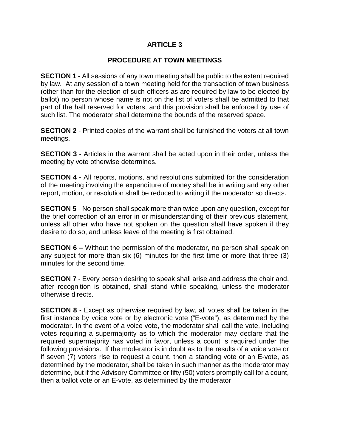#### **PROCEDURE AT TOWN MEETINGS**

**SECTION 1** - All sessions of any town meeting shall be public to the extent required by law. At any session of a town meeting held for the transaction of town business (other than for the election of such officers as are required by law to be elected by ballot) no person whose name is not on the list of voters shall be admitted to that part of the hall reserved for voters, and this provision shall be enforced by use of such list. The moderator shall determine the bounds of the reserved space.

**SECTION 2** - Printed copies of the warrant shall be furnished the voters at all town meetings.

**SECTION 3** - Articles in the warrant shall be acted upon in their order, unless the meeting by vote otherwise determines.

**SECTION 4** - All reports, motions, and resolutions submitted for the consideration of the meeting involving the expenditure of money shall be in writing and any other report, motion, or resolution shall be reduced to writing if the moderator so directs.

**SECTION 5** - No person shall speak more than twice upon any question, except for the brief correction of an error in or misunderstanding of their previous statement, unless all other who have not spoken on the question shall have spoken if they desire to do so, and unless leave of the meeting is first obtained.

**SECTION 6 –** Without the permission of the moderator, no person shall speak on any subject for more than six (6) minutes for the first time or more that three (3) minutes for the second time.

**SECTION 7** - Every person desiring to speak shall arise and address the chair and, after recognition is obtained, shall stand while speaking, unless the moderator otherwise directs.

**SECTION 8** - Except as otherwise required by law, all votes shall be taken in the first instance by voice vote or by electronic vote ("E-vote"), as determined by the moderator. In the event of a voice vote, the moderator shall call the vote, including votes requiring a supermajority as to which the moderator may declare that the required supermajority has voted in favor, unless a count is required under the following provisions. If the moderator is in doubt as to the results of a voice vote or if seven (7) voters rise to request a count, then a standing vote or an E-vote, as determined by the moderator, shall be taken in such manner as the moderator may determine, but if the Advisory Committee or fifty (50) voters promptly call for a count, then a ballot vote or an E-vote, as determined by the moderator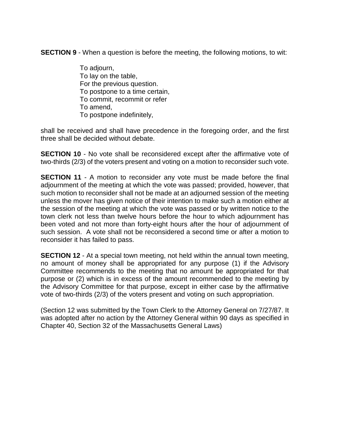**SECTION 9** - When a question is before the meeting, the following motions, to wit:

 To adjourn, To lay on the table, For the previous question. To postpone to a time certain, To commit, recommit or refer To amend, To postpone indefinitely,

shall be received and shall have precedence in the foregoing order, and the first three shall be decided without debate.

**SECTION 10** - No vote shall be reconsidered except after the affirmative vote of two-thirds (2/3) of the voters present and voting on a motion to reconsider such vote.

**SECTION 11** - A motion to reconsider any vote must be made before the final adjournment of the meeting at which the vote was passed; provided, however, that such motion to reconsider shall not be made at an adjourned session of the meeting unless the mover has given notice of their intention to make such a motion either at the session of the meeting at which the vote was passed or by written notice to the town clerk not less than twelve hours before the hour to which adjournment has been voted and not more than forty-eight hours after the hour of adjournment of such session. A vote shall not be reconsidered a second time or after a motion to reconsider it has failed to pass.

**SECTION 12** - At a special town meeting, not held within the annual town meeting, no amount of money shall be appropriated for any purpose (1) if the Advisory Committee recommends to the meeting that no amount be appropriated for that purpose or (2) which is in excess of the amount recommended to the meeting by the Advisory Committee for that purpose, except in either case by the affirmative vote of two-thirds (2/3) of the voters present and voting on such appropriation.

(Section 12 was submitted by the Town Clerk to the Attorney General on 7/27/87. It was adopted after no action by the Attorney General within 90 days as specified in Chapter 40, Section 32 of the Massachusetts General Laws)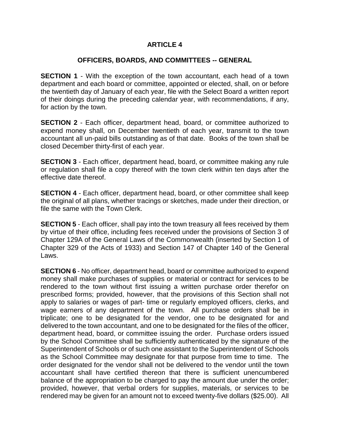#### **OFFICERS, BOARDS, AND COMMITTEES -- GENERAL**

**SECTION 1** - With the exception of the town accountant, each head of a town department and each board or committee, appointed or elected, shall, on or before the twentieth day of January of each year, file with the Select Board a written report of their doings during the preceding calendar year, with recommendations, if any, for action by the town.

**SECTION 2** - Each officer, department head, board, or committee authorized to expend money shall, on December twentieth of each year, transmit to the town accountant all un-paid bills outstanding as of that date. Books of the town shall be closed December thirty-first of each year.

**SECTION 3** - Each officer, department head, board, or committee making any rule or regulation shall file a copy thereof with the town clerk within ten days after the effective date thereof.

**SECTION 4** - Each officer, department head, board, or other committee shall keep the original of all plans, whether tracings or sketches, made under their direction, or file the same with the Town Clerk.

**SECTION 5** - Each officer, shall pay into the town treasury all fees received by them by virtue of their office, including fees received under the provisions of Section 3 of Chapter 129A of the General Laws of the Commonwealth (inserted by Section 1 of Chapter 329 of the Acts of 1933) and Section 147 of Chapter 140 of the General Laws.

**SECTION 6** - No officer, department head, board or committee authorized to expend money shall make purchases of supplies or material or contract for services to be rendered to the town without first issuing a written purchase order therefor on prescribed forms; provided, however, that the provisions of this Section shall not apply to salaries or wages of part- time or regularly employed officers, clerks, and wage earners of any department of the town. All purchase orders shall be in triplicate; one to be designated for the vendor, one to be designated for and delivered to the town accountant, and one to be designated for the files of the officer, department head, board, or committee issuing the order. Purchase orders issued by the School Committee shall be sufficiently authenticated by the signature of the Superintendent of Schools or of such one assistant to the Superintendent of Schools as the School Committee may designate for that purpose from time to time. The order designated for the vendor shall not be delivered to the vendor until the town accountant shall have certified thereon that there is sufficient unencumbered balance of the appropriation to be charged to pay the amount due under the order; provided, however, that verbal orders for supplies, materials, or services to be rendered may be given for an amount not to exceed twenty-five dollars (\$25.00). All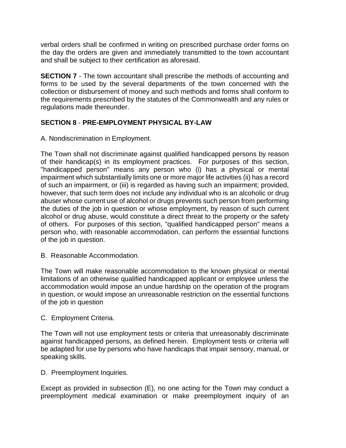verbal orders shall be confirmed in writing on prescribed purchase order forms on the day the orders are given and immediately transmitted to the town accountant and shall be subject to their certification as aforesaid.

**SECTION 7** - The town accountant shall prescribe the methods of accounting and forms to be used by the several departments of the town concerned with the collection or disbursement of money and such methods and forms shall conform to the requirements prescribed by the statutes of the Commonwealth and any rules or regulations made thereunder.

# **SECTION 8** - **PRE-EMPLOYMENT PHYSICAL BY-LAW**

A. Nondiscrimination in Employment.

The Town shall not discriminate against qualified handicapped persons by reason of their handicap(s) in its employment practices. For purposes of this section, "handicapped person" means any person who (i) has a physical or mental impairment which substantially limits one or more major life activities (ii) has a record of such an impairment, or (iii) is regarded as having such an impairment; provided, however, that such term does not include any individual who is an alcoholic or drug abuser whose current use of alcohol or drugs prevents such person from performing the duties of the job in question or whose employment, by reason of such current alcohol or drug abuse, would constitute a direct threat to the property or the safety of others. For purposes of this section, "qualified handicapped person" means a person who, with reasonable accommodation, can perform the essential functions of the job in question.

B. Reasonable Accommodation.

The Town will make reasonable accommodation to the known physical or mental limitations of an otherwise qualified handicapped applicant or employee unless the accommodation would impose an undue hardship on the operation of the program in question, or would impose an unreasonable restriction on the essential functions of the job in question

#### C. Employment Criteria.

The Town will not use employment tests or criteria that unreasonably discriminate against handicapped persons, as defined herein. Employment tests or criteria will be adapted for use by persons who have handicaps that impair sensory, manual, or speaking skills.

# D. Preemployment Inquiries.

Except as provided in subsection (E), no one acting for the Town may conduct a preemployment medical examination or make preemployment inquiry of an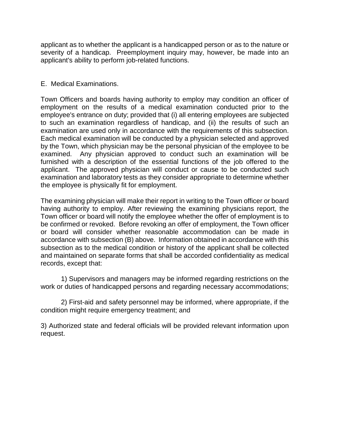applicant as to whether the applicant is a handicapped person or as to the nature or severity of a handicap. Preemployment inquiry may, however, be made into an applicant's ability to perform job-related functions.

#### E. Medical Examinations.

Town Officers and boards having authority to employ may condition an officer of employment on the results of a medical examination conducted prior to the employee's entrance on duty; provided that (i) all entering employees are subjected to such an examination regardless of handicap, and (ii) the results of such an examination are used only in accordance with the requirements of this subsection. Each medical examination will be conducted by a physician selected and approved by the Town, which physician may be the personal physician of the employee to be examined. Any physician approved to conduct such an examination will be furnished with a description of the essential functions of the job offered to the applicant. The approved physician will conduct or cause to be conducted such examination and laboratory tests as they consider appropriate to determine whether the employee is physically fit for employment.

The examining physician will make their report in writing to the Town officer or board having authority to employ. After reviewing the examining physicians report, the Town officer or board will notify the employee whether the offer of employment is to be confirmed or revoked. Before revoking an offer of employment, the Town officer or board will consider whether reasonable accommodation can be made in accordance with subsection (B) above. Information obtained in accordance with this subsection as to the medical condition or history of the applicant shall be collected and maintained on separate forms that shall be accorded confidentiality as medical records, except that:

1) Supervisors and managers may be informed regarding restrictions on the work or duties of handicapped persons and regarding necessary accommodations;

2) First-aid and safety personnel may be informed, where appropriate, if the condition might require emergency treatment; and

3) Authorized state and federal officials will be provided relevant information upon request.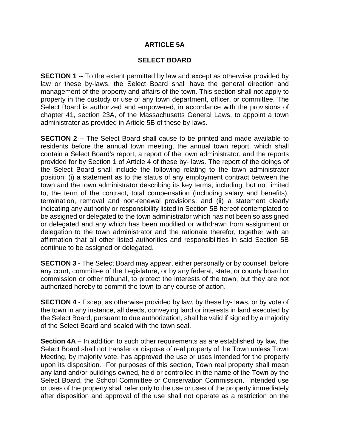#### **ARTICLE 5A**

#### **SELECT BOARD**

**SECTION 1** -- To the extent permitted by law and except as otherwise provided by law or these by-laws, the Select Board shall have the general direction and management of the property and affairs of the town. This section shall not apply to property in the custody or use of any town department, officer, or committee. The Select Board is authorized and empowered, in accordance with the provisions of chapter 41, section 23A, of the Massachusetts General Laws, to appoint a town administrator as provided in Article 5B of these by-laws.

**SECTION 2** -- The Select Board shall cause to be printed and made available to residents before the annual town meeting, the annual town report, which shall contain a Select Board's report, a report of the town administrator, and the reports provided for by Section 1 of Article 4 of these by- laws. The report of the doings of the Select Board shall include the following relating to the town administrator position: (i) a statement as to the status of any employment contract between the town and the town administrator describing its key terms, including, but not limited to, the term of the contract, total compensation (including salary and benefits), termination, removal and non-renewal provisions; and (ii) a statement clearly indicating any authority or responsibility listed in Section 5B hereof contemplated to be assigned or delegated to the town administrator which has not been so assigned or delegated and any which has been modified or withdrawn from assignment or delegation to the town administrator and the rationale therefor, together with an affirmation that all other listed authorities and responsibilities in said Section 5B continue to be assigned or delegated.

**SECTION 3** - The Select Board may appear, either personally or by counsel, before any court, committee of the Legislature, or by any federal, state, or county board or commission or other tribunal, to protect the interests of the town, but they are not authorized hereby to commit the town to any course of action.

**SECTION 4** - Except as otherwise provided by law, by these by-laws, or by vote of the town in any instance, all deeds, conveying land or interests in land executed by the Select Board, pursuant to due authorization, shall be valid if signed by a majority of the Select Board and sealed with the town seal.

**Section 4A** – In addition to such other requirements as are established by law, the Select Board shall not transfer or dispose of real property of the Town unless Town Meeting, by majority vote, has approved the use or uses intended for the property upon its disposition. For purposes of this section, Town real property shall mean any land and/or buildings owned, held or controlled in the name of the Town by the Select Board, the School Committee or Conservation Commission. Intended use or uses of the property shall refer only to the use or uses of the property immediately after disposition and approval of the use shall not operate as a restriction on the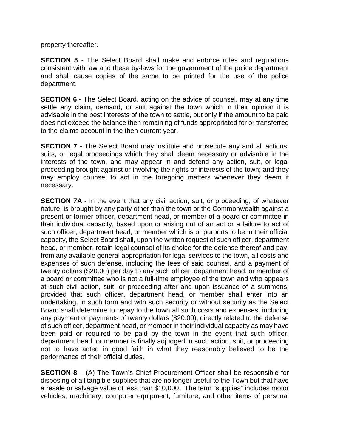property thereafter.

**SECTION 5** - The Select Board shall make and enforce rules and regulations consistent with law and these by-laws for the government of the police department and shall cause copies of the same to be printed for the use of the police department.

**SECTION 6** - The Select Board, acting on the advice of counsel, may at any time settle any claim, demand, or suit against the town which in their opinion it is advisable in the best interests of the town to settle, but only if the amount to be paid does not exceed the balance then remaining of funds appropriated for or transferred to the claims account in the then-current year.

**SECTION 7** - The Select Board may institute and prosecute any and all actions, suits, or legal proceedings which they shall deem necessary or advisable in the interests of the town, and may appear in and defend any action, suit, or legal proceeding brought against or involving the rights or interests of the town; and they may employ counsel to act in the foregoing matters whenever they deem it necessary.

**SECTION 7A** - In the event that any civil action, suit, or proceeding, of whatever nature, is brought by any party other than the town or the Commonwealth against a present or former officer, department head, or member of a board or committee in their individual capacity, based upon or arising out of an act or a failure to act of such officer, department head, or member which is or purports to be in their official capacity, the Select Board shall, upon the written request of such officer, department head, or member, retain legal counsel of its choice for the defense thereof and pay, from any available general appropriation for legal services to the town, all costs and expenses of such defense, including the fees of said counsel, and a payment of twenty dollars (\$20.00) per day to any such officer, department head, or member of a board or committee who is not a full-time employee of the town and who appears at such civil action, suit, or proceeding after and upon issuance of a summons, provided that such officer, department head, or member shall enter into an undertaking, in such form and with such security or without security as the Select Board shall determine to repay to the town all such costs and expenses, including any payment or payments of twenty dollars (\$20.00), directly related to the defense of such officer, department head, or member in their individual capacity as may have been paid or required to be paid by the town in the event that such officer, department head, or member is finally adjudged in such action, suit, or proceeding not to have acted in good faith in what they reasonably believed to be the performance of their official duties.

**SECTION 8** – (A) The Town's Chief Procurement Officer shall be responsible for disposing of all tangible supplies that are no longer useful to the Town but that have a resale or salvage value of less than \$10,000. The term "supplies" includes motor vehicles, machinery, computer equipment, furniture, and other items of personal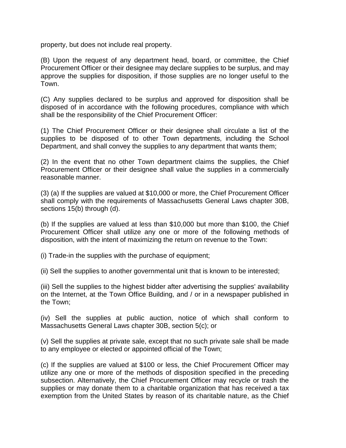property, but does not include real property.

(B) Upon the request of any department head, board, or committee, the Chief Procurement Officer or their designee may declare supplies to be surplus, and may approve the supplies for disposition, if those supplies are no longer useful to the Town.

(C) Any supplies declared to be surplus and approved for disposition shall be disposed of in accordance with the following procedures, compliance with which shall be the responsibility of the Chief Procurement Officer:

(1) The Chief Procurement Officer or their designee shall circulate a list of the supplies to be disposed of to other Town departments, including the School Department, and shall convey the supplies to any department that wants them;

(2) In the event that no other Town department claims the supplies, the Chief Procurement Officer or their designee shall value the supplies in a commercially reasonable manner.

(3) (a) If the supplies are valued at \$10,000 or more, the Chief Procurement Officer shall comply with the requirements of Massachusetts General Laws chapter 30B, sections 15(b) through (d).

(b) If the supplies are valued at less than \$10,000 but more than \$100, the Chief Procurement Officer shall utilize any one or more of the following methods of disposition, with the intent of maximizing the return on revenue to the Town:

(i) Trade-in the supplies with the purchase of equipment;

(ii) Sell the supplies to another governmental unit that is known to be interested;

(iii) Sell the supplies to the highest bidder after advertising the supplies' availability on the Internet, at the Town Office Building, and / or in a newspaper published in the Town;

(iv) Sell the supplies at public auction, notice of which shall conform to Massachusetts General Laws chapter 30B, section 5(c); or

(v) Sell the supplies at private sale, except that no such private sale shall be made to any employee or elected or appointed official of the Town;

(c) If the supplies are valued at \$100 or less, the Chief Procurement Officer may utilize any one or more of the methods of disposition specified in the preceding subsection. Alternatively, the Chief Procurement Officer may recycle or trash the supplies or may donate them to a charitable organization that has received a tax exemption from the United States by reason of its charitable nature, as the Chief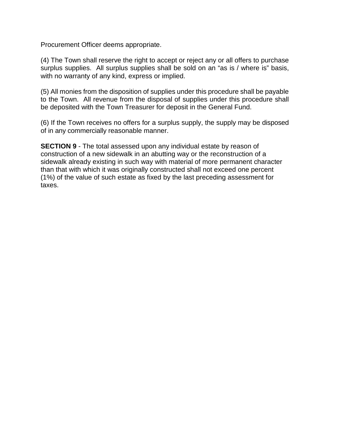Procurement Officer deems appropriate.

(4) The Town shall reserve the right to accept or reject any or all offers to purchase surplus supplies. All surplus supplies shall be sold on an "as is / where is" basis, with no warranty of any kind, express or implied.

(5) All monies from the disposition of supplies under this procedure shall be payable to the Town. All revenue from the disposal of supplies under this procedure shall be deposited with the Town Treasurer for deposit in the General Fund.

(6) If the Town receives no offers for a surplus supply, the supply may be disposed of in any commercially reasonable manner.

**SECTION 9** - The total assessed upon any individual estate by reason of construction of a new sidewalk in an abutting way or the reconstruction of a sidewalk already existing in such way with material of more permanent character than that with which it was originally constructed shall not exceed one percent (1%) of the value of such estate as fixed by the last preceding assessment for taxes.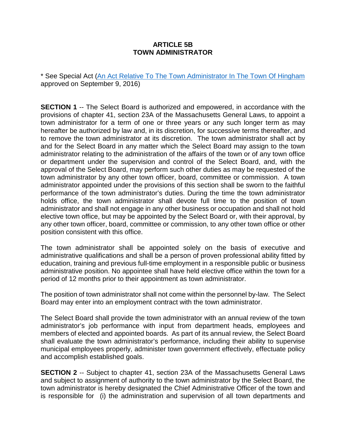#### **ARTICLE 5B TOWN ADMINISTRATOR**

\* See Special Act [\(An Act Relative To The Town Administrator In The Town Of Hingham](https://malegislature.gov/Laws/SessionLaws/Acts/2016/Chapter263) approved on September 9, 2016)

**SECTION 1** -- The Select Board is authorized and empowered, in accordance with the provisions of chapter 41, section 23A of the Massachusetts General Laws, to appoint a town administrator for a term of one or three years or any such longer term as may hereafter be authorized by law and, in its discretion, for successive terms thereafter, and to remove the town administrator at its discretion. The town administrator shall act by and for the Select Board in any matter which the Select Board may assign to the town administrator relating to the administration of the affairs of the town or of any town office or department under the supervision and control of the Select Board, and, with the approval of the Select Board, may perform such other duties as may be requested of the town administrator by any other town officer, board, committee or commission. A town administrator appointed under the provisions of this section shall be sworn to the faithful performance of the town administrator's duties. During the time the town administrator holds office, the town administrator shall devote full time to the position of town administrator and shall not engage in any other business or occupation and shall not hold elective town office, but may be appointed by the Select Board or, with their approval, by any other town officer, board, committee or commission, to any other town office or other position consistent with this office.

The town administrator shall be appointed solely on the basis of executive and administrative qualifications and shall be a person of proven professional ability fitted by education, training and previous full-time employment in a responsible public or business administrative position. No appointee shall have held elective office within the town for a period of 12 months prior to their appointment as town administrator.

The position of town administrator shall not come within the personnel by-law. The Select Board may enter into an employment contract with the town administrator.

The Select Board shall provide the town administrator with an annual review of the town administrator's job performance with input from department heads, employees and members of elected and appointed boards. As part of its annual review, the Select Board shall evaluate the town administrator's performance, including their ability to supervise municipal employees properly, administer town government effectively, effectuate policy and accomplish established goals.

**SECTION 2** -- Subject to chapter 41, section 23A of the Massachusetts General Laws and subject to assignment of authority to the town administrator by the Select Board, the town administrator is hereby designated the Chief Administrative Officer of the town and is responsible for (i) the administration and supervision of all town departments and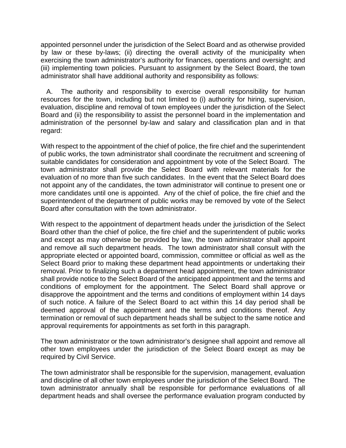appointed personnel under the jurisdiction of the Select Board and as otherwise provided by law or these by-laws; (ii) directing the overall activity of the municipality when exercising the town administrator's authority for finances, operations and oversight; and (iii) implementing town policies. Pursuant to assignment by the Select Board, the town administrator shall have additional authority and responsibility as follows:

 A. The authority and responsibility to exercise overall responsibility for human resources for the town, including but not limited to (i) authority for hiring, supervision, evaluation, discipline and removal of town employees under the jurisdiction of the Select Board and (ii) the responsibility to assist the personnel board in the implementation and administration of the personnel by-law and salary and classification plan and in that regard:

With respect to the appointment of the chief of police, the fire chief and the superintendent of public works, the town administrator shall coordinate the recruitment and screening of suitable candidates for consideration and appointment by vote of the Select Board. The town administrator shall provide the Select Board with relevant materials for the evaluation of no more than five such candidates. In the event that the Select Board does not appoint any of the candidates, the town administrator will continue to present one or more candidates until one is appointed. Any of the chief of police, the fire chief and the superintendent of the department of public works may be removed by vote of the Select Board after consultation with the town administrator.

With respect to the appointment of department heads under the jurisdiction of the Select Board other than the chief of police, the fire chief and the superintendent of public works and except as may otherwise be provided by law, the town administrator shall appoint and remove all such department heads. The town administrator shall consult with the appropriate elected or appointed board, commission, committee or official as well as the Select Board prior to making these department head appointments or undertaking their removal. Prior to finalizing such a department head appointment, the town administrator shall provide notice to the Select Board of the anticipated appointment and the terms and conditions of employment for the appointment. The Select Board shall approve or disapprove the appointment and the terms and conditions of employment within 14 days of such notice. A failure of the Select Board to act within this 14 day period shall be deemed approval of the appointment and the terms and conditions thereof. Any termination or removal of such department heads shall be subject to the same notice and approval requirements for appointments as set forth in this paragraph.

The town administrator or the town administrator's designee shall appoint and remove all other town employees under the jurisdiction of the Select Board except as may be required by Civil Service.

The town administrator shall be responsible for the supervision, management, evaluation and discipline of all other town employees under the jurisdiction of the Select Board. The town administrator annually shall be responsible for performance evaluations of all department heads and shall oversee the performance evaluation program conducted by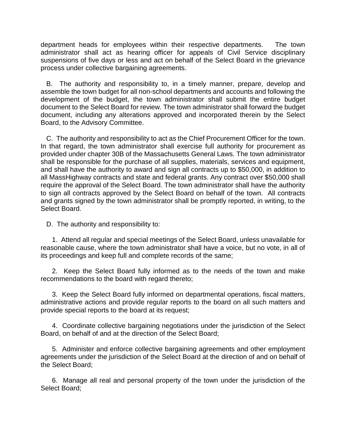department heads for employees within their respective departments. The town administrator shall act as hearing officer for appeals of Civil Service disciplinary suspensions of five days or less and act on behalf of the Select Board in the grievance process under collective bargaining agreements.

 B. The authority and responsibility to, in a timely manner, prepare, develop and assemble the town budget for all non-school departments and accounts and following the development of the budget, the town administrator shall submit the entire budget document to the Select Board for review. The town administrator shall forward the budget document, including any alterations approved and incorporated therein by the Select Board, to the Advisory Committee.

 C. The authority and responsibility to act as the Chief Procurement Officer for the town. In that regard, the town administrator shall exercise full authority for procurement as provided under chapter 30B of the Massachusetts General Laws. The town administrator shall be responsible for the purchase of all supplies, materials, services and equipment, and shall have the authority to award and sign all contracts up to \$50,000, in addition to all MassHighway contracts and state and federal grants. Any contract over \$50,000 shall require the approval of the Select Board. The town administrator shall have the authority to sign all contracts approved by the Select Board on behalf of the town. All contracts and grants signed by the town administrator shall be promptly reported, in writing, to the Select Board.

D. The authority and responsibility to:

 1. Attend all regular and special meetings of the Select Board, unless unavailable for reasonable cause, where the town administrator shall have a voice, but no vote, in all of its proceedings and keep full and complete records of the same;

 2. Keep the Select Board fully informed as to the needs of the town and make recommendations to the board with regard thereto;

 3. Keep the Select Board fully informed on departmental operations, fiscal matters, administrative actions and provide regular reports to the board on all such matters and provide special reports to the board at its request;

 4. Coordinate collective bargaining negotiations under the jurisdiction of the Select Board, on behalf of and at the direction of the Select Board;

 5. Administer and enforce collective bargaining agreements and other employment agreements under the jurisdiction of the Select Board at the direction of and on behalf of the Select Board;

 6. Manage all real and personal property of the town under the jurisdiction of the Select Board;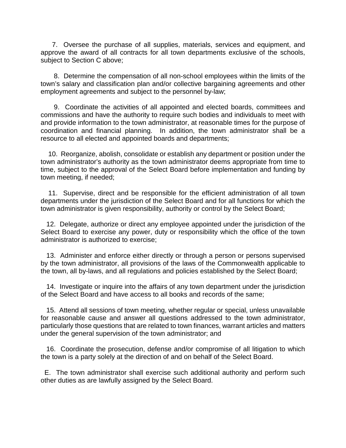7. Oversee the purchase of all supplies, materials, services and equipment, and approve the award of all contracts for all town departments exclusive of the schools, subject to Section C above;

 8. Determine the compensation of all non-school employees within the limits of the town's salary and classification plan and/or collective bargaining agreements and other employment agreements and subject to the personnel by-law;

 9. Coordinate the activities of all appointed and elected boards, committees and commissions and have the authority to require such bodies and individuals to meet with and provide information to the town administrator, at reasonable times for the purpose of coordination and financial planning. In addition, the town administrator shall be a resource to all elected and appointed boards and departments;

 10. Reorganize, abolish, consolidate or establish any department or position under the town administrator's authority as the town administrator deems appropriate from time to time, subject to the approval of the Select Board before implementation and funding by town meeting, if needed;

 11. Supervise, direct and be responsible for the efficient administration of all town departments under the jurisdiction of the Select Board and for all functions for which the town administrator is given responsibility, authority or control by the Select Board;

 12. Delegate, authorize or direct any employee appointed under the jurisdiction of the Select Board to exercise any power, duty or responsibility which the office of the town administrator is authorized to exercise;

 13. Administer and enforce either directly or through a person or persons supervised by the town administrator, all provisions of the laws of the Commonwealth applicable to the town, all by-laws, and all regulations and policies established by the Select Board;

 14. Investigate or inquire into the affairs of any town department under the jurisdiction of the Select Board and have access to all books and records of the same;

 15. Attend all sessions of town meeting, whether regular or special, unless unavailable for reasonable cause and answer all questions addressed to the town administrator, particularly those questions that are related to town finances, warrant articles and matters under the general supervision of the town administrator; and

 16. Coordinate the prosecution, defense and/or compromise of all litigation to which the town is a party solely at the direction of and on behalf of the Select Board.

 E. The town administrator shall exercise such additional authority and perform such other duties as are lawfully assigned by the Select Board.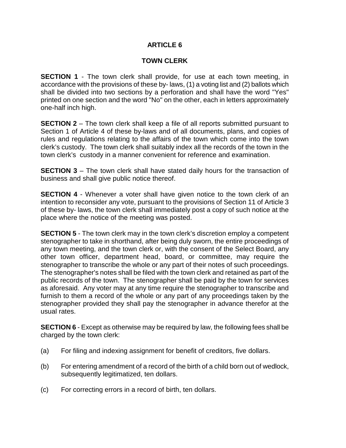#### **TOWN CLERK**

**SECTION 1** - The town clerk shall provide, for use at each town meeting, in accordance with the provisions of these by- laws, (1) a voting list and (2) ballots which shall be divided into two sections by a perforation and shall have the word "Yes" printed on one section and the word "No" on the other, each in letters approximately one-half inch high.

**SECTION 2** – The town clerk shall keep a file of all reports submitted pursuant to Section 1 of Article 4 of these by-laws and of all documents, plans, and copies of rules and regulations relating to the affairs of the town which come into the town clerk's custody. The town clerk shall suitably index all the records of the town in the town clerk's custody in a manner convenient for reference and examination.

**SECTION 3** – The town clerk shall have stated daily hours for the transaction of business and shall give public notice thereof.

**SECTION 4** - Whenever a voter shall have given notice to the town clerk of an intention to reconsider any vote, pursuant to the provisions of Section 11 of Article 3 of these by- laws, the town clerk shall immediately post a copy of such notice at the place where the notice of the meeting was posted.

**SECTION 5** - The town clerk may in the town clerk's discretion employ a competent stenographer to take in shorthand, after being duly sworn, the entire proceedings of any town meeting, and the town clerk or, with the consent of the Select Board, any other town officer, department head, board, or committee, may require the stenographer to transcribe the whole or any part of their notes of such proceedings. The stenographer's notes shall be filed with the town clerk and retained as part of the public records of the town. The stenographer shall be paid by the town for services as aforesaid. Any voter may at any time require the stenographer to transcribe and furnish to them a record of the whole or any part of any proceedings taken by the stenographer provided they shall pay the stenographer in advance therefor at the usual rates.

**SECTION 6** - Except as otherwise may be required by law, the following fees shall be charged by the town clerk:

- (a) For filing and indexing assignment for benefit of creditors, five dollars.
- (b) For entering amendment of a record of the birth of a child born out of wedlock, subsequently legitimatized, ten dollars.
- (c) For correcting errors in a record of birth, ten dollars.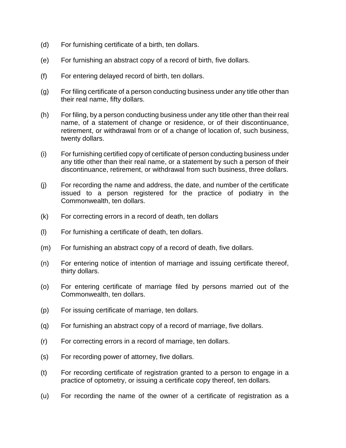- (d) For furnishing certificate of a birth, ten dollars.
- (e) For furnishing an abstract copy of a record of birth, five dollars.
- (f) For entering delayed record of birth, ten dollars.
- (g) For filing certificate of a person conducting business under any title other than their real name, fifty dollars.
- (h) For filing, by a person conducting business under any title other than their real name, of a statement of change or residence, or of their discontinuance, retirement, or withdrawal from or of a change of location of, such business, twenty dollars.
- (i) For furnishing certified copy of certificate of person conducting business under any title other than their real name, or a statement by such a person of their discontinuance, retirement, or withdrawal from such business, three dollars.
- (j) For recording the name and address, the date, and number of the certificate issued to a person registered for the practice of podiatry in the Commonwealth, ten dollars.
- (k) For correcting errors in a record of death, ten dollars
- (l) For furnishing a certificate of death, ten dollars.
- (m) For furnishing an abstract copy of a record of death, five dollars.
- (n) For entering notice of intention of marriage and issuing certificate thereof, thirty dollars.
- (o) For entering certificate of marriage filed by persons married out of the Commonwealth, ten dollars.
- (p) For issuing certificate of marriage, ten dollars.
- (q) For furnishing an abstract copy of a record of marriage, five dollars.
- (r) For correcting errors in a record of marriage, ten dollars.
- (s) For recording power of attorney, five dollars.
- (t) For recording certificate of registration granted to a person to engage in a practice of optometry, or issuing a certificate copy thereof, ten dollars.
- (u) For recording the name of the owner of a certificate of registration as a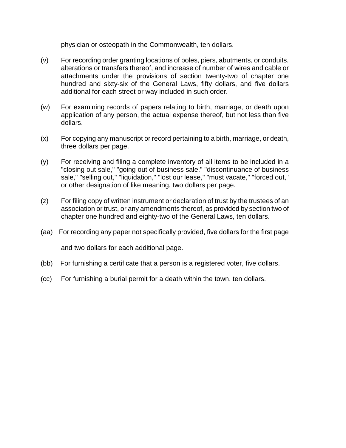physician or osteopath in the Commonwealth, ten dollars.

- (v) For recording order granting locations of poles, piers, abutments, or conduits, alterations or transfers thereof, and increase of number of wires and cable or attachments under the provisions of section twenty-two of chapter one hundred and sixty-six of the General Laws, fifty dollars, and five dollars additional for each street or way included in such order.
- (w) For examining records of papers relating to birth, marriage, or death upon application of any person, the actual expense thereof, but not less than five dollars.
- (x) For copying any manuscript or record pertaining to a birth, marriage, or death, three dollars per page.
- (y) For receiving and filing a complete inventory of all items to be included in a "closing out sale," "going out of business sale," "discontinuance of business sale," "selling out," "liquidation," "lost our lease," "must vacate," "forced out," or other designation of like meaning, two dollars per page.
- (z) For filing copy of written instrument or declaration of trust by the trustees of an association or trust, or any amendments thereof, as provided by section two of chapter one hundred and eighty-two of the General Laws, ten dollars.
- (aa) For recording any paper not specifically provided, five dollars for the first page and two dollars for each additional page.
- (bb) For furnishing a certificate that a person is a registered voter, five dollars.
- (cc) For furnishing a burial permit for a death within the town, ten dollars.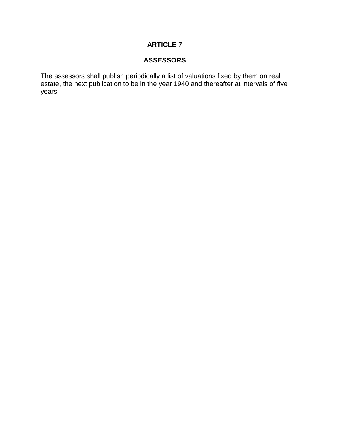#### **ASSESSORS**

The assessors shall publish periodically a list of valuations fixed by them on real estate, the next publication to be in the year 1940 and thereafter at intervals of five years.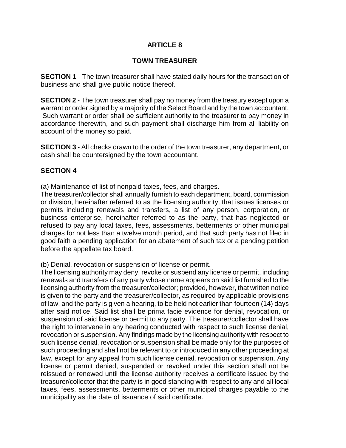#### **TOWN TREASURER**

**SECTION 1** - The town treasurer shall have stated daily hours for the transaction of business and shall give public notice thereof.

**SECTION 2** - The town treasurer shall pay no money from the treasury except upon a warrant or order signed by a majority of the Select Board and by the town accountant. Such warrant or order shall be sufficient authority to the treasurer to pay money in accordance therewith, and such payment shall discharge him from all liability on account of the money so paid.

**SECTION 3** - All checks drawn to the order of the town treasurer, any department, or cash shall be countersigned by the town accountant.

#### **SECTION 4**

(a) Maintenance of list of nonpaid taxes, fees, and charges.

The treasurer/collector shall annually furnish to each department, board, commission or division, hereinafter referred to as the licensing authority, that issues licenses or permits including renewals and transfers, a list of any person, corporation, or business enterprise, hereinafter referred to as the party, that has neglected or refused to pay any local taxes, fees, assessments, betterments or other municipal charges for not less than a twelve month period, and that such party has not filed in good faith a pending application for an abatement of such tax or a pending petition before the appellate tax board.

(b) Denial, revocation or suspension of license or permit.

The licensing authority may deny, revoke or suspend any license or permit, including renewals and transfers of any party whose name appears on said list furnished to the licensing authority from the treasurer/collector; provided, however, that written notice is given to the party and the treasurer/collector, as required by applicable provisions of law, and the party is given a hearing, to be held not earlier than fourteen (14) days after said notice. Said list shall be prima facie evidence for denial, revocation, or suspension of said license or permit to any party. The treasurer/collector shall have the right to intervene in any hearing conducted with respect to such license denial, revocation or suspension. Any findings made by the licensing authority with respect to such license denial, revocation or suspension shall be made only for the purposes of such proceeding and shall not be relevant to or introduced in any other proceeding at law, except for any appeal from such license denial, revocation or suspension. Any license or permit denied, suspended or revoked under this section shall not be reissued or renewed until the license authority receives a certificate issued by the treasurer/collector that the party is in good standing with respect to any and all local taxes, fees, assessments, betterments or other municipal charges payable to the municipality as the date of issuance of said certificate.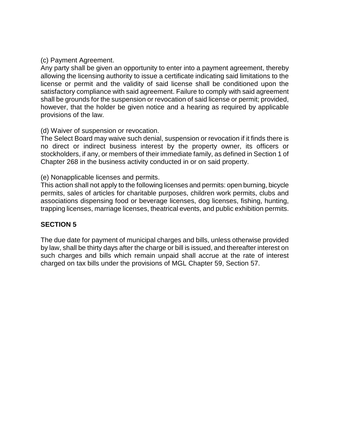#### (c) Payment Agreement.

Any party shall be given an opportunity to enter into a payment agreement, thereby allowing the licensing authority to issue a certificate indicating said limitations to the license or permit and the validity of said license shall be conditioned upon the satisfactory compliance with said agreement. Failure to comply with said agreement shall be grounds for the suspension or revocation of said license or permit; provided, however, that the holder be given notice and a hearing as required by applicable provisions of the law.

#### (d) Waiver of suspension or revocation.

The Select Board may waive such denial, suspension or revocation if it finds there is no direct or indirect business interest by the property owner, its officers or stockholders, if any, or members of their immediate family, as defined in Section 1 of Chapter 268 in the business activity conducted in or on said property.

(e) Nonapplicable licenses and permits.

This action shall not apply to the following licenses and permits: open burning, bicycle permits, sales of articles for charitable purposes, children work permits, clubs and associations dispensing food or beverage licenses, dog licenses, fishing, hunting, trapping licenses, marriage licenses, theatrical events, and public exhibition permits.

#### **SECTION 5**

The due date for payment of municipal charges and bills, unless otherwise provided by law, shall be thirty days after the charge or bill is issued, and thereafter interest on such charges and bills which remain unpaid shall accrue at the rate of interest charged on tax bills under the provisions of MGL Chapter 59, Section 57.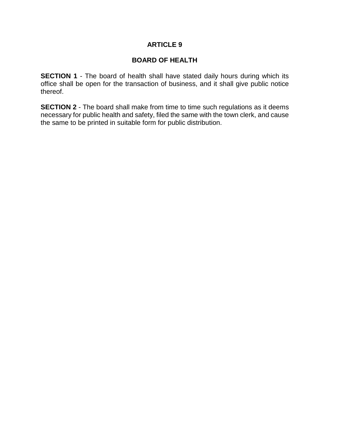#### **BOARD OF HEALTH**

**SECTION 1** - The board of health shall have stated daily hours during which its office shall be open for the transaction of business, and it shall give public notice thereof.

**SECTION 2** - The board shall make from time to time such regulations as it deems necessary for public health and safety, filed the same with the town clerk, and cause the same to be printed in suitable form for public distribution.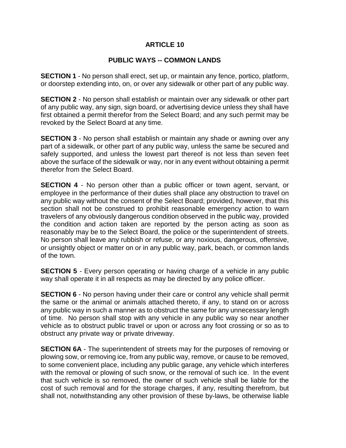#### **PUBLIC WAYS -- COMMON LANDS**

**SECTION 1** - No person shall erect, set up, or maintain any fence, portico, platform, or doorstep extending into, on, or over any sidewalk or other part of any public way.

**SECTION 2** - No person shall establish or maintain over any sidewalk or other part of any public way, any sign, sign board, or advertising device unless they shall have first obtained a permit therefor from the Select Board; and any such permit may be revoked by the Select Board at any time.

**SECTION 3** - No person shall establish or maintain any shade or awning over any part of a sidewalk, or other part of any public way, unless the same be secured and safely supported, and unless the lowest part thereof is not less than seven feet above the surface of the sidewalk or way, nor in any event without obtaining a permit therefor from the Select Board.

**SECTION 4** - No person other than a public officer or town agent, servant, or employee in the performance of their duties shall place any obstruction to travel on any public way without the consent of the Select Board; provided, however, that this section shall not be construed to prohibit reasonable emergency action to warn travelers of any obviously dangerous condition observed in the public way, provided the condition and action taken are reported by the person acting as soon as reasonably may be to the Select Board, the police or the superintendent of streets. No person shall leave any rubbish or refuse, or any noxious, dangerous, offensive, or unsightly object or matter on or in any public way, park, beach, or common lands of the town.

**SECTION 5** - Every person operating or having charge of a vehicle in any public way shall operate it in all respects as may be directed by any police officer.

**SECTION 6** - No person having under their care or control any vehicle shall permit the same or the animal or animals attached thereto, if any, to stand on or across any public way in such a manner as to obstruct the same for any unnecessary length of time. No person shall stop with any vehicle in any public way so near another vehicle as to obstruct public travel or upon or across any foot crossing or so as to obstruct any private way or private driveway.

**SECTION 6A** - The superintendent of streets may for the purposes of removing or plowing sow, or removing ice, from any public way, remove, or cause to be removed, to some convenient place, including any public garage, any vehicle which interferes with the removal or plowing of such snow, or the removal of such ice. In the event that such vehicle is so removed, the owner of such vehicle shall be liable for the cost of such removal and for the storage charges, if any, resulting therefrom, but shall not, notwithstanding any other provision of these by-laws, be otherwise liable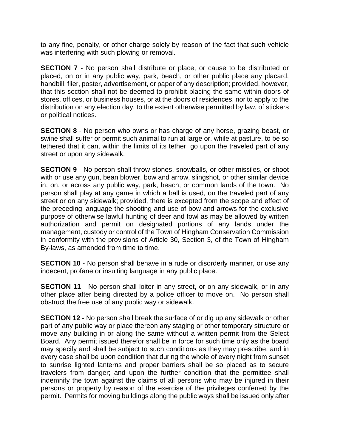to any fine, penalty, or other charge solely by reason of the fact that such vehicle was interfering with such plowing or removal.

**SECTION 7** - No person shall distribute or place, or cause to be distributed or placed, on or in any public way, park, beach, or other public place any placard, handbill, flier, poster, advertisement, or paper of any description; provided, however, that this section shall not be deemed to prohibit placing the same within doors of stores, offices, or business houses, or at the doors of residences, nor to apply to the distribution on any election day, to the extent otherwise permitted by law, of stickers or political notices.

**SECTION 8** - No person who owns or has charge of any horse, grazing beast, or swine shall suffer or permit such animal to run at large or, while at pasture, to be so tethered that it can, within the limits of its tether, go upon the traveled part of any street or upon any sidewalk.

**SECTION 9** - No person shall throw stones, snowballs, or other missiles, or shoot with or use any gun, bean blower, bow and arrow, slingshot, or other similar device in, on, or across any public way, park, beach, or common lands of the town. No person shall play at any game in which a ball is used, on the traveled part of any street or on any sidewalk; provided, there is excepted from the scope and effect of the preceding language the shooting and use of bow and arrows for the exclusive purpose of otherwise lawful hunting of deer and fowl as may be allowed by written authorization and permit on designated portions of any lands under the management, custody or control of the Town of Hingham Conservation Commission in conformity with the provisions of Article 30, Section 3, of the Town of Hingham By-laws, as amended from time to time.

**SECTION 10** - No person shall behave in a rude or disorderly manner, or use any indecent, profane or insulting language in any public place.

**SECTION 11** - No person shall loiter in any street, or on any sidewalk, or in any other place after being directed by a police officer to move on. No person shall obstruct the free use of any public way or sidewalk.

**SECTION 12** - No person shall break the surface of or dig up any sidewalk or other part of any public way or place thereon any staging or other temporary structure or move any building in or along the same without a written permit from the Select Board. Any permit issued therefor shall be in force for such time only as the board may specify and shall be subject to such conditions as they may prescribe, and in every case shall be upon condition that during the whole of every night from sunset to sunrise lighted lanterns and proper barriers shall be so placed as to secure travelers from danger; and upon the further condition that the permittee shall indemnify the town against the claims of all persons who may be injured in their persons or property by reason of the exercise of the privileges conferred by the permit. Permits for moving buildings along the public ways shall be issued only after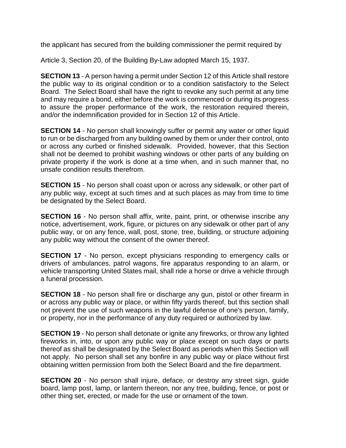the applicant has secured from the building commissioner the permit required by

Article 3, Section 20, of the Building By-Law adopted March 15, 1937.

**SECTION 13** - A person having a permit under Section 12 of this Article shall restore the public way to its original condition or to a condition satisfactory to the Select Board. The Select Board shall have the right to revoke any such permit at any time and may require a bond, either before the work is commenced or during its progress to assure the proper performance of the work, the restoration required therein, and/or the indemnification provided for in Section 12 of this Article.

**SECTION 14** - No person shall knowingly suffer or permit any water or other liquid to run or be discharged from any building owned by them or under their control, onto or across any curbed or finished sidewalk. Provided, however, that this Section shall not be deemed to prohibit washing windows or other parts of any building on private property if the work is done at a time when, and in such manner that, no unsafe condition results therefrom.

**SECTION 15** - No person shall coast upon or across any sidewalk, or other part of any public way, except at such times and at such places as may from time to time be designated by the Select Board.

**SECTION 16** - No person shall affix, write, paint, print, or otherwise inscribe any notice, advertisement, work, figure, or pictures on any sidewalk or other part of any public way, or on any fence, wall, post, stone, tree, building, or structure adjoining any public way without the consent of the owner thereof.

**SECTION 17** - No person, except physicians responding to emergency calls or drivers of ambulances, patrol wagons, fire apparatus responding to an alarm, or vehicle transporting United States mail, shall ride a horse or drive a vehicle through a funeral procession.

**SECTION 18** - No person shall fire or discharge any gun, pistol or other firearm in or across any public way or place, or within fifty yards thereof, but this section shall not prevent the use of such weapons in the lawful defense of one's person, family, or property, nor in the performance of any duty required or authorized by law.

**SECTION 19** - No person shall detonate or ignite any fireworks, or throw any lighted fireworks in, into, or upon any public way or place except on such days or parts thereof as shall be designated by the Select Board as periods when this Section will not apply. No person shall set any bonfire in any public way or place without first obtaining written permission from both the Select Board and the fire department.

**SECTION 20** - No person shall injure, deface, or destroy any street sign, quide board, lamp post, lamp, or lantern thereon, nor any tree, building, fence, or post or other thing set, erected, or made for the use or ornament of the town.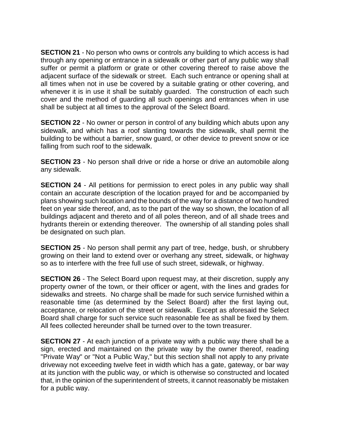**SECTION 21** - No person who owns or controls any building to which access is had through any opening or entrance in a sidewalk or other part of any public way shall suffer or permit a platform or grate or other covering thereof to raise above the adjacent surface of the sidewalk or street. Each such entrance or opening shall at all times when not in use be covered by a suitable grating or other covering, and whenever it is in use it shall be suitably guarded. The construction of each such cover and the method of guarding all such openings and entrances when in use shall be subject at all times to the approval of the Select Board.

**SECTION 22** - No owner or person in control of any building which abuts upon any sidewalk, and which has a roof slanting towards the sidewalk, shall permit the building to be without a barrier, snow guard, or other device to prevent snow or ice falling from such roof to the sidewalk.

**SECTION 23** - No person shall drive or ride a horse or drive an automobile along any sidewalk.

**SECTION 24** - All petitions for permission to erect poles in any public way shall contain an accurate description of the location prayed for and be accompanied by plans showing such location and the bounds of the way for a distance of two hundred feet on year side thereof, and, as to the part of the way so shown, the location of all buildings adjacent and thereto and of all poles thereon, and of all shade trees and hydrants therein or extending thereover. The ownership of all standing poles shall be designated on such plan.

**SECTION 25** - No person shall permit any part of tree, hedge, bush, or shrubbery growing on their land to extend over or overhang any street, sidewalk, or highway so as to interfere with the free full use of such street, sidewalk, or highway.

**SECTION 26** - The Select Board upon request may, at their discretion, supply any property owner of the town, or their officer or agent, with the lines and grades for sidewalks and streets. No charge shall be made for such service furnished within a reasonable time (as determined by the Select Board) after the first laying out, acceptance, or relocation of the street or sidewalk. Except as aforesaid the Select Board shall charge for such service such reasonable fee as shall be fixed by them. All fees collected hereunder shall be turned over to the town treasurer.

**SECTION 27** - At each junction of a private way with a public way there shall be a sign, erected and maintained on the private way by the owner thereof, reading "Private Way" or "Not a Public Way," but this section shall not apply to any private driveway not exceeding twelve feet in width which has a gate, gateway, or bar way at its junction with the public way, or which is otherwise so constructed and located that, in the opinion of the superintendent of streets, it cannot reasonably be mistaken for a public way.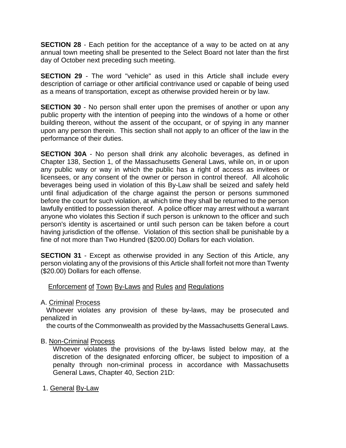**SECTION 28** - Each petition for the acceptance of a way to be acted on at any annual town meeting shall be presented to the Select Board not later than the first day of October next preceding such meeting.

**SECTION 29** - The word "vehicle" as used in this Article shall include every description of carriage or other artificial contrivance used or capable of being used as a means of transportation, except as otherwise provided herein or by law.

**SECTION 30** - No person shall enter upon the premises of another or upon any public property with the intention of peeping into the windows of a home or other building thereon, without the assent of the occupant, or of spying in any manner upon any person therein. This section shall not apply to an officer of the law in the performance of their duties.

**SECTION 30A** - No person shall drink any alcoholic beverages, as defined in Chapter 138, Section 1, of the Massachusetts General Laws, while on, in or upon any public way or way in which the public has a right of access as invitees or licensees, or any consent of the owner or person in control thereof. All alcoholic beverages being used in violation of this By-Law shall be seized and safely held until final adjudication of the charge against the person or persons summoned before the court for such violation, at which time they shall be returned to the person lawfully entitled to possession thereof. A police officer may arrest without a warrant anyone who violates this Section if such person is unknown to the officer and such person's identity is ascertained or until such person can be taken before a court having jurisdiction of the offense. Violation of this section shall be punishable by a fine of not more than Two Hundred (\$200.00) Dollars for each violation.

**SECTION 31** - Except as otherwise provided in any Section of this Article, any person violating any of the provisions of this Article shall forfeit not more than Twenty (\$20.00) Dollars for each offense.

Enforcement of Town By-Laws and Rules and Regulations

#### A. Criminal Process

 Whoever violates any provision of these by-laws, may be prosecuted and penalized in

the courts of the Commonwealth as provided by the Massachusetts General Laws.

#### B. Non-Criminal Process

Whoever violates the provisions of the by-laws listed below may, at the discretion of the designated enforcing officer, be subject to imposition of a penalty through non-criminal process in accordance with Massachusetts General Laws, Chapter 40, Section 21D:

#### 1. General By-Law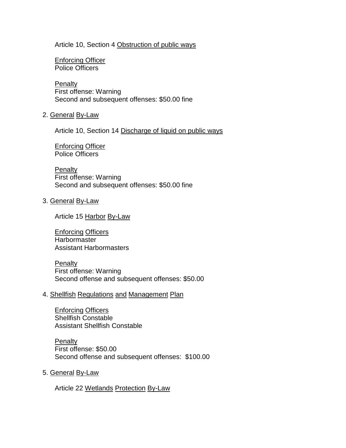#### Article 10, Section 4 Obstruction of public ways

Enforcing Officer Police Officers

**Penalty** First offense: Warning Second and subsequent offenses: \$50.00 fine

#### 2. General By-Law

Article 10, Section 14 Discharge of liquid on public ways

Enforcing Officer Police Officers

**Penalty** First offense: Warning Second and subsequent offenses: \$50.00 fine

#### 3. General By-Law

Article 15 Harbor By-Law

Enforcing Officers **Harbormaster** Assistant Harbormasters

**Penalty** First offense: Warning Second offense and subsequent offenses: \$50.00

#### 4. Shellfish Regulations and Management Plan

Enforcing Officers Shellfish Constable Assistant Shellfish Constable

**Penalty** First offense: \$50.00 Second offense and subsequent offenses: \$100.00

5. General By-Law

Article 22 Wetlands Protection By-Law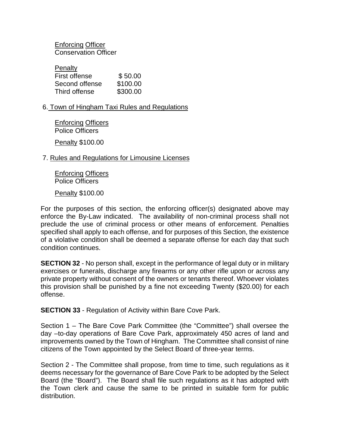Enforcing Officer Conservation Officer

| Penalty        |          |
|----------------|----------|
| First offense  | \$50.00  |
| Second offense | \$100.00 |
| Third offense  | \$300.00 |
|                |          |

6. Town of Hingham Taxi Rules and Regulations

Enforcing Officers Police Officers

Penalty \$100.00

#### 7. Rules and Regulations for Limousine Licenses

Enforcing Officers Police Officers

Penalty \$100.00

For the purposes of this section, the enforcing officer(s) designated above may enforce the By-Law indicated. The availability of non-criminal process shall not preclude the use of criminal process or other means of enforcement. Penalties specified shall apply to each offense, and for purposes of this Section, the existence of a violative condition shall be deemed a separate offense for each day that such condition continues.

**SECTION 32** - No person shall, except in the performance of legal duty or in military exercises or funerals, discharge any firearms or any other rifle upon or across any private property without consent of the owners or tenants thereof. Whoever violates this provision shall be punished by a fine not exceeding Twenty (\$20.00) for each offense.

**SECTION 33** - Regulation of Activity within Bare Cove Park.

Section 1 – The Bare Cove Park Committee (the "Committee") shall oversee the day –to-day operations of Bare Cove Park, approximately 450 acres of land and improvements owned by the Town of Hingham. The Committee shall consist of nine citizens of the Town appointed by the Select Board of three-year terms.

Section 2 - The Committee shall propose, from time to time, such regulations as it deems necessary for the governance of Bare Cove Park to be adopted by the Select Board (the "Board"). The Board shall file such regulations as it has adopted with the Town clerk and cause the same to be printed in suitable form for public distribution.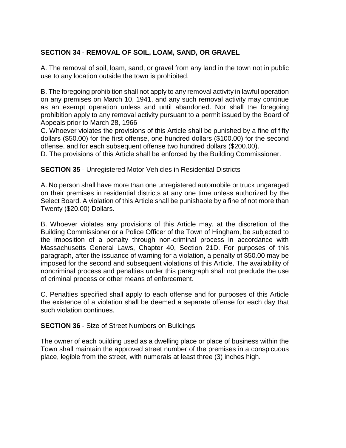# **SECTION 34** - **REMOVAL OF SOIL, LOAM, SAND, OR GRAVEL**

A. The removal of soil, loam, sand, or gravel from any land in the town not in public use to any location outside the town is prohibited.

B. The foregoing prohibition shall not apply to any removal activity in lawful operation on any premises on March 10, 1941, and any such removal activity may continue as an exempt operation unless and until abandoned. Nor shall the foregoing prohibition apply to any removal activity pursuant to a permit issued by the Board of Appeals prior to March 28, 1966

C. Whoever violates the provisions of this Article shall be punished by a fine of fifty dollars (\$50.00) for the first offense, one hundred dollars (\$100.00) for the second offense, and for each subsequent offense two hundred dollars (\$200.00).

D. The provisions of this Article shall be enforced by the Building Commissioner.

**SECTION 35** - Unregistered Motor Vehicles in Residential Districts

A. No person shall have more than one unregistered automobile or truck ungaraged on their premises in residential districts at any one time unless authorized by the Select Board. A violation of this Article shall be punishable by a fine of not more than Twenty (\$20.00) Dollars.

B. Whoever violates any provisions of this Article may, at the discretion of the Building Commissioner or a Police Officer of the Town of Hingham, be subjected to the imposition of a penalty through non-criminal process in accordance with Massachusetts General Laws, Chapter 40, Section 21D. For purposes of this paragraph, after the issuance of warning for a violation, a penalty of \$50.00 may be imposed for the second and subsequent violations of this Article. The availability of noncriminal process and penalties under this paragraph shall not preclude the use of criminal process or other means of enforcement.

C. Penalties specified shall apply to each offense and for purposes of this Article the existence of a violation shall be deemed a separate offense for each day that such violation continues.

#### **SECTION 36** - Size of Street Numbers on Buildings

The owner of each building used as a dwelling place or place of business within the Town shall maintain the approved street number of the premises in a conspicuous place, legible from the street, with numerals at least three (3) inches high.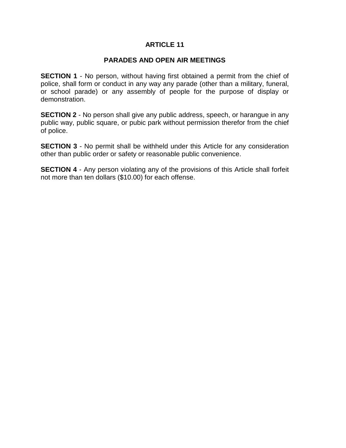### **PARADES AND OPEN AIR MEETINGS**

**SECTION 1** - No person, without having first obtained a permit from the chief of police, shall form or conduct in any way any parade (other than a military, funeral, or school parade) or any assembly of people for the purpose of display or demonstration.

**SECTION 2** - No person shall give any public address, speech, or harangue in any public way, public square, or pubic park without permission therefor from the chief of police.

**SECTION 3** - No permit shall be withheld under this Article for any consideration other than public order or safety or reasonable public convenience.

**SECTION 4** - Any person violating any of the provisions of this Article shall forfeit not more than ten dollars (\$10.00) for each offense.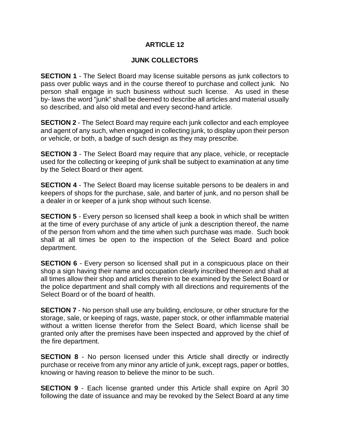## **JUNK COLLECTORS**

**SECTION 1** - The Select Board may license suitable persons as junk collectors to pass over public ways and in the course thereof to purchase and collect junk. No person shall engage in such business without such license. As used in these by- laws the word "junk" shall be deemed to describe all articles and material usually so described, and also old metal and every second-hand article.

**SECTION 2** - The Select Board may require each junk collector and each employee and agent of any such, when engaged in collecting junk, to display upon their person or vehicle, or both, a badge of such design as they may prescribe.

**SECTION 3** - The Select Board may require that any place, vehicle, or receptacle used for the collecting or keeping of junk shall be subject to examination at any time by the Select Board or their agent.

**SECTION 4** - The Select Board may license suitable persons to be dealers in and keepers of shops for the purchase, sale, and barter of junk, and no person shall be a dealer in or keeper of a junk shop without such license.

**SECTION 5** - Every person so licensed shall keep a book in which shall be written at the time of every purchase of any article of junk a description thereof, the name of the person from whom and the time when such purchase was made. Such book shall at all times be open to the inspection of the Select Board and police department.

**SECTION 6** - Every person so licensed shall put in a conspicuous place on their shop a sign having their name and occupation clearly inscribed thereon and shall at all times allow their shop and articles therein to be examined by the Select Board or the police department and shall comply with all directions and requirements of the Select Board or of the board of health.

**SECTION 7** - No person shall use any building, enclosure, or other structure for the storage, sale, or keeping of rags, waste, paper stock, or other inflammable material without a written license therefor from the Select Board, which license shall be granted only after the premises have been inspected and approved by the chief of the fire department.

**SECTION 8** - No person licensed under this Article shall directly or indirectly purchase or receive from any minor any article of junk, except rags, paper or bottles, knowing or having reason to believe the minor to be such.

**SECTION 9** - Each license granted under this Article shall expire on April 30 following the date of issuance and may be revoked by the Select Board at any time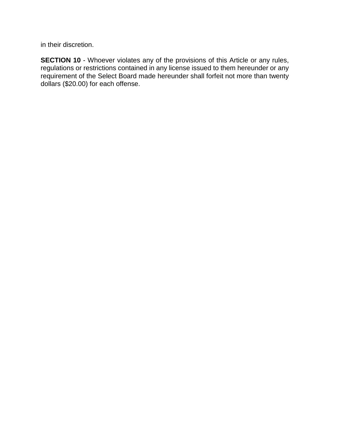in their discretion.

**SECTION 10** - Whoever violates any of the provisions of this Article or any rules, regulations or restrictions contained in any license issued to them hereunder or any requirement of the Select Board made hereunder shall forfeit not more than twenty dollars (\$20.00) for each offense.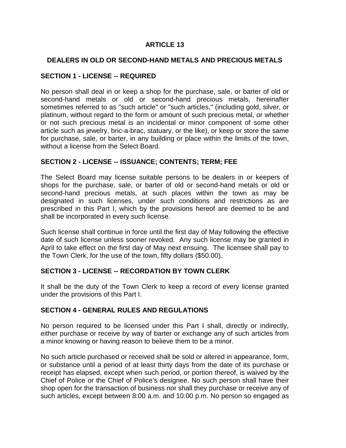## **DEALERS IN OLD OR SECOND-HAND METALS AND PRECIOUS METALS**

### **SECTION 1 - LICENSE -- REQUIRED**

No person shall deal in or keep a shop for the purchase, sale, or barter of old or second-hand metals or old or second-hand precious metals, hereinafter sometimes referred to as "such article" or "such articles," (including gold, silver, or platinum, without regard to the form or amount of such precious metal, or whether or not such precious metal is an incidental or minor component of some other article such as jewelry, bric-a-brac, statuary, or the like), or keep or store the same for purchase, sale, or barter, in any building or place within the limits of the town, without a license from the Select Board.

### **SECTION 2 - LICENSE -- ISSUANCE; CONTENTS; TERM; FEE**

The Select Board may license suitable persons to be dealers in or keepers of shops for the purchase, sale, or barter of old or second-hand metals or old or second-hand precious metals, at such places within the town as may be designated in such licenses, under such conditions and restrictions as are prescribed in this Part I, which by the provisions hereof are deemed to be and shall be incorporated in every such license.

Such license shall continue in force until the first day of May following the effective date of such license unless sooner revoked. Any such license may be granted in April to take effect on the first day of May next ensuing. The licensee shall pay to the Town Clerk, for the use of the town, fifty dollars (\$50.00).

### **SECTION 3 - LICENSE -- RECORDATION BY TOWN CLERK**

It shall be the duty of the Town Clerk to keep a record of every license granted under the provisions of this Part I.

### **SECTION 4 - GENERAL RULES AND REGULATIONS**

No person required to be licensed under this Part I shall, directly or indirectly, either purchase or receive by way of barter or exchange any of such articles from a minor knowing or having reason to believe them to be a minor.

No such article purchased or received shall be sold or altered in appearance, form, or substance until a period of at least thirty days from the date of its purchase or receipt has elapsed, except when such period, or portion thereof, is waived by the Chief of Police or the Chief of Police's designee. No such person shall have their shop open for the transaction of business nor shall they purchase or receive any of such articles, except between 8:00 a.m. and 10:00 p.m. No person so engaged as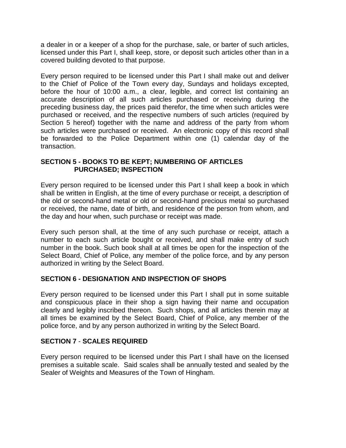a dealer in or a keeper of a shop for the purchase, sale, or barter of such articles, licensed under this Part I, shall keep, store, or deposit such articles other than in a covered building devoted to that purpose.

Every person required to be licensed under this Part I shall make out and deliver to the Chief of Police of the Town every day, Sundays and holidays excepted, before the hour of 10:00 a.m., a clear, legible, and correct list containing an accurate description of all such articles purchased or receiving during the preceding business day, the prices paid therefor, the time when such articles were purchased or received, and the respective numbers of such articles (required by Section 5 hereof) together with the name and address of the party from whom such articles were purchased or received. An electronic copy of this record shall be forwarded to the Police Department within one (1) calendar day of the transaction.

## **SECTION 5 - BOOKS TO BE KEPT; NUMBERING OF ARTICLES PURCHASED; INSPECTION**

Every person required to be licensed under this Part I shall keep a book in which shall be written in English, at the time of every purchase or receipt, a description of the old or second-hand metal or old or second-hand precious metal so purchased or received, the name, date of birth, and residence of the person from whom, and the day and hour when, such purchase or receipt was made.

Every such person shall, at the time of any such purchase or receipt, attach a number to each such article bought or received, and shall make entry of such number in the book. Such book shall at all times be open for the inspection of the Select Board, Chief of Police, any member of the police force, and by any person authorized in writing by the Select Board.

# **SECTION 6 - DESIGNATION AND INSPECTION OF SHOPS**

Every person required to be licensed under this Part I shall put in some suitable and conspicuous place in their shop a sign having their name and occupation clearly and legibly inscribed thereon. Such shops, and all articles therein may at all times be examined by the Select Board, Chief of Police, any member of the police force, and by any person authorized in writing by the Select Board.

### **SECTION 7** - **SCALES REQUIRED**

Every person required to be licensed under this Part I shall have on the licensed premises a suitable scale. Said scales shall be annually tested and sealed by the Sealer of Weights and Measures of the Town of Hingham.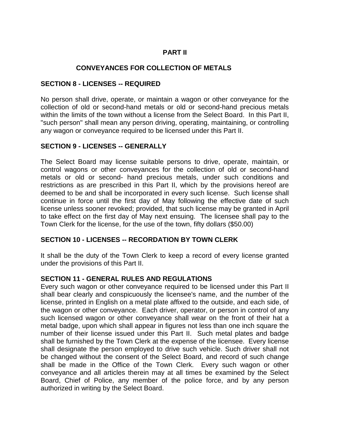# **PART II**

## **CONVEYANCES FOR COLLECTION OF METALS**

### **SECTION 8 - LICENSES -- REQUIRED**

No person shall drive, operate, or maintain a wagon or other conveyance for the collection of old or second-hand metals or old or second-hand precious metals within the limits of the town without a license from the Select Board. In this Part II, "such person" shall mean any person driving, operating, maintaining, or controlling any wagon or conveyance required to be licensed under this Part II.

### **SECTION 9 - LICENSES -- GENERALLY**

The Select Board may license suitable persons to drive, operate, maintain, or control wagons or other conveyances for the collection of old or second-hand metals or old or second- hand precious metals, under such conditions and restrictions as are prescribed in this Part II, which by the provisions hereof are deemed to be and shall be incorporated in every such license. Such license shall continue in force until the first day of May following the effective date of such license unless sooner revoked; provided, that such license may be granted in April to take effect on the first day of May next ensuing. The licensee shall pay to the Town Clerk for the license, for the use of the town, fifty dollars (\$50.00)

### **SECTION 10 - LICENSES -- RECORDATION BY TOWN CLERK**

It shall be the duty of the Town Clerk to keep a record of every license granted under the provisions of this Part II.

#### **SECTION 11 - GENERAL RULES AND REGULATIONS**

Every such wagon or other conveyance required to be licensed under this Part II shall bear clearly and conspicuously the licensee's name, and the number of the license, printed in English on a metal plate affixed to the outside, and each side, of the wagon or other conveyance. Each driver, operator, or person in control of any such licensed wagon or other conveyance shall wear on the front of their hat a metal badge, upon which shall appear in figures not less than one inch square the number of their license issued under this Part II. Such metal plates and badge shall be furnished by the Town Clerk at the expense of the licensee. Every license shall designate the person employed to drive such vehicle. Such driver shall not be changed without the consent of the Select Board, and record of such change shall be made in the Office of the Town Clerk. Every such wagon or other conveyance and all articles therein may at all times be examined by the Select Board, Chief of Police, any member of the police force, and by any person authorized in writing by the Select Board.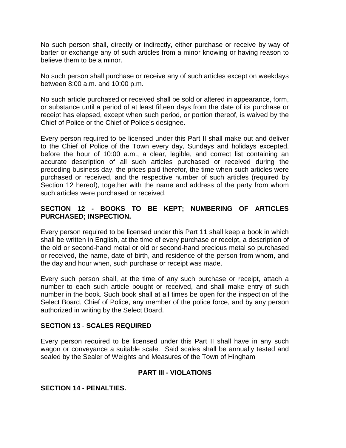No such person shall, directly or indirectly, either purchase or receive by way of barter or exchange any of such articles from a minor knowing or having reason to believe them to be a minor.

No such person shall purchase or receive any of such articles except on weekdays between 8:00 a.m. and 10:00 p.m.

No such article purchased or received shall be sold or altered in appearance, form, or substance until a period of at least fifteen days from the date of its purchase or receipt has elapsed, except when such period, or portion thereof, is waived by the Chief of Police or the Chief of Police's designee.

Every person required to be licensed under this Part II shall make out and deliver to the Chief of Police of the Town every day, Sundays and holidays excepted, before the hour of 10:00 a.m., a clear, legible, and correct list containing an accurate description of all such articles purchased or received during the preceding business day, the prices paid therefor, the time when such articles were purchased or received, and the respective number of such articles (required by Section 12 hereof), together with the name and address of the party from whom such articles were purchased or received.

# **SECTION 12 - BOOKS TO BE KEPT; NUMBERING OF ARTICLES PURCHASED; INSPECTION.**

Every person required to be licensed under this Part 11 shall keep a book in which shall be written in English, at the time of every purchase or receipt, a description of the old or second-hand metal or old or second-hand precious metal so purchased or received, the name, date of birth, and residence of the person from whom, and the day and hour when, such purchase or receipt was made.

Every such person shall, at the time of any such purchase or receipt, attach a number to each such article bought or received, and shall make entry of such number in the book. Such book shall at all times be open for the inspection of the Select Board, Chief of Police, any member of the police force, and by any person authorized in writing by the Select Board.

### **SECTION 13** - **SCALES REQUIRED**

Every person required to be licensed under this Part II shall have in any such wagon or conveyance a suitable scale. Said scales shall be annually tested and sealed by the Sealer of Weights and Measures of the Town of Hingham

### **PART III - VIOLATIONS**

**SECTION 14** - **PENALTIES.**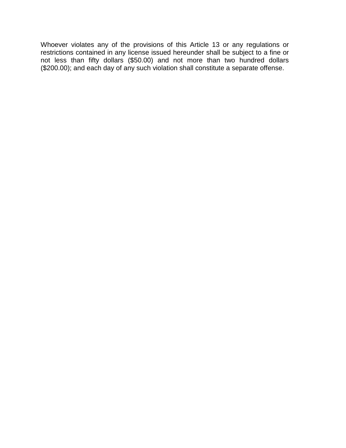Whoever violates any of the provisions of this Article 13 or any regulations or restrictions contained in any license issued hereunder shall be subject to a fine or not less than fifty dollars (\$50.00) and not more than two hundred dollars (\$200.00); and each day of any such violation shall constitute a separate offense.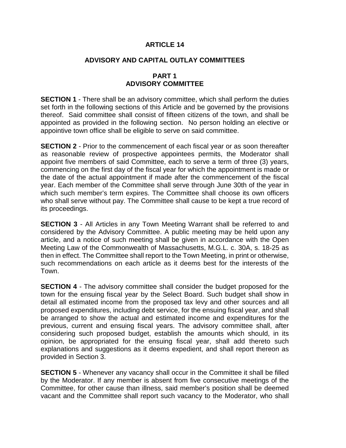## **ADVISORY AND CAPITAL OUTLAY COMMITTEES**

# **PART 1 ADVISORY COMMITTEE**

**SECTION 1** - There shall be an advisory committee, which shall perform the duties set forth in the following sections of this Article and be governed by the provisions thereof. Said committee shall consist of fifteen citizens of the town, and shall be appointed as provided in the following section. No person holding an elective or appointive town office shall be eligible to serve on said committee.

**SECTION 2** - Prior to the commencement of each fiscal year or as soon thereafter as reasonable review of prospective appointees permits, the Moderator shall appoint five members of said Committee, each to serve a term of three (3) years, commencing on the first day of the fiscal year for which the appointment is made or the date of the actual appointment if made after the commencement of the fiscal year. Each member of the Committee shall serve through June 30th of the year in which such member's term expires. The Committee shall choose its own officers who shall serve without pay. The Committee shall cause to be kept a true record of its proceedings.

**SECTION 3** - All Articles in any Town Meeting Warrant shall be referred to and considered by the Advisory Committee. A public meeting may be held upon any article, and a notice of such meeting shall be given in accordance with the Open Meeting Law of the Commonwealth of Massachusetts, M.G.L. c. 30A, s. 18-25 as then in effect. The Committee shall report to the Town Meeting, in print or otherwise, such recommendations on each article as it deems best for the interests of the Town.

**SECTION 4** - The advisory committee shall consider the budget proposed for the town for the ensuing fiscal year by the Select Board. Such budget shall show in detail all estimated income from the proposed tax levy and other sources and all proposed expenditures, including debt service, for the ensuing fiscal year, and shall be arranged to show the actual and estimated income and expenditures for the previous, current and ensuing fiscal years. The advisory committee shall, after considering such proposed budget, establish the amounts which should, in its opinion, be appropriated for the ensuing fiscal year, shall add thereto such explanations and suggestions as it deems expedient, and shall report thereon as provided in Section 3.

**SECTION 5** - Whenever any vacancy shall occur in the Committee it shall be filled by the Moderator. If any member is absent from five consecutive meetings of the Committee, for other cause than illness, said member's position shall be deemed vacant and the Committee shall report such vacancy to the Moderator, who shall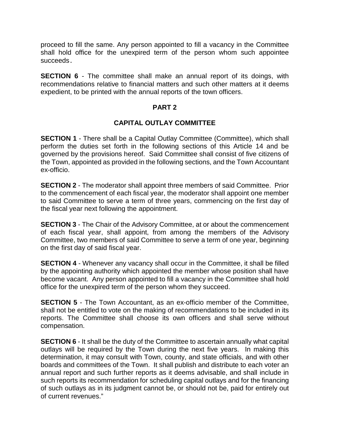proceed to fill the same. Any person appointed to fill a vacancy in the Committee shall hold office for the unexpired term of the person whom such appointee succeeds**.**

**SECTION 6** - The committee shall make an annual report of its doings, with recommendations relative to financial matters and such other matters at it deems expedient, to be printed with the annual reports of the town officers.

### **PART 2**

### **CAPITAL OUTLAY COMMITTEE**

**SECTION 1** - There shall be a Capital Outlay Committee (Committee), which shall perform the duties set forth in the following sections of this Article 14 and be governed by the provisions hereof. Said Committee shall consist of five citizens of the Town, appointed as provided in the following sections, and the Town Accountant ex-officio.

**SECTION 2** - The moderator shall appoint three members of said Committee. Prior to the commencement of each fiscal year, the moderator shall appoint one member to said Committee to serve a term of three years, commencing on the first day of the fiscal year next following the appointment.

**SECTION 3** - The Chair of the Advisory Committee, at or about the commencement of each fiscal year, shall appoint, from among the members of the Advisory Committee, two members of said Committee to serve a term of one year, beginning on the first day of said fiscal year.

**SECTION 4** - Whenever any vacancy shall occur in the Committee, it shall be filled by the appointing authority which appointed the member whose position shall have become vacant. Any person appointed to fill a vacancy in the Committee shall hold office for the unexpired term of the person whom they succeed.

**SECTION 5** - The Town Accountant, as an ex-officio member of the Committee, shall not be entitled to vote on the making of recommendations to be included in its reports. The Committee shall choose its own officers and shall serve without compensation.

**SECTION 6** - It shall be the duty of the Committee to ascertain annually what capital outlays will be required by the Town during the next five years. In making this determination, it may consult with Town, county, and state officials, and with other boards and committees of the Town. It shall publish and distribute to each voter an annual report and such further reports as it deems advisable, and shall include in such reports its recommendation for scheduling capital outlays and for the financing of such outlays as in its judgment cannot be, or should not be, paid for entirely out of current revenues."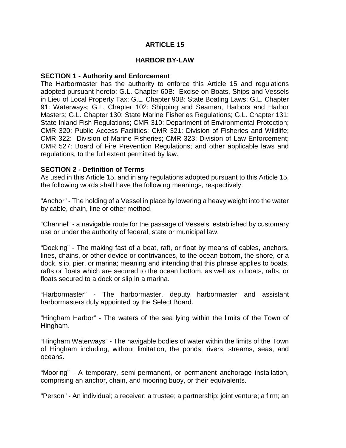### **HARBOR BY-LAW**

### **SECTION 1 - Authority and Enforcement**

The Harbormaster has the authority to enforce this Article 15 and regulations adopted pursuant hereto; G.L. Chapter 60B: Excise on Boats, Ships and Vessels in Lieu of Local Property Tax; G.L. Chapter 90B: State Boating Laws; G.L. Chapter 91: Waterways; G.L. Chapter 102: Shipping and Seamen, Harbors and Harbor Masters; G.L. Chapter 130: State Marine Fisheries Regulations; G.L. Chapter 131: State Inland Fish Regulations; CMR 310: Department of Environmental Protection; CMR 320: Public Access Facilities; CMR 321: Division of Fisheries and Wildlife; CMR 322: Division of Marine Fisheries; CMR 323: Division of Law Enforcement; CMR 527: Board of Fire Prevention Regulations; and other applicable laws and regulations, to the full extent permitted by law.

### **SECTION 2 - Definition of Terms**

As used in this Article 15, and in any regulations adopted pursuant to this Article 15, the following words shall have the following meanings, respectively:

"Anchor" - The holding of a Vessel in place by lowering a heavy weight into the water by cable, chain, line or other method.

"Channel" - a navigable route for the passage of Vessels, established by customary use or under the authority of federal, state or municipal law.

"Docking" - The making fast of a boat, raft, or float by means of cables, anchors, lines, chains, or other device or contrivances, to the ocean bottom, the shore, or a dock, slip, pier, or marina; meaning and intending that this phrase applies to boats, rafts or floats which are secured to the ocean bottom, as well as to boats, rafts, or floats secured to a dock or slip in a marina.

"Harbormaster" - The harbormaster, deputy harbormaster and assistant harbormasters duly appointed by the Select Board.

"Hingham Harbor" - The waters of the sea lying within the limits of the Town of Hingham.

"Hingham Waterways" - The navigable bodies of water within the limits of the Town of Hingham including, without limitation, the ponds, rivers, streams, seas, and oceans.

"Mooring" - A temporary, semi-permanent, or permanent anchorage installation, comprising an anchor, chain, and mooring buoy, or their equivalents.

"Person" - An individual; a receiver; a trustee; a partnership; joint venture; a firm; an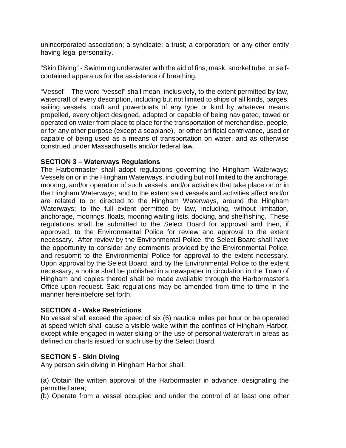unincorporated association; a syndicate; a trust; a corporation; or any other entity having legal personality.

"Skin Diving" - Swimming underwater with the aid of fins, mask, snorkel tube, or selfcontained apparatus for the assistance of breathing.

"Vessel" - The word "vessel" shall mean, inclusively, to the extent permitted by law, watercraft of every description, including but not limited to ships of all kinds, barges, sailing vessels, craft and powerboats of any type or kind by whatever means propelled, every object designed, adapted or capable of being navigated, towed or operated on water from place to place for the transportation of merchandise, people, or for any other purpose (except a seaplane), or other artificial contrivance, used or capable of being used as a means of transportation on water, and as otherwise construed under Massachusetts and/or federal law.

### **SECTION 3 – Waterways Regulations**

The Harbormaster shall adopt regulations governing the Hingham Waterways; Vessels on or in the Hingham Waterways, including but not limited to the anchorage, mooring, and/or operation of such vessels; and/or activities that take place on or in the Hingham Waterways; and to the extent said vessels and activities affect and/or are related to or directed to the Hingham Waterways, around the Hingham Waterways; to the full extent permitted by law, including, without limitation, anchorage, moorings, floats, mooring waiting lists, docking, and shellfishing. These regulations shall be submitted to the Select Board for approval and then, if approved, to the Environmental Police for review and approval to the extent necessary. After review by the Environmental Police, the Select Board shall have the opportunity to consider any comments provided by the Environmental Police, and resubmit to the Environmental Police for approval to the extent necessary. Upon approval by the Select Board, and by the Environmental Police to the extent necessary, a notice shall be published in a newspaper in circulation in the Town of Hingham and copies thereof shall be made available through the Harbormaster's Office upon request. Said regulations may be amended from time to time in the manner hereinbefore set forth.

### **SECTION 4 - Wake Restrictions**

No vessel shall exceed the speed of six (6) nautical miles per hour or be operated at speed which shall cause a visible wake within the confines of Hingham Harbor, except while engaged in water skiing or the use of personal watercraft in areas as defined on charts issued for such use by the Select Board.

### **SECTION 5 - Skin Diving**

Any person skin diving in Hingham Harbor shall:

(a) Obtain the written approval of the Harbormaster in advance, designating the permitted area;

(b) Operate from a vessel occupied and under the control of at least one other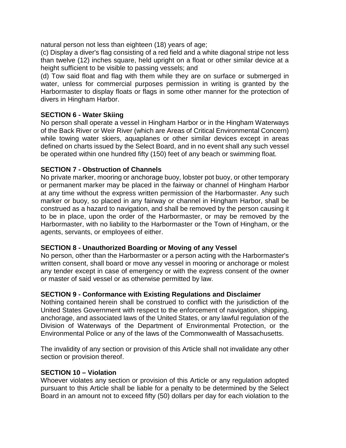natural person not less than eighteen (18) years of age;

(c) Display a diver's flag consisting of a red field and a white diagonal stripe not less than twelve (12) inches square, held upright on a float or other similar device at a height sufficient to be visible to passing vessels; and

(d) Tow said float and flag with them while they are on surface or submerged in water, unless for commercial purposes permission in writing is granted by the Harbormaster to display floats or flags in some other manner for the protection of divers in Hingham Harbor.

## **SECTION 6 - Water Skiing**

No person shall operate a vessel in Hingham Harbor or in the Hingham Waterways of the Back River or Weir River (which are Areas of Critical Environmental Concern) while towing water skiers, aquaplanes or other similar devices except in areas defined on charts issued by the Select Board, and in no event shall any such vessel be operated within one hundred fifty (150) feet of any beach or swimming float.

# **SECTION 7 - Obstruction of Channels**

No private marker, mooring or anchorage buoy, lobster pot buoy, or other temporary or permanent marker may be placed in the fairway or channel of Hingham Harbor at any time without the express written permission of the Harbormaster. Any such marker or buoy, so placed in any fairway or channel in Hingham Harbor, shall be construed as a hazard to navigation, and shall be removed by the person causing it to be in place, upon the order of the Harbormaster, or may be removed by the Harbormaster, with no liability to the Harbormaster or the Town of Hingham, or the agents, servants, or employees of either.

### **SECTION 8 - Unauthorized Boarding or Moving of any Vessel**

No person, other than the Harbormaster or a person acting with the Harbormaster's written consent, shall board or move any vessel in mooring or anchorage or molest any tender except in case of emergency or with the express consent of the owner or master of said vessel or as otherwise permitted by law.

### **SECTION 9 - Conformance with Existing Regulations and Disclaimer**

Nothing contained herein shall be construed to conflict with the jurisdiction of the United States Government with respect to the enforcement of navigation, shipping, anchorage, and associated laws of the United States, or any lawful regulation of the Division of Waterways of the Department of Environmental Protection, or the Environmental Police or any of the laws of the Commonwealth of Massachusetts.

The invalidity of any section or provision of this Article shall not invalidate any other section or provision thereof.

### **SECTION 10 – Violation**

Whoever violates any section or provision of this Article or any regulation adopted pursuant to this Article shall be liable for a penalty to be determined by the Select Board in an amount not to exceed fifty (50) dollars per day for each violation to the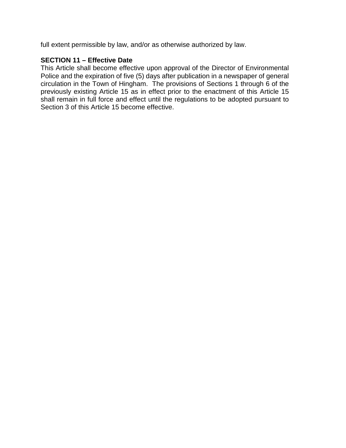full extent permissible by law, and/or as otherwise authorized by law.

# **SECTION 11 – Effective Date**

This Article shall become effective upon approval of the Director of Environmental Police and the expiration of five (5) days after publication in a newspaper of general circulation in the Town of Hingham. The provisions of Sections 1 through 6 of the previously existing Article 15 as in effect prior to the enactment of this Article 15 shall remain in full force and effect until the regulations to be adopted pursuant to Section 3 of this Article 15 become effective.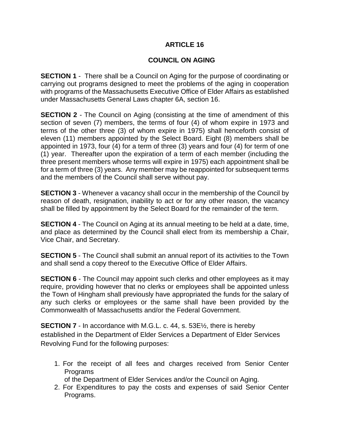## **COUNCIL ON AGING**

**SECTION 1** - There shall be a Council on Aging for the purpose of coordinating or carrying out programs designed to meet the problems of the aging in cooperation with programs of the Massachusetts Executive Office of Elder Affairs as established under Massachusetts General Laws chapter 6A, section 16.

**SECTION 2** - The Council on Aging (consisting at the time of amendment of this section of seven (7) members, the terms of four (4) of whom expire in 1973 and terms of the other three (3) of whom expire in 1975) shall henceforth consist of eleven (11) members appointed by the Select Board. Eight (8) members shall be appointed in 1973, four (4) for a term of three (3) years and four (4) for term of one (1) year. Thereafter upon the expiration of a term of each member (including the three present members whose terms will expire in 1975) each appointment shall be for a term of three (3) years. Any member may be reappointed for subsequent terms and the members of the Council shall serve without pay.

**SECTION 3** - Whenever a vacancy shall occur in the membership of the Council by reason of death, resignation, inability to act or for any other reason, the vacancy shall be filled by appointment by the Select Board for the remainder of the term.

**SECTION 4** - The Council on Aging at its annual meeting to be held at a date, time, and place as determined by the Council shall elect from its membership a Chair, Vice Chair, and Secretary.

**SECTION 5** - The Council shall submit an annual report of its activities to the Town and shall send a copy thereof to the Executive Office of Elder Affairs.

**SECTION 6** - The Council may appoint such clerks and other employees as it may require, providing however that no clerks or employees shall be appointed unless the Town of Hingham shall previously have appropriated the funds for the salary of any such clerks or employees or the same shall have been provided by the Commonwealth of Massachusetts and/or the Federal Government.

**SECTION 7** - In accordance with M.G.L. c. 44, s. 53E<sup>1</sup>/<sub>2</sub>, there is hereby established in the Department of Elder Services a Department of Elder Services Revolving Fund for the following purposes:

- 1. For the receipt of all fees and charges received from Senior Center Programs
	- of the Department of Elder Services and/or the Council on Aging.
- 2. For Expenditures to pay the costs and expenses of said Senior Center Programs.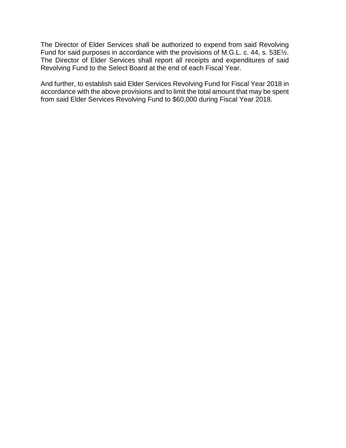The Director of Elder Services shall be authorized to expend from said Revolving Fund for said purposes in accordance with the provisions of M.G.L. c. 44, s. 53E½. The Director of Elder Services shall report all receipts and expenditures of said Revolving Fund to the Select Board at the end of each Fiscal Year.

And further, to establish said Elder Services Revolving Fund for Fiscal Year 2018 in accordance with the above provisions and to limit the total amount that may be spent from said Elder Services Revolving Fund to \$60,000 during Fiscal Year 2018.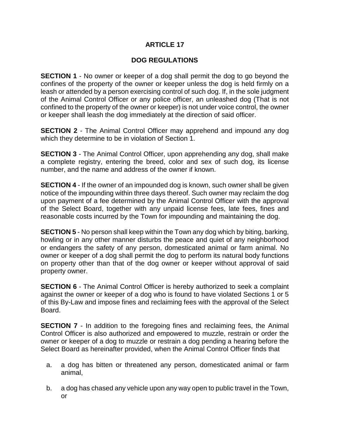# **DOG REGULATIONS**

**SECTION 1** - No owner or keeper of a dog shall permit the dog to go beyond the confines of the property of the owner or keeper unless the dog is held firmly on a leash or attended by a person exercising control of such dog. If, in the sole judgment of the Animal Control Officer or any police officer, an unleashed dog (That is not confined to the property of the owner or keeper) is not under voice control, the owner or keeper shall leash the dog immediately at the direction of said officer.

**SECTION 2** - The Animal Control Officer may apprehend and impound any dog which they determine to be in violation of Section 1.

**SECTION 3** - The Animal Control Officer, upon apprehending any dog, shall make a complete registry, entering the breed, color and sex of such dog, its license number, and the name and address of the owner if known.

**SECTION 4** - If the owner of an impounded dog is known, such owner shall be given notice of the impounding within three days thereof. Such owner may reclaim the dog upon payment of a fee determined by the Animal Control Officer with the approval of the Select Board, together with any unpaid license fees, late fees, fines and reasonable costs incurred by the Town for impounding and maintaining the dog.

**SECTION 5** - No person shall keep within the Town any dog which by biting, barking, howling or in any other manner disturbs the peace and quiet of any neighborhood or endangers the safety of any person, domesticated animal or farm animal. No owner or keeper of a dog shall permit the dog to perform its natural body functions on property other than that of the dog owner or keeper without approval of said property owner.

**SECTION 6** - The Animal Control Officer is hereby authorized to seek a complaint against the owner or keeper of a dog who is found to have violated Sections 1 or 5 of this By-Law and impose fines and reclaiming fees with the approval of the Select Board.

**SECTION 7** - In addition to the foregoing fines and reclaiming fees, the Animal Control Officer is also authorized and empowered to muzzle, restrain or order the owner or keeper of a dog to muzzle or restrain a dog pending a hearing before the Select Board as hereinafter provided, when the Animal Control Officer finds that

- a. a dog has bitten or threatened any person, domesticated animal or farm animal,
- b. a dog has chased any vehicle upon any way open to public travel in the Town, or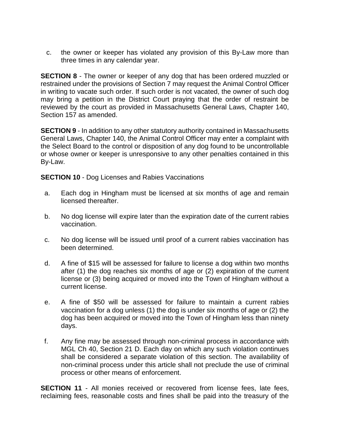c. the owner or keeper has violated any provision of this By-Law more than three times in any calendar year.

**SECTION 8** - The owner or keeper of any dog that has been ordered muzzled or restrained under the provisions of Section 7 may request the Animal Control Officer in writing to vacate such order. If such order is not vacated, the owner of such dog may bring a petition in the District Court praying that the order of restraint be reviewed by the court as provided in Massachusetts General Laws, Chapter 140, Section 157 as amended.

**SECTION 9** - In addition to any other statutory authority contained in Massachusetts General Laws, Chapter 140, the Animal Control Officer may enter a complaint with the Select Board to the control or disposition of any dog found to be uncontrollable or whose owner or keeper is unresponsive to any other penalties contained in this By-Law.

**SECTION 10 - Dog Licenses and Rabies Vaccinations** 

- a. Each dog in Hingham must be licensed at six months of age and remain licensed thereafter.
- b. No dog license will expire later than the expiration date of the current rabies vaccination.
- c. No dog license will be issued until proof of a current rabies vaccination has been determined.
- d. A fine of \$15 will be assessed for failure to license a dog within two months after (1) the dog reaches six months of age or (2) expiration of the current license or (3) being acquired or moved into the Town of Hingham without a current license.
- e. A fine of \$50 will be assessed for failure to maintain a current rabies vaccination for a dog unless (1) the dog is under six months of age or (2) the dog has been acquired or moved into the Town of Hingham less than ninety days.
- f. Any fine may be assessed through non-criminal process in accordance with MGL Ch 40, Section 21 D. Each day on which any such violation continues shall be considered a separate violation of this section. The availability of non-criminal process under this article shall not preclude the use of criminal process or other means of enforcement.

**SECTION 11** - All monies received or recovered from license fees, late fees, reclaiming fees, reasonable costs and fines shall be paid into the treasury of the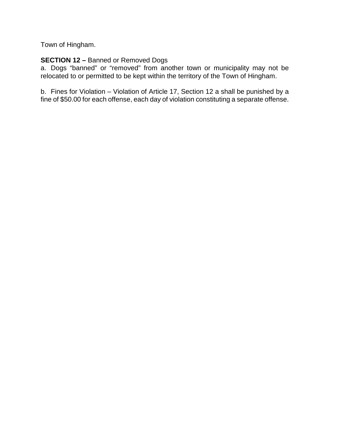Town of Hingham.

# **SECTION 12 –** Banned or Removed Dogs

a. Dogs "banned" or "removed" from another town or municipality may not be relocated to or permitted to be kept within the territory of the Town of Hingham.

b. Fines for Violation – Violation of Article 17, Section 12 a shall be punished by a fine of \$50.00 for each offense, each day of violation constituting a separate offense.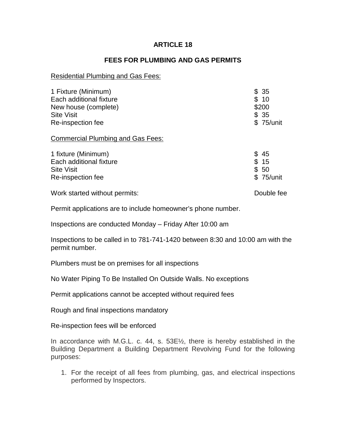### **FEES FOR PLUMBING AND GAS PERMITS**

#### Residential Plumbing and Gas Fees:

| 1 Fixture (Minimum)                      | \$35       |
|------------------------------------------|------------|
| Each additional fixture                  | \$10       |
| New house (complete)                     | \$200      |
| <b>Site Visit</b>                        | \$35       |
| Re-inspection fee                        | \$ 75/unit |
| <b>Commercial Plumbing and Gas Fees:</b> |            |
| 1 fixture (Minimum)                      | \$45       |
| Each additional fixture                  | \$15       |
| <b>Site Visit</b>                        | \$50       |
| Re-inspection fee                        | \$75/unit  |
| Work started without permits:            | Double fee |

Permit applications are to include homeowner's phone number.

Inspections are conducted Monday – Friday After 10:00 am

Inspections to be called in to 781-741-1420 between 8:30 and 10:00 am with the permit number.

Plumbers must be on premises for all inspections

No Water Piping To Be Installed On Outside Walls. No exceptions

Permit applications cannot be accepted without required fees

Rough and final inspections mandatory

Re-inspection fees will be enforced

In accordance with M.G.L. c. 44, s. 53E½, there is hereby established in the Building Department a Building Department Revolving Fund for the following purposes:

1. For the receipt of all fees from plumbing, gas, and electrical inspections performed by Inspectors.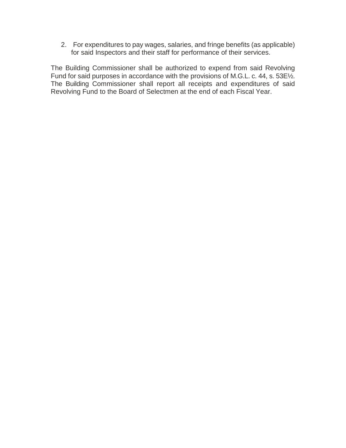2. For expenditures to pay wages, salaries, and fringe benefits (as applicable) for said Inspectors and their staff for performance of their services.

The Building Commissioner shall be authorized to expend from said Revolving Fund for said purposes in accordance with the provisions of M.G.L. c. 44, s. 53E<sup>1</sup>/<sub>2</sub>. The Building Commissioner shall report all receipts and expenditures of said Revolving Fund to the Board of Selectmen at the end of each Fiscal Year.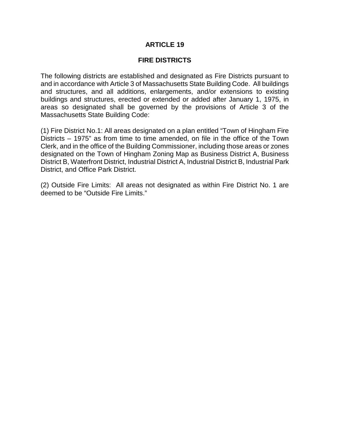### **FIRE DISTRICTS**

The following districts are established and designated as Fire Districts pursuant to and in accordance with Article 3 of Massachusetts State Building Code. All buildings and structures, and all additions, enlargements, and/or extensions to existing buildings and structures, erected or extended or added after January 1, 1975, in areas so designated shall be governed by the provisions of Article 3 of the Massachusetts State Building Code:

(1) Fire District No.1: All areas designated on a plan entitled "Town of Hingham Fire Districts – 1975" as from time to time amended, on file in the office of the Town Clerk, and in the office of the Building Commissioner, including those areas or zones designated on the Town of Hingham Zoning Map as Business District A, Business District B, Waterfront District, Industrial District A, Industrial District B, Industrial Park District, and Office Park District.

(2) Outside Fire Limits: All areas not designated as within Fire District No. 1 are deemed to be "Outside Fire Limits."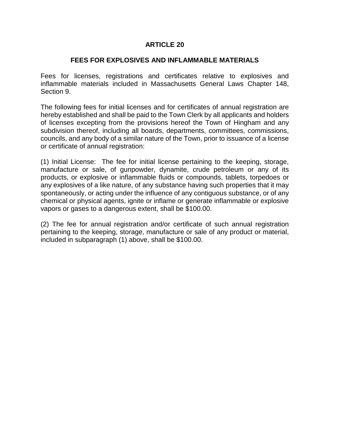### **FEES FOR EXPLOSIVES AND INFLAMMABLE MATERIALS**

Fees for licenses, registrations and certificates relative to explosives and inflammable materials included in Massachusetts General Laws Chapter 148, Section 9.

The following fees for initial licenses and for certificates of annual registration are hereby established and shall be paid to the Town Clerk by all applicants and holders of licenses excepting from the provisions hereof the Town of Hingham and any subdivision thereof, including all boards, departments, committees, commissions, councils, and any body of a similar nature of the Town, prior to issuance of a license or certificate of annual registration:

(1) Initial License: The fee for initial license pertaining to the keeping, storage, manufacture or sale, of gunpowder, dynamite, crude petroleum or any of its products, or explosive or inflammable fluids or compounds, tablets, torpedoes or any explosives of a like nature, of any substance having such properties that it may spontaneously, or acting under the influence of any contiguous substance, or of any chemical or physical agents, ignite or inflame or generate inflammable or explosive vapors or gases to a dangerous extent, shall be \$100.00.

(2) The fee for annual registration and/or certificate of such annual registration pertaining to the keeping, storage, manufacture or sale of any product or material, included in subparagraph (1) above, shall be \$100.00.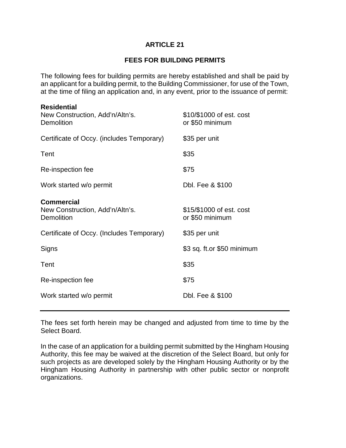# **FEES FOR BUILDING PERMITS**

The following fees for building permits are hereby established and shall be paid by an applicant for a building permit, to the Building Commissioner, for use of the Town, at the time of filing an application and, in any event, prior to the issuance of permit:

| <b>Residential</b><br>New Construction, Add'n/Altn's.<br>Demolition | \$10/\$1000 of est. cost<br>or \$50 minimum |
|---------------------------------------------------------------------|---------------------------------------------|
| Certificate of Occy. (includes Temporary)                           | \$35 per unit                               |
| Tent                                                                | \$35                                        |
| Re-inspection fee                                                   | \$75                                        |
| Work started w/o permit                                             | Dbl. Fee & \$100                            |
| <b>Commercial</b><br>New Construction, Add'n/Altn's.<br>Demolition  | \$15/\$1000 of est. cost<br>or \$50 minimum |
| Certificate of Occy. (Includes Temporary)                           | \$35 per unit                               |
| Signs                                                               | \$3 sq. ft.or \$50 minimum                  |
| Tent                                                                | \$35                                        |
| Re-inspection fee                                                   | \$75                                        |
| Work started w/o permit                                             | Dbl. Fee & \$100                            |

The fees set forth herein may be changed and adjusted from time to time by the Select Board.

In the case of an application for a building permit submitted by the Hingham Housing Authority, this fee may be waived at the discretion of the Select Board, but only for such projects as are developed solely by the Hingham Housing Authority or by the Hingham Housing Authority in partnership with other public sector or nonprofit organizations.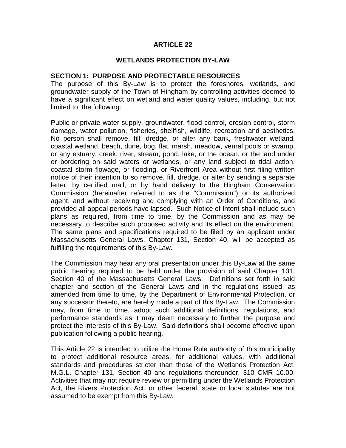### **WETLANDS PROTECTION BY-LAW**

### **SECTION 1: PURPOSE AND PROTECTABLE RESOURCES**

The purpose of this By-Law is to protect the foreshores, wetlands, and groundwater supply of the Town of Hingham by controlling activities deemed to have a significant effect on wetland and water quality values, including, but not limited to, the following:

Public or private water supply, groundwater, flood control, erosion control, storm damage, water pollution, fisheries, shellfish, wildlife, recreation and aesthetics. No person shall remove, fill, dredge, or alter any bank, freshwater wetland, coastal wetland, beach, dune, bog, flat, marsh, meadow, vernal pools or swamp, or any estuary, creek, river, stream, pond, lake, or the ocean, or the land under or bordering on said waters or wetlands, or any land subject to tidal action, coastal storm flowage, or flooding, or Riverfront Area without first filing written notice of their intention to so remove, fill, dredge, or alter by sending a separate letter, by certified mail, or by hand delivery to the Hingham Conservation Commission (hereinafter referred to as the "Commission") or its authorized agent, and without receiving and complying with an Order of Conditions, and provided all appeal periods have lapsed. Such Notice of Intent shall include such plans as required, from time to time, by the Commission and as may be necessary to describe such proposed activity and its effect on the environment. The same plans and specifications required to be filed by an applicant under Massachusetts General Laws, Chapter 131, Section 40, will be accepted as fulfilling the requirements of this By-Law.

The Commission may hear any oral presentation under this By-Law at the same public hearing required to be held under the provision of said Chapter 131, Section 40 of the Massachusetts General Laws. Definitions set forth in said chapter and section of the General Laws and in the regulations issued, as amended from time to time, by the Department of Environmental Protection, or any successor thereto, are hereby made a part of this By-Law. The Commission may, from time to time, adopt such additional definitions, regulations, and performance standards as it may deem necessary to further the purpose and protect the interests of this By-Law. Said definitions shall become effective upon publication following a public hearing.

This Article 22 is intended to utilize the Home Rule authority of this municipality to protect additional resource areas, for additional values, with additional standards and procedures stricter than those of the Wetlands Protection Act, M.G.L. Chapter 131, Section 40 and regulations thereunder, 310 CMR 10.00. Activities that may not require review or permitting under the Wetlands Protection Act, the Rivers Protection Act, or other federal, state or local statutes are not assumed to be exempt from this By-Law.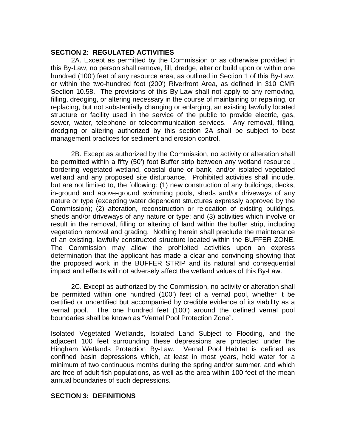### **SECTION 2: REGULATED ACTIVITIES**

2A. Except as permitted by the Commission or as otherwise provided in this By-Law, no person shall remove, fill, dredge, alter or build upon or within one hundred (100') feet of any resource area, as outlined in Section 1 of this By-Law, or within the two-hundred foot (200') Riverfront Area, as defined in 310 CMR Section 10.58. The provisions of this By-Law shall not apply to any removing, filling, dredging, or altering necessary in the course of maintaining or repairing, or replacing, but not substantially changing or enlarging, an existing lawfully located structure or facility used in the service of the public to provide electric, gas, sewer, water, telephone or telecommunication services. Any removal, filling, dredging or altering authorized by this section 2A shall be subject to best management practices for sediment and erosion control.

2B. Except as authorized by the Commission, no activity or alteration shall be permitted within a fifty (50') foot Buffer strip between any wetland resource , bordering vegetated wetland, coastal dune or bank, and/or isolated vegetated wetland and any proposed site disturbance. Prohibited activities shall include, but are not limited to, the following: (1) new construction of any buildings, decks, in-ground and above-ground swimming pools, sheds and/or driveways of any nature or type (excepting water dependent structures expressly approved by the Commission); (2) alteration, reconstruction or relocation of existing buildings, sheds and/or driveways of any nature or type; and (3) activities which involve or result in the removal, filling or altering of land within the buffer strip, including vegetation removal and grading. Nothing herein shall preclude the maintenance of an existing, lawfully constructed structure located within the BUFFER ZONE. The Commission may allow the prohibited activities upon an express determination that the applicant has made a clear and convincing showing that the proposed work in the BUFFER STRIP and its natural and consequential impact and effects will not adversely affect the wetland values of this By-Law.

2C. Except as authorized by the Commission, no activity or alteration shall be permitted within one hundred (100') feet of a vernal pool, whether it be certified or uncertified but accompanied by credible evidence of its viability as a vernal pool. The one hundred feet (100') around the defined vernal pool boundaries shall be known as "Vernal Pool Protection Zone".

Isolated Vegetated Wetlands, Isolated Land Subject to Flooding, and the adjacent 100 feet surrounding these depressions are protected under the Hingham Wetlands Protection By-Law. Vernal Pool Habitat is defined as confined basin depressions which, at least in most years, hold water for a minimum of two continuous months during the spring and/or summer, and which are free of adult fish populations, as well as the area within 100 feet of the mean annual boundaries of such depressions.

### **SECTION 3: DEFINITIONS**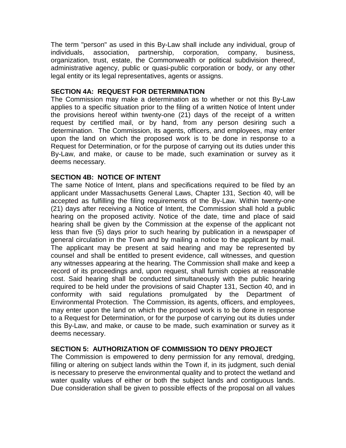The term "person" as used in this By-Law shall include any individual, group of individuals, association, partnership, corporation, company, business, organization, trust, estate, the Commonwealth or political subdivision thereof, administrative agency, public or quasi-public corporation or body, or any other legal entity or its legal representatives, agents or assigns.

## **SECTION 4A: REQUEST FOR DETERMINATION**

The Commission may make a determination as to whether or not this By-Law applies to a specific situation prior to the filing of a written Notice of Intent under the provisions hereof within twenty-one (21) days of the receipt of a written request by certified mail, or by hand, from any person desiring such a determination. The Commission, its agents, officers, and employees, may enter upon the land on which the proposed work is to be done in response to a Request for Determination, or for the purpose of carrying out its duties under this By-Law, and make, or cause to be made, such examination or survey as it deems necessary.

# **SECTION 4B: NOTICE OF INTENT**

The same Notice of Intent, plans and specifications required to be filed by an applicant under Massachusetts General Laws, Chapter 131, Section 40, will be accepted as fulfilling the filing requirements of the By-Law. Within twenty-one (21) days after receiving a Notice of Intent, the Commission shall hold a public hearing on the proposed activity. Notice of the date, time and place of said hearing shall be given by the Commission at the expense of the applicant not less than five (5) days prior to such hearing by publication in a newspaper of general circulation in the Town and by mailing a notice to the applicant by mail. The applicant may be present at said hearing and may be represented by counsel and shall be entitled to present evidence, call witnesses, and question any witnesses appearing at the hearing. The Commission shall make and keep a record of its proceedings and, upon request, shall furnish copies at reasonable cost. Said hearing shall be conducted simultaneously with the public hearing required to be held under the provisions of said Chapter 131, Section 40, and in conformity with said regulations promulgated by the Department of Environmental Protection. The Commission, its agents, officers, and employees, may enter upon the land on which the proposed work is to be done in response to a Request for Determination, or for the purpose of carrying out its duties under this By-Law, and make, or cause to be made, such examination or survey as it deems necessary.

# **SECTION 5: AUTHORIZATION OF COMMISSION TO DENY PROJECT**

The Commission is empowered to deny permission for any removal, dredging, filling or altering on subject lands within the Town if, in its judgment, such denial is necessary to preserve the environmental quality and to protect the wetland and water quality values of either or both the subject lands and contiguous lands. Due consideration shall be given to possible effects of the proposal on all values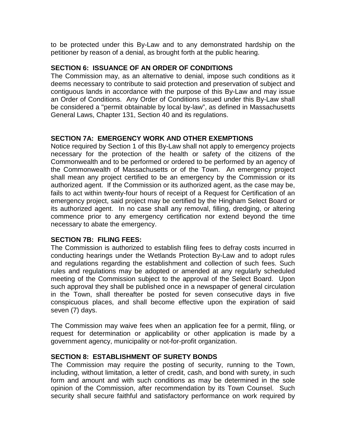to be protected under this By-Law and to any demonstrated hardship on the petitioner by reason of a denial, as brought forth at the public hearing.

### **SECTION 6: ISSUANCE OF AN ORDER OF CONDITIONS**

The Commission may, as an alternative to denial, impose such conditions as it deems necessary to contribute to said protection and preservation of subject and contiguous lands in accordance with the purpose of this By-Law and may issue an Order of Conditions. Any Order of Conditions issued under this By-Law shall be considered a "permit obtainable by local by-law", as defined in Massachusetts General Laws, Chapter 131, Section 40 and its regulations.

### **SECTION 7A: EMERGENCY WORK AND OTHER EXEMPTIONS**

Notice required by Section 1 of this By-Law shall not apply to emergency projects necessary for the protection of the health or safety of the citizens of the Commonwealth and to be performed or ordered to be performed by an agency of the Commonwealth of Massachusetts or of the Town. An emergency project shall mean any project certified to be an emergency by the Commission or its authorized agent. If the Commission or its authorized agent, as the case may be, fails to act within twenty-four hours of receipt of a Request for Certification of an emergency project, said project may be certified by the Hingham Select Board or its authorized agent. In no case shall any removal, filling, dredging, or altering commence prior to any emergency certification nor extend beyond the time necessary to abate the emergency.

#### **SECTION 7B: FILING FEES:**

The Commission is authorized to establish filing fees to defray costs incurred in conducting hearings under the Wetlands Protection By-Law and to adopt rules and regulations regarding the establishment and collection of such fees. Such rules and regulations may be adopted or amended at any regularly scheduled meeting of the Commission subject to the approval of the Select Board. Upon such approval they shall be published once in a newspaper of general circulation in the Town, shall thereafter be posted for seven consecutive days in five conspicuous places, and shall become effective upon the expiration of said seven (7) days.

The Commission may waive fees when an application fee for a permit, filing, or request for determination or applicability or other application is made by a government agency, municipality or not-for-profit organization.

## **SECTION 8: ESTABLISHMENT OF SURETY BONDS**

The Commission may require the posting of security, running to the Town, including, without limitation, a letter of credit, cash, and bond with surety, in such form and amount and with such conditions as may be determined in the sole opinion of the Commission, after recommendation by its Town Counsel. Such security shall secure faithful and satisfactory performance on work required by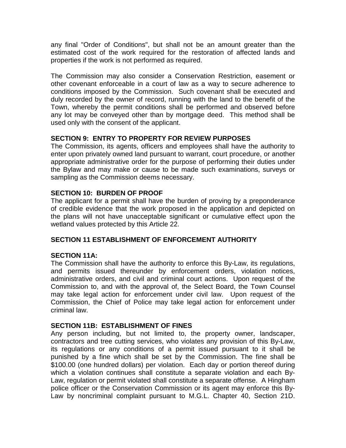any final "Order of Conditions", but shall not be an amount greater than the estimated cost of the work required for the restoration of affected lands and properties if the work is not performed as required.

The Commission may also consider a Conservation Restriction, easement or other covenant enforceable in a court of law as a way to secure adherence to conditions imposed by the Commission. Such covenant shall be executed and duly recorded by the owner of record, running with the land to the benefit of the Town, whereby the permit conditions shall be performed and observed before any lot may be conveyed other than by mortgage deed. This method shall be used only with the consent of the applicant.

# **SECTION 9: ENTRY TO PROPERTY FOR REVIEW PURPOSES**

The Commission, its agents, officers and employees shall have the authority to enter upon privately owned land pursuant to warrant, court procedure, or another appropriate administrative order for the purpose of performing their duties under the Bylaw and may make or cause to be made such examinations, surveys or sampling as the Commission deems necessary.

# **SECTION 10: BURDEN OF PROOF**

The applicant for a permit shall have the burden of proving by a preponderance of credible evidence that the work proposed in the application and depicted on the plans will not have unacceptable significant or cumulative effect upon the wetland values protected by this Article 22.

### **SECTION 11 ESTABLISHMENT OF ENFORCEMENT AUTHORITY**

### **SECTION 11A:**

The Commission shall have the authority to enforce this By-Law, its regulations, and permits issued thereunder by enforcement orders, violation notices, administrative orders, and civil and criminal court actions. Upon request of the Commission to, and with the approval of, the Select Board, the Town Counsel may take legal action for enforcement under civil law. Upon request of the Commission, the Chief of Police may take legal action for enforcement under criminal law.

### **SECTION 11B: ESTABLISHMENT OF FINES**

Any person including, but not limited to, the property owner, landscaper, contractors and tree cutting services, who violates any provision of this By-Law, its regulations or any conditions of a permit issued pursuant to it shall be punished by a fine which shall be set by the Commission. The fine shall be \$100.00 (one hundred dollars) per violation. Each day or portion thereof during which a violation continues shall constitute a separate violation and each By-Law, regulation or permit violated shall constitute a separate offense. A Hingham police officer or the Conservation Commission or its agent may enforce this By-Law by noncriminal complaint pursuant to M.G.L. Chapter 40, Section 21D.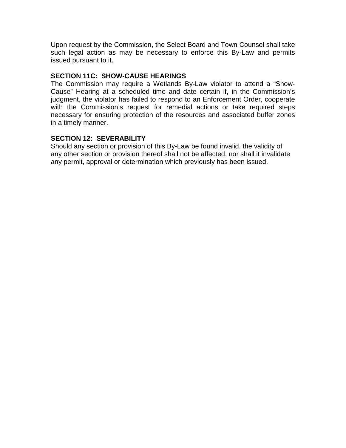Upon request by the Commission, the Select Board and Town Counsel shall take such legal action as may be necessary to enforce this By-Law and permits issued pursuant to it.

# **SECTION 11C: SHOW-CAUSE HEARINGS**

The Commission may require a Wetlands By-Law violator to attend a "Show-Cause" Hearing at a scheduled time and date certain if, in the Commission's judgment, the violator has failed to respond to an Enforcement Order, cooperate with the Commission's request for remedial actions or take required steps necessary for ensuring protection of the resources and associated buffer zones in a timely manner.

# **SECTION 12: SEVERABILITY**

Should any section or provision of this By-Law be found invalid, the validity of any other section or provision thereof shall not be affected, nor shall it invalidate any permit, approval or determination which previously has been issued.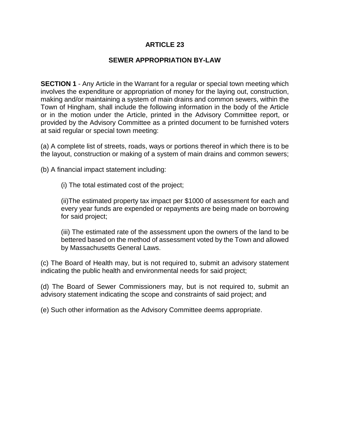## **SEWER APPROPRIATION BY-LAW**

**SECTION 1** - Any Article in the Warrant for a regular or special town meeting which involves the expenditure or appropriation of money for the laying out, construction, making and/or maintaining a system of main drains and common sewers, within the Town of Hingham, shall include the following information in the body of the Article or in the motion under the Article, printed in the Advisory Committee report, or provided by the Advisory Committee as a printed document to be furnished voters at said regular or special town meeting:

(a) A complete list of streets, roads, ways or portions thereof in which there is to be the layout, construction or making of a system of main drains and common sewers;

(b) A financial impact statement including:

(i) The total estimated cost of the project;

(ii)The estimated property tax impact per \$1000 of assessment for each and every year funds are expended or repayments are being made on borrowing for said project;

(iii) The estimated rate of the assessment upon the owners of the land to be bettered based on the method of assessment voted by the Town and allowed by Massachusetts General Laws.

(c) The Board of Health may, but is not required to, submit an advisory statement indicating the public health and environmental needs for said project;

(d) The Board of Sewer Commissioners may, but is not required to, submit an advisory statement indicating the scope and constraints of said project; and

(e) Such other information as the Advisory Committee deems appropriate.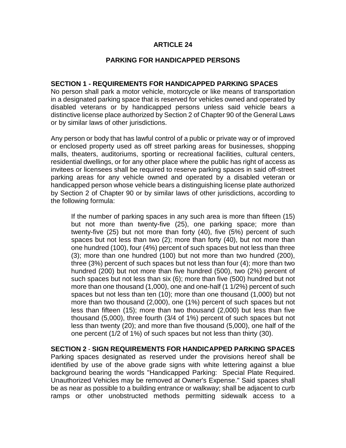### **PARKING FOR HANDICAPPED PERSONS**

#### **SECTION 1 - REQUIREMENTS FOR HANDICAPPED PARKING SPACES**

No person shall park a motor vehicle, motorcycle or like means of transportation in a designated parking space that is reserved for vehicles owned and operated by disabled veterans or by handicapped persons unless said vehicle bears a distinctive license place authorized by Section 2 of Chapter 90 of the General Laws or by similar laws of other jurisdictions.

Any person or body that has lawful control of a public or private way or of improved or enclosed property used as off street parking areas for businesses, shopping malls, theaters, auditoriums, sporting or recreational facilities, cultural centers, residential dwellings, or for any other place where the public has right of access as invitees or licensees shall be required to reserve parking spaces in said off-street parking areas for any vehicle owned and operated by a disabled veteran or handicapped person whose vehicle bears a distinguishing license plate authorized by Section 2 of Chapter 90 or by similar laws of other jurisdictions, according to the following formula:

If the number of parking spaces in any such area is more than fifteen (15) but not more than twenty-five (25), one parking space; more than twenty-five (25) but not more than forty (40), five (5%) percent of such spaces but not less than two (2); more than forty (40), but not more than one hundred (100), four (4%) percent of such spaces but not less than three (3); more than one hundred (100) but not more than two hundred (200), three (3%) percent of such spaces but not less than four (4); more than two hundred (200) but not more than five hundred (500), two (2%) percent of such spaces but not less than six (6); more than five (500) hundred but not more than one thousand (1,000), one and one-half (1 1/2%) percent of such spaces but not less than ten (10); more than one thousand (1,000) but not more than two thousand (2,000), one (1%) percent of such spaces but not less than fifteen (15); more than two thousand (2,000) but less than five thousand (5,000), three fourth (3/4 of 1%) percent of such spaces but not less than twenty (20); and more than five thousand (5,000), one half of the one percent (1/2 of 1%) of such spaces but not less than thirty (30).

**SECTION 2** - **SIGN REQUIREMENTS FOR HANDICAPPED PARKING SPACES** Parking spaces designated as reserved under the provisions hereof shall be identified by use of the above grade signs with white lettering against a blue background bearing the words "Handicapped Parking: Special Plate Required. Unauthorized Vehicles may be removed at Owner's Expense." Said spaces shall be as near as possible to a building entrance or walkway; shall be adjacent to curb ramps or other unobstructed methods permitting sidewalk access to a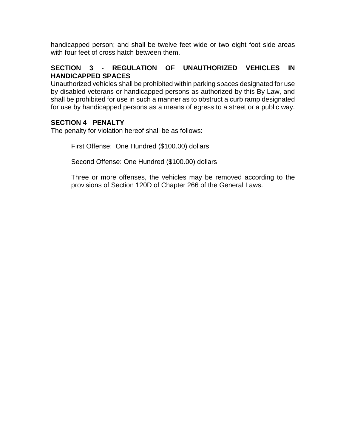handicapped person; and shall be twelve feet wide or two eight foot side areas with four feet of cross hatch between them.

# **SECTION 3** - **REGULATION OF UNAUTHORIZED VEHICLES IN HANDICAPPED SPACES**

Unauthorized vehicles shall be prohibited within parking spaces designated for use by disabled veterans or handicapped persons as authorized by this By-Law, and shall be prohibited for use in such a manner as to obstruct a curb ramp designated for use by handicapped persons as a means of egress to a street or a public way.

# **SECTION 4** - **PENALTY**

The penalty for violation hereof shall be as follows:

First Offense: One Hundred (\$100.00) dollars

Second Offense: One Hundred (\$100.00) dollars

Three or more offenses, the vehicles may be removed according to the provisions of Section 120D of Chapter 266 of the General Laws.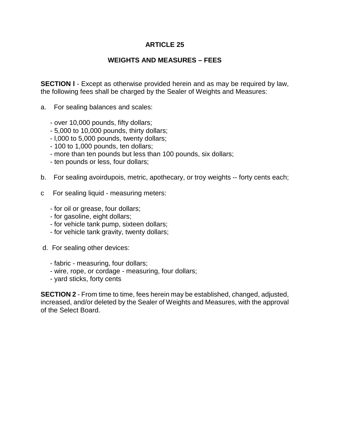## **WEIGHTS AND MEASURES – FEES**

**SECTION I** - Except as otherwise provided herein and as may be required by law, the following fees shall be charged by the Sealer of Weights and Measures:

- a. For sealing balances and scales:
	- over 10,000 pounds, fifty dollars;
	- 5,000 to 10,000 pounds, thirty dollars;
	- l,000 to 5,000 pounds, twenty dollars;
	- 100 to 1,000 pounds, ten dollars;
	- more than ten pounds but less than 100 pounds, six dollars;
	- ten pounds or less, four dollars;
- b. For sealing avoirdupois, metric, apothecary, or troy weights -- forty cents each;
- c For sealing liquid measuring meters:
	- for oil or grease, four dollars;
	- for gasoline, eight dollars;
	- for vehicle tank pump, sixteen dollars;
	- for vehicle tank gravity, twenty dollars;
- d. For sealing other devices:
	- fabric measuring, four dollars;
	- wire, rope, or cordage measuring, four dollars;
	- yard sticks, forty cents

**SECTION 2** - From time to time, fees herein may be established, changed, adjusted, increased, and/or deleted by the Sealer of Weights and Measures, with the approval of the Select Board.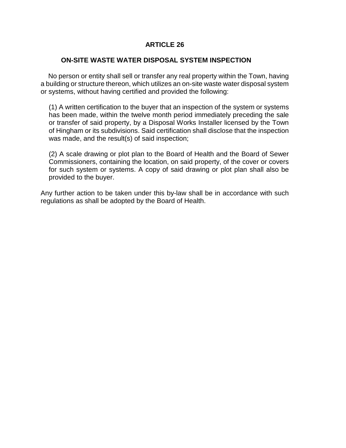### **ON-SITE WASTE WATER DISPOSAL SYSTEM INSPECTION**

 No person or entity shall sell or transfer any real property within the Town, having a building or structure thereon, which utilizes an on-site waste water disposal system or systems, without having certified and provided the following:

(1) A written certification to the buyer that an inspection of the system or systems has been made, within the twelve month period immediately preceding the sale or transfer of said property, by a Disposal Works Installer licensed by the Town of Hingham or its subdivisions. Said certification shall disclose that the inspection was made, and the result(s) of said inspection;

(2) A scale drawing or plot plan to the Board of Health and the Board of Sewer Commissioners, containing the location, on said property, of the cover or covers for such system or systems. A copy of said drawing or plot plan shall also be provided to the buyer.

Any further action to be taken under this by-law shall be in accordance with such regulations as shall be adopted by the Board of Health.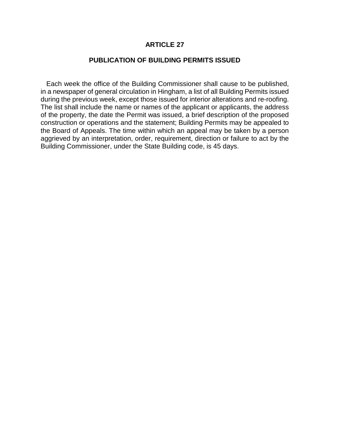#### **PUBLICATION OF BUILDING PERMITS ISSUED**

 Each week the office of the Building Commissioner shall cause to be published, in a newspaper of general circulation in Hingham, a list of all Building Permits issued during the previous week, except those issued for interior alterations and re-roofing. The list shall include the name or names of the applicant or applicants, the address of the property, the date the Permit was issued, a brief description of the proposed construction or operations and the statement; Building Permits may be appealed to the Board of Appeals. The time within which an appeal may be taken by a person aggrieved by an interpretation, order, requirement, direction or failure to act by the Building Commissioner, under the State Building code, is 45 days.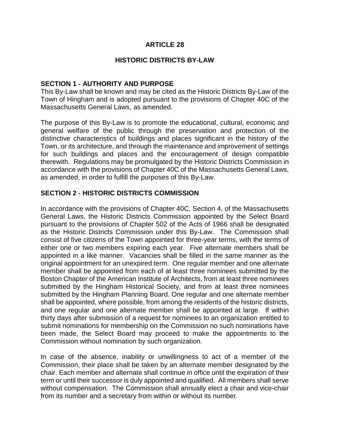### **HISTORIC DISTRICTS BY-LAW**

### **SECTION 1 - AUTHORITY AND PURPOSE**

This By-Law shall be known and may be cited as the Historic Districts By-Law of the Town of Hingham and is adopted pursuant to the provisions of Chapter 40C of the Massachusetts General Laws, as amended.

The purpose of this By-Law is to promote the educational, cultural, economic and general welfare of the public through the preservation and protection of the distinctive characteristics of buildings and places significant in the history of the Town, or its architecture, and through the maintenance and improvement of settings for such buildings and places and the encouragement of design compatible therewith. Regulations may be promulgated by the Historic Districts Commission in accordance with the provisions of Chapter 40C of the Massachusetts General Laws, as amended, in order to fulfill the purposes of this By-Law.

## **SECTION 2 - HISTORIC DISTRICTS COMMISSION**

In accordance with the provisions of Chapter 40C, Section 4, of the Massachusetts General Laws, the Historic Districts Commission appointed by the Select Board pursuant to the provisions of Chapter 502 of the Acts of 1966 shall be designated as the Historic Districts Commission under this By-Law. The Commission shall consist of five citizens of the Town appointed for three-year terms, with the terms of either one or two members expiring each year. Five alternate members shall be appointed in a like manner. Vacancies shall be filled in the same manner as the original appointment for an unexpired term. One regular member and one alternate member shall be appointed from each of at least three nominees submitted by the Boston Chapter of the American Institute of Architects, from at least three nominees submitted by the Hingham Historical Society, and from at least three nominees submitted by the Hingham Planning Board. One regular and one alternate member shall be appointed, where possible, from among the residents of the historic districts, and one regular and one alternate member shall be appointed at large. If within thirty days after submission of a request for nominees to an organization entitled to submit nominations for membership on the Commission no such nominations have been made, the Select Board may proceed to make the appointments to the Commission without nomination by such organization.

In case of the absence, inability or unwillingness to act of a member of the Commission, their place shall be taken by an alternate member designated by the chair. Each member and alternate shall continue in office until the expiration of their term or until their successor is duly appointed and qualified. All members shall serve without compensation. The Commission shall annually elect a chair and vice-chair from its number and a secretary from within or without its number.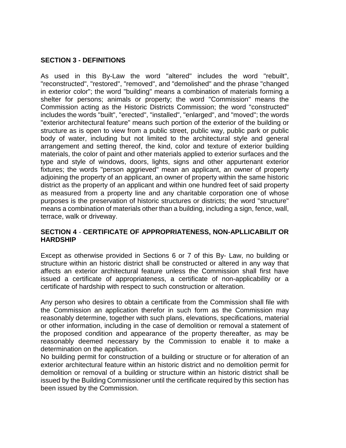## **SECTION 3 - DEFINITIONS**

As used in this By-Law the word "altered" includes the word "rebuilt", "reconstructed", "restored", "removed", and "demolished" and the phrase "changed in exterior color"; the word "building" means a combination of materials forming a shelter for persons; animals or property; the word "Commission" means the Commission acting as the Historic Districts Commission; the word "constructed" includes the words "built", "erected", "installed", "enlarged", and "moved"; the words "exterior architectural feature" means such portion of the exterior of the building or structure as is open to view from a public street, public way, public park or public body of water, including but not limited to the architectural style and general arrangement and setting thereof, the kind, color and texture of exterior building materials, the color of paint and other materials applied to exterior surfaces and the type and style of windows, doors, lights, signs and other appurtenant exterior fixtures; the words "person aggrieved" mean an applicant, an owner of property adjoining the property of an applicant, an owner of property within the same historic district as the property of an applicant and within one hundred feet of said property as measured from a property line and any charitable corporation one of whose purposes is the preservation of historic structures or districts; the word "structure" means a combination of materials other than a building, including a sign, fence, wall, terrace, walk or driveway.

## **SECTION 4** - **CERTIFICATE OF APPROPRIATENESS, NON-APLLICABILIT OR HARDSHIP**

Except as otherwise provided in Sections 6 or 7 of this By- Law, no building or structure within an historic district shall be constructed or altered in any way that affects an exterior architectural feature unless the Commission shall first have issued a certificate of appropriateness, a certificate of non-applicability or a certificate of hardship with respect to such construction or alteration.

Any person who desires to obtain a certificate from the Commission shall file with the Commission an application therefor in such form as the Commission may reasonably determine, together with such plans, elevations, specifications, material or other information, including in the case of demolition or removal a statement of the proposed condition and appearance of the property thereafter, as may be reasonably deemed necessary by the Commission to enable it to make a determination on the application.

No building permit for construction of a building or structure or for alteration of an exterior architectural feature within an historic district and no demolition permit for demolition or removal of a building or structure within an historic district shall be issued by the Building Commissioner until the certificate required by this section has been issued by the Commission.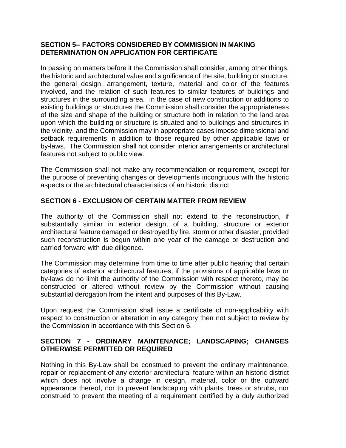## **SECTION 5-- FACTORS CONSIDERED BY COMMISSION IN MAKING DETERMINATION ON APPLICATION FOR CERTIFICATE**

In passing on matters before it the Commission shall consider, among other things, the historic and architectural value and significance of the site, building or structure, the general design, arrangement, texture, material and color of the features involved, and the relation of such features to similar features of buildings and structures in the surrounding area. In the case of new construction or additions to existing buildings or structures the Commission shall consider the appropriateness of the size and shape of the building or structure both in relation to the land area upon which the building or structure is situated and to buildings and structures in the vicinity, and the Commission may in appropriate cases impose dimensional and setback requirements in addition to those required by other applicable laws or by-laws. The Commission shall not consider interior arrangements or architectural features not subject to public view.

The Commission shall not make any recommendation or requirement, except for the purpose of preventing changes or developments incongruous with the historic aspects or the architectural characteristics of an historic district.

# **SECTION 6 - EXCLUSION OF CERTAIN MATTER FROM REVIEW**

The authority of the Commission shall not extend to the reconstruction, if substantially similar in exterior design, of a building, structure or exterior architectural feature damaged or destroyed by fire, storm or other disaster, provided such reconstruction is begun within one year of the damage or destruction and carried forward with due diligence.

The Commission may determine from time to time after public hearing that certain categories of exterior architectural features, if the provisions of applicable laws or by-laws do no limit the authority of the Commission with respect thereto, may be constructed or altered without review by the Commission without causing substantial derogation from the intent and purposes of this By-Law.

Upon request the Commission shall issue a certificate of non-applicability with respect to construction or alteration in any category then not subject to review by the Commission in accordance with this Section 6.

# **SECTION 7 - ORDINARY MAINTENANCE; LANDSCAPING; CHANGES OTHERWISE PERMITTED OR REQUIRED**

Nothing in this By-Law shall be construed to prevent the ordinary maintenance, repair or replacement of any exterior architectural feature within an historic district which does not involve a change in design, material, color or the outward appearance thereof, nor to prevent landscaping with plants, trees or shrubs, nor construed to prevent the meeting of a requirement certified by a duly authorized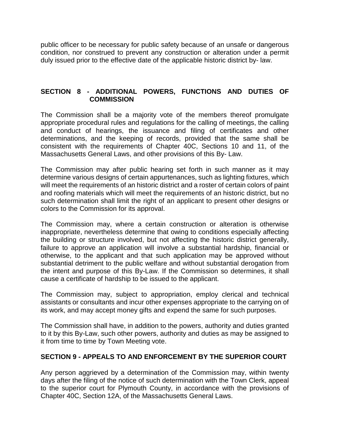public officer to be necessary for public safety because of an unsafe or dangerous condition, nor construed to prevent any construction or alteration under a permit duly issued prior to the effective date of the applicable historic district by- law.

# **SECTION 8 - ADDITIONAL POWERS, FUNCTIONS AND DUTIES OF COMMISSION**

The Commission shall be a majority vote of the members thereof promulgate appropriate procedural rules and regulations for the calling of meetings, the calling and conduct of hearings, the issuance and filing of certificates and other determinations, and the keeping of records, provided that the same shall be consistent with the requirements of Chapter 40C, Sections 10 and 11, of the Massachusetts General Laws, and other provisions of this By- Law.

The Commission may after public hearing set forth in such manner as it may determine various designs of certain appurtenances, such as lighting fixtures, which will meet the requirements of an historic district and a roster of certain colors of paint and roofing materials which will meet the requirements of an historic district, but no such determination shall limit the right of an applicant to present other designs or colors to the Commission for its approval.

The Commission may, where a certain construction or alteration is otherwise inappropriate, nevertheless determine that owing to conditions especially affecting the building or structure involved, but not affecting the historic district generally, failure to approve an application will involve a substantial hardship, financial or otherwise, to the applicant and that such application may be approved without substantial detriment to the public welfare and without substantial derogation from the intent and purpose of this By-Law. If the Commission so determines, it shall cause a certificate of hardship to be issued to the applicant.

The Commission may, subject to appropriation, employ clerical and technical assistants or consultants and incur other expenses appropriate to the carrying on of its work, and may accept money gifts and expend the same for such purposes.

The Commission shall have, in addition to the powers, authority and duties granted to it by this By-Law, such other powers, authority and duties as may be assigned to it from time to time by Town Meeting vote.

## **SECTION 9 - APPEALS TO AND ENFORCEMENT BY THE SUPERIOR COURT**

Any person aggrieved by a determination of the Commission may, within twenty days after the filing of the notice of such determination with the Town Clerk, appeal to the superior court for Plymouth County, in accordance with the provisions of Chapter 40C, Section 12A, of the Massachusetts General Laws.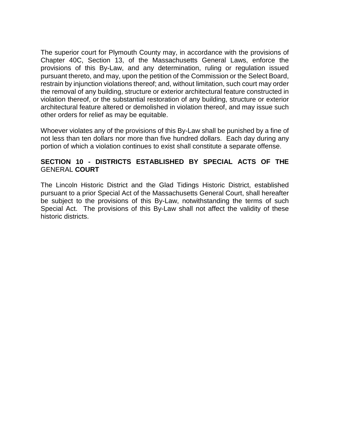The superior court for Plymouth County may, in accordance with the provisions of Chapter 40C, Section 13, of the Massachusetts General Laws, enforce the provisions of this By-Law, and any determination, ruling or regulation issued pursuant thereto, and may, upon the petition of the Commission or the Select Board, restrain by injunction violations thereof; and, without limitation, such court may order the removal of any building, structure or exterior architectural feature constructed in violation thereof, or the substantial restoration of any building, structure or exterior architectural feature altered or demolished in violation thereof, and may issue such other orders for relief as may be equitable.

Whoever violates any of the provisions of this By-Law shall be punished by a fine of not less than ten dollars nor more than five hundred dollars. Each day during any portion of which a violation continues to exist shall constitute a separate offense.

## **SECTION 10 - DISTRICTS ESTABLISHED BY SPECIAL ACTS OF THE**  GENERAL **COURT**

The Lincoln Historic District and the Glad Tidings Historic District, established pursuant to a prior Special Act of the Massachusetts General Court, shall hereafter be subject to the provisions of this By-Law, notwithstanding the terms of such Special Act. The provisions of this By-Law shall not affect the validity of these historic districts.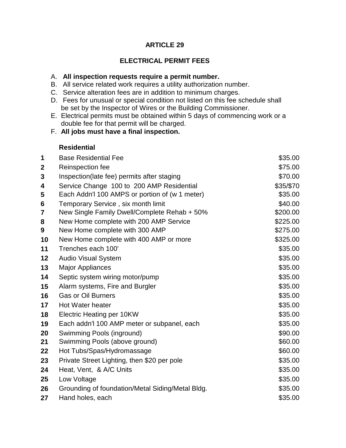# **ELECTRICAL PERMIT FEES**

### A. **All inspection requests require a permit number.**

- B. All service related work requires a utility authorization number.
- C. Service alteration fees are in addition to minimum charges.
- D. Fees for unusual or special condition not listed on this fee schedule shall be set by the Inspector of Wires or the Building Commissioner.
- E. Electrical permits must be obtained within 5 days of commencing work or a double fee for that permit will be charged.
- F. **All jobs must have a final inspection.**

# **Residential**

| 1                | <b>Base Residential Fee</b>                      | \$35.00   |
|------------------|--------------------------------------------------|-----------|
| $\boldsymbol{2}$ | Reinspection fee                                 | \$75.00   |
| 3                | Inspection(late fee) permits after staging       | \$70.00   |
| 4                | Service Change 100 to 200 AMP Residential        | \$35/\$70 |
| 5                | Each Addn't 100 AMPS or portion of (w 1 meter)   | \$35.00   |
| $6\phantom{1}6$  | Temporary Service, six month limit               | \$40.00   |
| 7                | New Single Family Dwell/Complete Rehab + 50%     | \$200.00  |
| 8                | New Home complete with 200 AMP Service           | \$225.00  |
| 9                | New Home complete with 300 AMP                   | \$275.00  |
| 10               | New Home complete with 400 AMP or more           | \$325.00  |
| 11               | Trenches each 100'                               | \$35.00   |
| 12               | <b>Audio Visual System</b>                       | \$35.00   |
| 13               | <b>Major Appliances</b>                          | \$35.00   |
| 14               | Septic system wiring motor/pump                  | \$35.00   |
| 15               | Alarm systems, Fire and Burgler                  | \$35.00   |
| 16               | <b>Gas or Oil Burners</b>                        | \$35.00   |
| 17               | Hot Water heater                                 | \$35.00   |
| 18               | Electric Heating per 10KW                        | \$35.00   |
| 19               | Each addn'l 100 AMP meter or subpanel, each      | \$35.00   |
| 20               | Swimming Pools (inground)                        | \$90.00   |
| 21               | Swimming Pools (above ground)                    | \$60.00   |
| 22               | Hot Tubs/Spas/Hydromassage                       | \$60.00   |
| 23               | Private Street Lighting, then \$20 per pole      | \$35.00   |
| 24               | Heat, Vent, & A/C Units                          | \$35.00   |
| 25               | Low Voltage                                      | \$35.00   |
| 26               | Grounding of foundation/Metal Siding/Metal Bldg. | \$35.00   |
| 27               | Hand holes, each                                 | \$35.00   |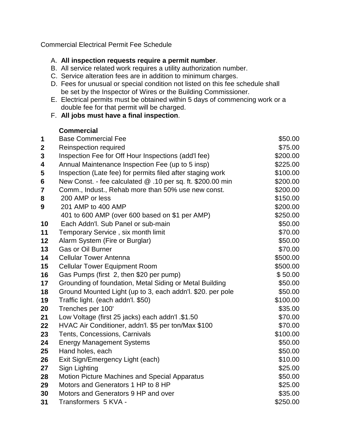Commercial Electrical Permit Fee Schedule

# A. **All inspection requests require a permit number**.

- B. All service related work requires a utility authorization number.
- C. Service alteration fees are in addition to minimum charges.
- D. Fees for unusual or special condition not listed on this fee schedule shall be set by the Inspector of Wires or the Building Commissioner.
- E. Electrical permits must be obtained within 5 days of commencing work or a double fee for that permit will be charged.
- F. **All jobs must have a final inspection**.

# **Commercial**

| 1                       | <b>Base Commercial Fee</b>                                 | \$50.00  |
|-------------------------|------------------------------------------------------------|----------|
| $\boldsymbol{2}$        | Reinspection required                                      | \$75.00  |
| $\mathbf{3}$            | Inspection Fee for Off Hour Inspections (add'I fee)        | \$200.00 |
| 4                       | Annual Maintenance Inspection Fee (up to 5 insp)           | \$225.00 |
| 5                       | Inspection (Late fee) for permits filed after staging work | \$100.00 |
| $6\phantom{1}$          | New Const. - fee calculated @ .10 per sq. ft. \$200.00 min | \$200.00 |
| $\overline{\mathbf{7}}$ | Comm., Indust., Rehab more than 50% use new const.         | \$200.00 |
| 8                       | 200 AMP or less                                            | \$150.00 |
| 9                       | 201 AMP to 400 AMP                                         | \$200.00 |
|                         | 401 to 600 AMP (over 600 based on \$1 per AMP)             | \$250.00 |
| 10                      | Each Addn'l. Sub Panel or sub-main                         | \$50.00  |
| 11                      | Temporary Service, six month limit                         | \$70.00  |
| 12                      | Alarm System (Fire or Burglar)                             | \$50.00  |
| 13                      | <b>Gas or Oil Burner</b>                                   | \$70.00  |
| 14                      | <b>Cellular Tower Antenna</b>                              | \$500.00 |
| 15                      | <b>Cellular Tower Equipment Room</b>                       | \$500.00 |
| 16                      | Gas Pumps (first 2, then \$20 per pump)                    | \$50.00  |
| 17                      | Grounding of foundation, Metal Siding or Metal Building    | \$50.00  |
| 18                      | Ground Mounted Light (up to 3, each addn'l. \$20. per pole | \$50.00  |
| 19                      | Traffic light. (each addn'l. \$50)                         | \$100.00 |
| 20                      | Trenches per 100'                                          | \$35.00  |
| 21                      | Low Voltage (first 25 jacks) each addn'l .\$1.50           | \$70.00  |
| 22                      | HVAC Air Conditioner, addn'l. \$5 per ton/Max \$100        | \$70.00  |
| 23                      | Tents, Concessions, Carnivals                              | \$100.00 |
| 24                      | <b>Energy Management Systems</b>                           | \$50.00  |
| 25                      | Hand holes, each                                           | \$50.00  |
| 26                      | Exit Sign/Emergency Light (each)                           | \$10.00  |
| 27                      | Sign Lighting                                              | \$25.00  |
| 28                      | <b>Motion Picture Machines and Special Apparatus</b>       | \$50.00  |
| 29                      | Motors and Generators 1 HP to 8 HP                         | \$25.00  |
| 30                      | Motors and Generators 9 HP and over                        | \$35.00  |
| 31                      | Transformers 5 KVA -                                       | \$250.00 |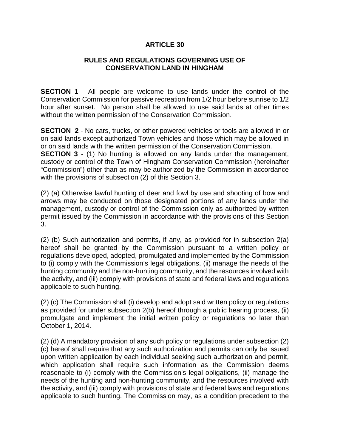## **RULES AND REGULATIONS GOVERNING USE OF CONSERVATION LAND IN HINGHAM**

**SECTION 1** - All people are welcome to use lands under the control of the Conservation Commission for passive recreation from 1/2 hour before sunrise to 1/2 hour after sunset. No person shall be allowed to use said lands at other times without the written permission of the Conservation Commission.

**SECTION 2** - No cars, trucks, or other powered vehicles or tools are allowed in or on said lands except authorized Town vehicles and those which may be allowed in or on said lands with the written permission of the Conservation Commission. **SECTION 3** - (1) No hunting is allowed on any lands under the management, custody or control of the Town of Hingham Conservation Commission (hereinafter "Commission") other than as may be authorized by the Commission in accordance with the provisions of subsection (2) of this Section 3.

(2) (a) Otherwise lawful hunting of deer and fowl by use and shooting of bow and arrows may be conducted on those designated portions of any lands under the management, custody or control of the Commission only as authorized by written permit issued by the Commission in accordance with the provisions of this Section 3.

(2) (b) Such authorization and permits, if any, as provided for in subsection 2(a) hereof shall be granted by the Commission pursuant to a written policy or regulations developed, adopted, promulgated and implemented by the Commission to (i) comply with the Commission's legal obligations, (ii) manage the needs of the hunting community and the non-hunting community, and the resources involved with the activity, and (iii) comply with provisions of state and federal laws and regulations applicable to such hunting.

(2) (c) The Commission shall (i) develop and adopt said written policy or regulations as provided for under subsection 2(b) hereof through a public hearing process, (ii) promulgate and implement the initial written policy or regulations no later than October 1, 2014.

(2) (d) A mandatory provision of any such policy or regulations under subsection (2) (c) hereof shall require that any such authorization and permits can only be issued upon written application by each individual seeking such authorization and permit, which application shall require such information as the Commission deems reasonable to (i) comply with the Commission's legal obligations, (ii) manage the needs of the hunting and non-hunting community, and the resources involved with the activity, and (iii) comply with provisions of state and federal laws and regulations applicable to such hunting. The Commission may, as a condition precedent to the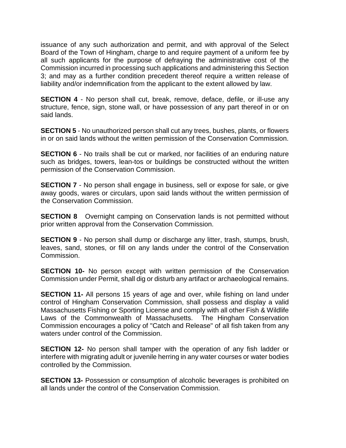issuance of any such authorization and permit, and with approval of the Select Board of the Town of Hingham, charge to and require payment of a uniform fee by all such applicants for the purpose of defraying the administrative cost of the Commission incurred in processing such applications and administering this Section 3; and may as a further condition precedent thereof require a written release of liability and/or indemnification from the applicant to the extent allowed by law.

**SECTION 4** - No person shall cut, break, remove, deface, defile, or ill-use any structure, fence, sign, stone wall, or have possession of any part thereof in or on said lands.

**SECTION 5** - No unauthorized person shall cut any trees, bushes, plants, or flowers in or on said lands without the written permission of the Conservation Commission.

**SECTION 6** - No trails shall be cut or marked, nor facilities of an enduring nature such as bridges, towers, lean-tos or buildings be constructed without the written permission of the Conservation Commission.

**SECTION 7** - No person shall engage in business, sell or expose for sale, or give away goods, wares or circulars, upon said lands without the written permission of the Conservation Commission.

**SECTION 8** Overnight camping on Conservation lands is not permitted without prior written approval from the Conservation Commission.

**SECTION 9** - No person shall dump or discharge any litter, trash, stumps, brush, leaves, sand, stones, or fill on any lands under the control of the Conservation Commission.

**SECTION 10-** No person except with written permission of the Conservation Commission under Permit, shall dig or disturb any artifact or archaeological remains.

**SECTION 11-** All persons 15 years of age and over, while fishing on land under control of Hingham Conservation Commission, shall possess and display a valid Massachusetts Fishing or Sporting License and comply with all other Fish & Wildlife Laws of the Commonwealth of Massachusetts. The Hingham Conservation Commission encourages a policy of "Catch and Release" of all fish taken from any waters under control of the Commission.

**SECTION 12-** No person shall tamper with the operation of any fish ladder or interfere with migrating adult or juvenile herring in any water courses or water bodies controlled by the Commission.

**SECTION 13-** Possession or consumption of alcoholic beverages is prohibited on all lands under the control of the Conservation Commission.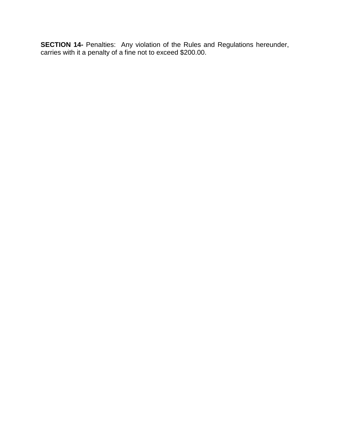**SECTION 14-** Penalties: Any violation of the Rules and Regulations hereunder, carries with it a penalty of a fine not to exceed \$200.00.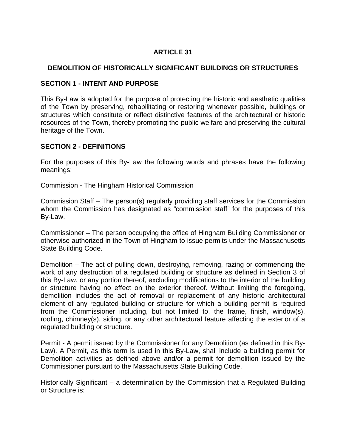# **DEMOLITION OF HISTORICALLY SIGNIFICANT BUILDINGS OR STRUCTURES**

## **SECTION 1 - INTENT AND PURPOSE**

This By-Law is adopted for the purpose of protecting the historic and aesthetic qualities of the Town by preserving, rehabilitating or restoring whenever possible, buildings or structures which constitute or reflect distinctive features of the architectural or historic resources of the Town, thereby promoting the public welfare and preserving the cultural heritage of the Town.

## **SECTION 2 - DEFINITIONS**

For the purposes of this By-Law the following words and phrases have the following meanings:

Commission - The Hingham Historical Commission

Commission Staff – The person(s) regularly providing staff services for the Commission whom the Commission has designated as "commission staff" for the purposes of this By-Law.

Commissioner – The person occupying the office of Hingham Building Commissioner or otherwise authorized in the Town of Hingham to issue permits under the Massachusetts State Building Code.

Demolition – The act of pulling down, destroying, removing, razing or commencing the work of any destruction of a regulated building or structure as defined in Section 3 of this By-Law, or any portion thereof, excluding modifications to the interior of the building or structure having no effect on the exterior thereof. Without limiting the foregoing, demolition includes the act of removal or replacement of any historic architectural element of any regulated building or structure for which a building permit is required from the Commissioner including, but not limited to, the frame, finish, window(s), roofing, chimney(s), siding, or any other architectural feature affecting the exterior of a regulated building or structure.

Permit - A permit issued by the Commissioner for any Demolition (as defined in this By-Law). A Permit, as this term is used in this By-Law, shall include a building permit for Demolition activities as defined above and/or a permit for demolition issued by the Commissioner pursuant to the Massachusetts State Building Code.

Historically Significant – a determination by the Commission that a Regulated Building or Structure is: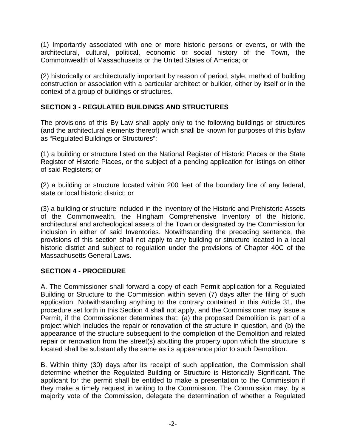(1) Importantly associated with one or more historic persons or events, or with the architectural, cultural, political, economic or social history of the Town, the Commonwealth of Massachusetts or the United States of America; or

(2) historically or architecturally important by reason of period, style, method of building construction or association with a particular architect or builder, either by itself or in the context of a group of buildings or structures.

# **SECTION 3 - REGULATED BUILDINGS AND STRUCTURES**

The provisions of this By-Law shall apply only to the following buildings or structures (and the architectural elements thereof) which shall be known for purposes of this bylaw as "Regulated Buildings or Structures":

(1) a building or structure listed on the National Register of Historic Places or the State Register of Historic Places, or the subject of a pending application for listings on either of said Registers; or

(2) a building or structure located within 200 feet of the boundary line of any federal, state or local historic district; or

(3) a building or structure included in the Inventory of the Historic and Prehistoric Assets of the Commonwealth, the Hingham Comprehensive Inventory of the historic, architectural and archeological assets of the Town or designated by the Commission for inclusion in either of said Inventories. Notwithstanding the preceding sentence, the provisions of this section shall not apply to any building or structure located in a local historic district and subject to regulation under the provisions of Chapter 40C of the Massachusetts General Laws.

# **SECTION 4 - PROCEDURE**

A. The Commissioner shall forward a copy of each Permit application for a Regulated Building or Structure to the Commission within seven (7) days after the filing of such application. Notwithstanding anything to the contrary contained in this Article 31, the procedure set forth in this Section 4 shall not apply, and the Commissioner may issue a Permit, if the Commissioner determines that: (a) the proposed Demolition is part of a project which includes the repair or renovation of the structure in question, and (b) the appearance of the structure subsequent to the completion of the Demolition and related repair or renovation from the street(s) abutting the property upon which the structure is located shall be substantially the same as its appearance prior to such Demolition.

B. Within thirty (30) days after its receipt of such application, the Commission shall determine whether the Regulated Building or Structure is Historically Significant. The applicant for the permit shall be entitled to make a presentation to the Commission if they make a timely request in writing to the Commission. The Commission may, by a majority vote of the Commission, delegate the determination of whether a Regulated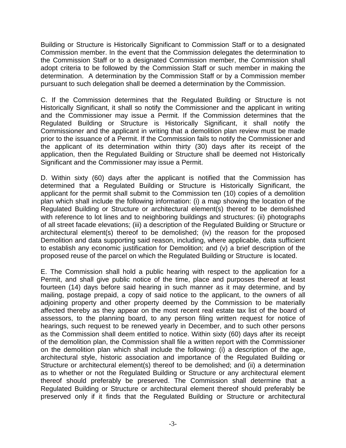Building or Structure is Historically Significant to Commission Staff or to a designated Commission member. In the event that the Commission delegates the determination to the Commission Staff or to a designated Commission member, the Commission shall adopt criteria to be followed by the Commission Staff or such member in making the determination. A determination by the Commission Staff or by a Commission member pursuant to such delegation shall be deemed a determination by the Commission.

C. If the Commission determines that the Regulated Building or Structure is not Historically Significant, it shall so notify the Commissioner and the applicant in writing and the Commissioner may issue a Permit. If the Commission determines that the Regulated Building or Structure is Historically Significant, it shall notify the Commissioner and the applicant in writing that a demolition plan review must be made prior to the issuance of a Permit. If the Commission fails to notify the Commissioner and the applicant of its determination within thirty (30) days after its receipt of the application, then the Regulated Building or Structure shall be deemed not Historically Significant and the Commissioner may issue a Permit.

D. Within sixty (60) days after the applicant is notified that the Commission has determined that a Regulated Building or Structure is Historically Significant, the applicant for the permit shall submit to the Commission ten (10) copies of a demolition plan which shall include the following information: (i) a map showing the location of the Regulated Building or Structure or architectural element(s) thereof to be demolished with reference to lot lines and to neighboring buildings and structures: (ii) photographs of all street facade elevations; (iii) a description of the Regulated Building or Structure or architectural element(s) thereof to be demolished; (iv) the reason for the proposed Demolition and data supporting said reason, including, where applicable, data sufficient to establish any economic justification for Demolition; and (v) a brief description of the proposed reuse of the parcel on which the Regulated Building or Structure is located.

E. The Commission shall hold a public hearing with respect to the application for a Permit, and shall give public notice of the time, place and purposes thereof at least fourteen (14) days before said hearing in such manner as it may determine, and by mailing, postage prepaid, a copy of said notice to the applicant, to the owners of all adjoining property and other property deemed by the Commission to be materially affected thereby as they appear on the most recent real estate tax list of the board of assessors, to the planning board, to any person filing written request for notice of hearings, such request to be renewed yearly in December, and to such other persons as the Commission shall deem entitled to notice. Within sixty (60) days after its receipt of the demolition plan, the Commission shall file a written report with the Commissioner on the demolition plan which shall include the following: (i) a description of the age, architectural style, historic association and importance of the Regulated Building or Structure or architectural element(s) thereof to be demolished; and (ii) a determination as to whether or not the Regulated Building or Structure or any architectural element thereof should preferably be preserved. The Commission shall determine that a Regulated Building or Structure or architectural element thereof should preferably be preserved only if it finds that the Regulated Building or Structure or architectural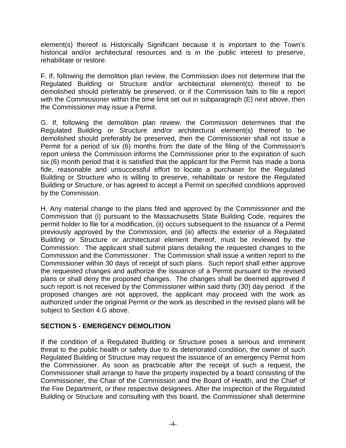element(s) thereof is Historically Significant because it is important to the Town's historical and/or architectural resources and is in the public interest to preserve, rehabilitate or restore.

F. If, following the demolition plan review, the Commission does not determine that the Regulated Building or Structure and/or architectural element(s) thereof to be demolished should preferably be preserved, or if the Commission fails to file a report with the Commissioner within the time limit set out in subparagraph (E) next above, then the Commissioner may issue a Permit.

G. If, following the demolition plan review, the Commission determines that the Regulated Building or Structure and/or architectural element(s) thereof to be demolished should preferably be preserved, then the Commissioner shall not issue a Permit for a period of six (6) months from the date of the filing of the Commission's report unless the Commission informs the Commissioner prior to the expiration of such six (6) month period that it is satisfied that the applicant for the Permit has made a bona fide, reasonable and unsuccessful effort to locate a purchaser for the Regulated Building or Structure who is willing to preserve, rehabilitate or restore the Regulated Building or Structure, or has agreed to accept a Permit on specified conditions approved by the Commission.

H. Any material change to the plans filed and approved by the Commissioner and the Commission that (i) pursuant to the Massachusetts State Building Code, requires the permit holder to file for a modification, (ii) occurs subsequent to the issuance of a Permit previously approved by the Commission, and (iii) affects the exterior of a Regulated Building or Structure or architectural element thereof, must be reviewed by the Commission. The applicant shall submit plans detailing the requested changes to the Commission and the Commissioner. The Commission shall issue a written report to the Commissioner within 30 days of receipt of such plans. Such report shall either approve the requested changes and authorize the issuance of a Permit pursuant to the revised plans or shall deny the proposed changes. The changes shall be deemed approved if such report is not received by the Commissioner within said thirty (30) day period. If the proposed changes are not approved, the applicant may proceed with the work as authorized under the original Permit or the work as described in the revised plans will be subject to Section 4.G above.

# **SECTION 5 - EMERGENCY DEMOLITION**

If the condition of a Regulated Building or Structure poses a serious and imminent threat to the public health or safety due to its deteriorated condition, the owner of such Regulated Building or Structure may request the issuance of an emergency Permit from the Commissioner. As soon as practicable after the receipt of such a request, the Commissioner shall arrange to have the property inspected by a board consisting of the Commissioner, the Chair of the Commission and the Board of Health, and the Chief of the Fire Department, or their respective designees. After the inspection of the Regulated Building or Structure and consulting with this board, the Commissioner shall determine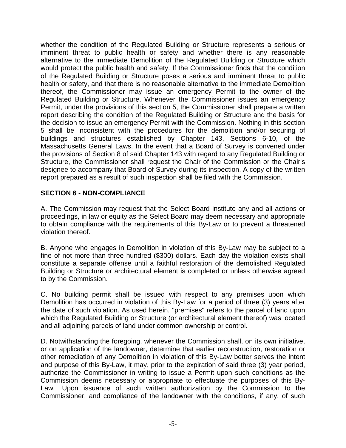whether the condition of the Regulated Building or Structure represents a serious or imminent threat to public health or safety and whether there is any reasonable alternative to the immediate Demolition of the Regulated Building or Structure which would protect the public health and safety. If the Commissioner finds that the condition of the Regulated Building or Structure poses a serious and imminent threat to public health or safety, and that there is no reasonable alternative to the immediate Demolition thereof, the Commissioner may issue an emergency Permit to the owner of the Regulated Building or Structure. Whenever the Commissioner issues an emergency Permit, under the provisions of this section 5, the Commissioner shall prepare a written report describing the condition of the Regulated Building or Structure and the basis for the decision to issue an emergency Permit with the Commission. Nothing in this section 5 shall be inconsistent with the procedures for the demolition and/or securing of buildings and structures established by Chapter 143, Sections 6-10, of the Massachusetts General Laws. In the event that a Board of Survey is convened under the provisions of Section 8 of said Chapter 143 with regard to any Regulated Building or Structure, the Commissioner shall request the Chair of the Commission or the Chair's designee to accompany that Board of Survey during its inspection. A copy of the written report prepared as a result of such inspection shall be filed with the Commission.

# **SECTION 6 - NON-COMPLIANCE**

A. The Commission may request that the Select Board institute any and all actions or proceedings, in law or equity as the Select Board may deem necessary and appropriate to obtain compliance with the requirements of this By-Law or to prevent a threatened violation thereof.

B. Anyone who engages in Demolition in violation of this By-Law may be subject to a fine of not more than three hundred (\$300) dollars. Each day the violation exists shall constitute a separate offense until a faithful restoration of the demolished Regulated Building or Structure or architectural element is completed or unless otherwise agreed to by the Commission.

C. No building permit shall be issued with respect to any premises upon which Demolition has occurred in violation of this By-Law for a period of three (3) years after the date of such violation. As used herein, "premises" refers to the parcel of land upon which the Regulated Building or Structure (or architectural element thereof) was located and all adjoining parcels of land under common ownership or control.

D. Notwithstanding the foregoing, whenever the Commission shall, on its own initiative, or on application of the landowner, determine that earlier reconstruction, restoration or other remediation of any Demolition in violation of this By-Law better serves the intent and purpose of this By-Law, it may, prior to the expiration of said three (3) year period, authorize the Commissioner in writing to issue a Permit upon such conditions as the Commission deems necessary or appropriate to effectuate the purposes of this By-Law. Upon issuance of such written authorization by the Commission to the Commissioner, and compliance of the landowner with the conditions, if any, of such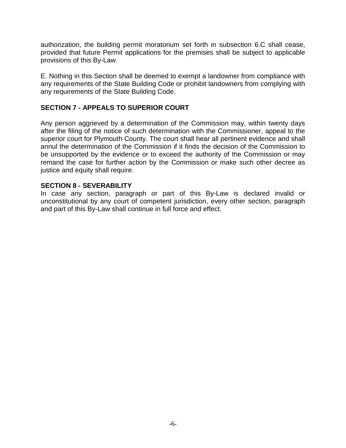authorization, the building permit moratorium set forth in subsection 6.C shall cease, provided that future Permit applications for the premises shall be subject to applicable provisions of this By-Law.

E. Nothing in this Section shall be deemed to exempt a landowner from compliance with any requirements of the State Building Code or prohibit landowners from complying with any requirements of the State Building Code.

# **SECTION 7 - APPEALS TO SUPERIOR COURT**

Any person aggrieved by a determination of the Commission may, within twenty days after the filing of the notice of such determination with the Commissioner, appeal to the superior court for Plymouth County. The court shall hear all pertinent evidence and shall annul the determination of the Commission if it finds the decision of the Commission to be unsupported by the evidence or to exceed the authority of the Commission or may remand the case for further action by the Commission or make such other decree as justice and equity shall require.

### **SECTION 8 - SEVERABILITY**

In case any section, paragraph or part of this By-Law is declared invalid or unconstitutional by any court of competent jurisdiction, every other section, paragraph and part of this By-Law shall continue in full force and effect.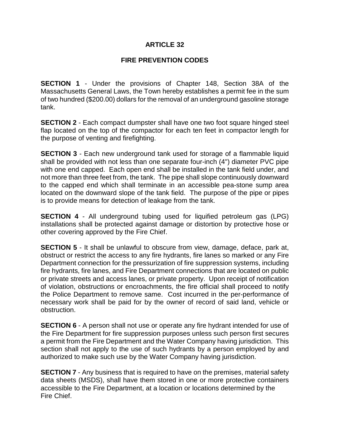## **FIRE PREVENTION CODES**

**SECTION 1** - Under the provisions of Chapter 148, Section 38A of the Massachusetts General Laws, the Town hereby establishes a permit fee in the sum of two hundred (\$200.00) dollars for the removal of an underground gasoline storage tank.

**SECTION 2** - Each compact dumpster shall have one two foot square hinged steel flap located on the top of the compactor for each ten feet in compactor length for the purpose of venting and firefighting.

**SECTION 3** - Each new underground tank used for storage of a flammable liquid shall be provided with not less than one separate four-inch (4") diameter PVC pipe with one end capped. Each open end shall be installed in the tank field under, and not more than three feet from, the tank. The pipe shall slope continuously downward to the capped end which shall terminate in an accessible pea-stone sump area located on the downward slope of the tank field. The purpose of the pipe or pipes is to provide means for detection of leakage from the tank.

**SECTION 4** - All underground tubing used for liquified petroleum gas (LPG) installations shall be protected against damage or distortion by protective hose or other covering approved by the Fire Chief.

**SECTION 5** - It shall be unlawful to obscure from view, damage, deface, park at, obstruct or restrict the access to any fire hydrants, fire lanes so marked or any Fire Department connection for the pressurization of fire suppression systems, including fire hydrants, fire lanes, and Fire Department connections that are located on public or private streets and access lanes, or private property. Upon receipt of notification of violation, obstructions or encroachments, the fire official shall proceed to notify the Police Department to remove same. Cost incurred in the per-performance of necessary work shall be paid for by the owner of record of said land, vehicle or obstruction.

**SECTION 6** - A person shall not use or operate any fire hydrant intended for use of the Fire Department for fire suppression purposes unless such person first secures a permit from the Fire Department and the Water Company having jurisdiction. This section shall not apply to the use of such hydrants by a person employed by and authorized to make such use by the Water Company having jurisdiction.

**SECTION 7** - Any business that is required to have on the premises, material safety data sheets (MSDS), shall have them stored in one or more protective containers accessible to the Fire Department, at a location or locations determined by the Fire Chief.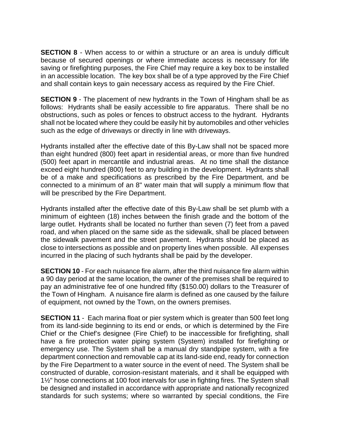**SECTION 8** - When access to or within a structure or an area is unduly difficult because of secured openings or where immediate access is necessary for life saving or firefighting purposes, the Fire Chief may require a key box to be installed in an accessible location. The key box shall be of a type approved by the Fire Chief and shall contain keys to gain necessary access as required by the Fire Chief.

**SECTION 9** - The placement of new hydrants in the Town of Hingham shall be as follows: Hydrants shall be easily accessible to fire apparatus. There shall be no obstructions, such as poles or fences to obstruct access to the hydrant. Hydrants shall not be located where they could be easily hit by automobiles and other vehicles such as the edge of driveways or directly in line with driveways.

Hydrants installed after the effective date of this By-Law shall not be spaced more than eight hundred (800) feet apart in residential areas, or more than five hundred (500) feet apart in mercantile and industrial areas. At no time shall the distance exceed eight hundred (800) feet to any building in the development. Hydrants shall be of a make and specifications as prescribed by the Fire Department, and be connected to a minimum of an 8" water main that will supply a minimum flow that will be prescribed by the Fire Department.

Hydrants installed after the effective date of this By-Law shall be set plumb with a minimum of eighteen (18) inches between the finish grade and the bottom of the large outlet. Hydrants shall be located no further than seven (7) feet from a paved road, and when placed on the same side as the sidewalk, shall be placed between the sidewalk pavement and the street pavement. Hydrants should be placed as close to intersections as possible and on property lines when possible. All expenses incurred in the placing of such hydrants shall be paid by the developer.

**SECTION 10** - For each nuisance fire alarm, after the third nuisance fire alarm within a 90 day period at the same location, the owner of the premises shall be required to pay an administrative fee of one hundred fifty (\$150.00) dollars to the Treasurer of the Town of Hingham. A nuisance fire alarm is defined as one caused by the failure of equipment, not owned by the Town, on the owners premises.

**SECTION 11** - Each marina float or pier system which is greater than 500 feet long from its land-side beginning to its end or ends, or which is determined by the Fire Chief or the Chief's designee (Fire Chief) to be inaccessible for firefighting, shall have a fire protection water piping system (System) installed for firefighting or emergency use. The System shall be a manual dry standpipe system, with a fire department connection and removable cap at its land-side end, ready for connection by the Fire Department to a water source in the event of need. The System shall be constructed of durable, corrosion-resistant materials, and it shall be equipped with 1½" hose connections at 100 foot intervals for use in fighting fires. The System shall be designed and installed in accordance with appropriate and nationally recognized standards for such systems; where so warranted by special conditions, the Fire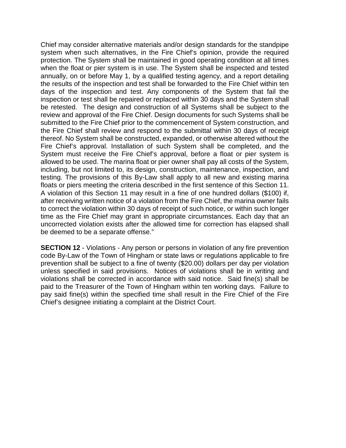Chief may consider alternative materials and/or design standards for the standpipe system when such alternatives, in the Fire Chief's opinion, provide the required protection. The System shall be maintained in good operating condition at all times when the float or pier system is in use. The System shall be inspected and tested annually, on or before May 1, by a qualified testing agency, and a report detailing the results of the inspection and test shall be forwarded to the Fire Chief within ten days of the inspection and test. Any components of the System that fail the inspection or test shall be repaired or replaced within 30 days and the System shall be retested. The design and construction of all Systems shall be subject to the review and approval of the Fire Chief. Design documents for such Systems shall be submitted to the Fire Chief prior to the commencement of System construction, and the Fire Chief shall review and respond to the submittal within 30 days of receipt thereof. No System shall be constructed, expanded, or otherwise altered without the Fire Chief's approval. Installation of such System shall be completed, and the System must receive the Fire Chief's approval, before a float or pier system is allowed to be used. The marina float or pier owner shall pay all costs of the System, including, but not limited to, its design, construction, maintenance, inspection, and testing. The provisions of this By-Law shall apply to all new and existing marina floats or piers meeting the criteria described in the first sentence of this Section 11. A violation of this Section 11 may result in a fine of one hundred dollars (\$100) if, after receiving written notice of a violation from the Fire Chief, the marina owner fails to correct the violation within 30 days of receipt of such notice, or within such longer time as the Fire Chief may grant in appropriate circumstances. Each day that an uncorrected violation exists after the allowed time for correction has elapsed shall be deemed to be a separate offense."

**SECTION 12** - Violations - Any person or persons in violation of any fire prevention code By-Law of the Town of Hingham or state laws or regulations applicable to fire prevention shall be subject to a fine of twenty (\$20.00) dollars per day per violation unless specified in said provisions. Notices of violations shall be in writing and violations shall be corrected in accordance with said notice. Said fine(s) shall be paid to the Treasurer of the Town of Hingham within ten working days. Failure to pay said fine(s) within the specified time shall result in the Fire Chief of the Fire Chief's designee initiating a complaint at the District Court.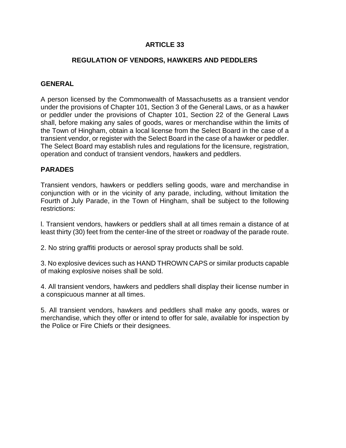## **REGULATION OF VENDORS, HAWKERS AND PEDDLERS**

## **GENERAL**

A person licensed by the Commonwealth of Massachusetts as a transient vendor under the provisions of Chapter 101, Section 3 of the General Laws, or as a hawker or peddler under the provisions of Chapter 101, Section 22 of the General Laws shall, before making any sales of goods, wares or merchandise within the limits of the Town of Hingham, obtain a local license from the Select Board in the case of a transient vendor, or register with the Select Board in the case of a hawker or peddler. The Select Board may establish rules and regulations for the licensure, registration, operation and conduct of transient vendors, hawkers and peddlers.

# **PARADES**

Transient vendors, hawkers or peddlers selling goods, ware and merchandise in conjunction with or in the vicinity of any parade, including, without limitation the Fourth of July Parade, in the Town of Hingham, shall be subject to the following restrictions:

l. Transient vendors, hawkers or peddlers shall at all times remain a distance of at least thirty (30) feet from the center-line of the street or roadway of the parade route.

2. No string graffiti products or aerosol spray products shall be sold.

3. No explosive devices such as HAND THROWN CAPS or similar products capable of making explosive noises shall be sold.

4. All transient vendors, hawkers and peddlers shall display their license number in a conspicuous manner at all times.

5. All transient vendors, hawkers and peddlers shall make any goods, wares or merchandise, which they offer or intend to offer for sale, available for inspection by the Police or Fire Chiefs or their designees.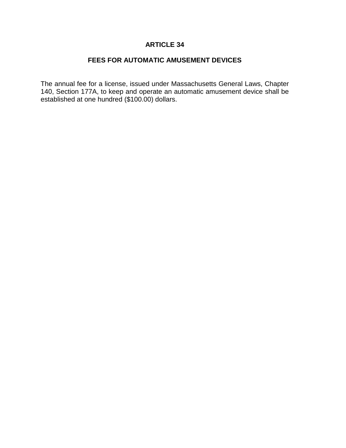# **FEES FOR AUTOMATIC AMUSEMENT DEVICES**

The annual fee for a license, issued under Massachusetts General Laws, Chapter 140, Section 177A, to keep and operate an automatic amusement device shall be established at one hundred (\$100.00) dollars.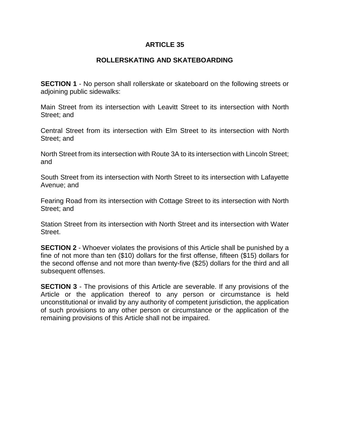### **ROLLERSKATING AND SKATEBOARDING**

**SECTION 1** - No person shall rollerskate or skateboard on the following streets or adjoining public sidewalks:

Main Street from its intersection with Leavitt Street to its intersection with North Street; and

Central Street from its intersection with Elm Street to its intersection with North Street; and

North Street from its intersection with Route 3A to its intersection with Lincoln Street; and

South Street from its intersection with North Street to its intersection with Lafayette Avenue; and

Fearing Road from its intersection with Cottage Street to its intersection with North Street; and

Station Street from its intersection with North Street and its intersection with Water Street.

**SECTION 2** - Whoever violates the provisions of this Article shall be punished by a fine of not more than ten (\$10) dollars for the first offense, fifteen (\$15) dollars for the second offense and not more than twenty-five (\$25) dollars for the third and all subsequent offenses.

**SECTION 3** - The provisions of this Article are severable. If any provisions of the Article or the application thereof to any person or circumstance is held unconstitutional or invalid by any authority of competent jurisdiction, the application of such provisions to any other person or circumstance or the application of the remaining provisions of this Article shall not be impaired.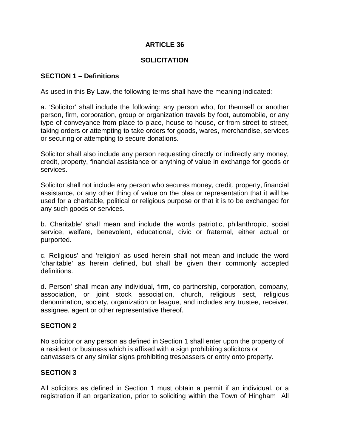## **SOLICITATION**

### **SECTION 1 – Definitions**

As used in this By-Law, the following terms shall have the meaning indicated:

a. 'Solicitor' shall include the following: any person who, for themself or another person, firm, corporation, group or organization travels by foot, automobile, or any type of conveyance from place to place, house to house, or from street to street, taking orders or attempting to take orders for goods, wares, merchandise, services or securing or attempting to secure donations.

Solicitor shall also include any person requesting directly or indirectly any money, credit, property, financial assistance or anything of value in exchange for goods or services.

Solicitor shall not include any person who secures money, credit, property, financial assistance, or any other thing of value on the plea or representation that it will be used for a charitable, political or religious purpose or that it is to be exchanged for any such goods or services.

b. Charitable' shall mean and include the words patriotic, philanthropic, social service, welfare, benevolent, educational, civic or fraternal, either actual or purported.

c. Religious' and 'religion' as used herein shall not mean and include the word 'charitable' as herein defined, but shall be given their commonly accepted definitions.

d. Person' shall mean any individual, firm, co-partnership, corporation, company, association, or joint stock association, church, religious sect, religious denomination, society, organization or league, and includes any trustee, receiver, assignee, agent or other representative thereof.

## **SECTION 2**

No solicitor or any person as defined in Section 1 shall enter upon the property of a resident or business which is affixed with a sign prohibiting solicitors or canvassers or any similar signs prohibiting trespassers or entry onto property.

## **SECTION 3**

All solicitors as defined in Section 1 must obtain a permit if an individual, or a registration if an organization, prior to soliciting within the Town of Hingham All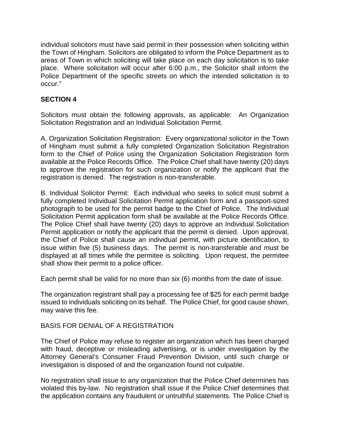individual solicitors must have said permit in their possession when soliciting within the Town of Hingham. Solicitors are obligated to inform the Police Department as to areas of Town in which soliciting will take place on each day solicitation is to take place. Where solicitation will occur after 6:00 p.m., the Solicitor shall inform the Police Department of the specific streets on which the intended solicitation is to occur."

## **SECTION 4**

Solicitors must obtain the following approvals, as applicable: An Organization Solicitation Registration and an Individual Solicitation Permit.

A. Organization Solicitation Registration: Every organizational solicitor in the Town of Hingham must submit a fully completed Organization Solicitation Registration form to the Chief of Police using the Organization Solicitation Registration form available at the Police Records Office. The Police Chief shall have twenty (20) days to approve the registration for such organization or notify the applicant that the registration is denied. The registration is non-transferable.

B. Individual Solicitor Permit: Each individual who seeks to solicit must submit a fully completed Individual Solicitation Permit application form and a passport-sized photograph to be used for the permit badge to the Chief of Police. The Individual Solicitation Permit application form shall be available at the Police Records Office. The Police Chief shall have twenty (20) days to approve an Individual Solicitation Permit application or notify the applicant that the permit is denied. Upon approval, the Chief of Police shall cause an individual permit, with picture identification, to issue within five (5) business days. The permit is non-transferable and must be displayed at all times while the permitee is soliciting. Upon request, the permitee shall show their permit to a police officer.

Each permit shall be valid for no more than six (6) months from the date of issue.

The organization registrant shall pay a processing fee of \$25 for each permit badge issued to individuals soliciting on its behalf. The Police Chief, for good cause shown, may waive this fee.

## BASIS FOR DENIAL OF A REGISTRATION

The Chief of Police may refuse to register an organization which has been charged with fraud, deceptive or misleading advertising, or is under investigation by the Attorney General's Consumer Fraud Prevention Division, until such charge or investigation is disposed of and the organization found not culpable.

No registration shall issue to any organization that the Police Chief determines has violated this by-law. No registration shall issue if the Police Chief determines that the application contains any fraudulent or untruthful statements. The Police Chief is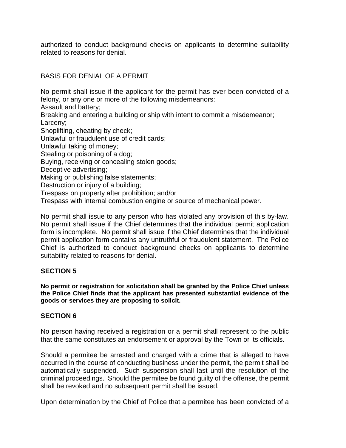authorized to conduct background checks on applicants to determine suitability related to reasons for denial.

BASIS FOR DENIAL OF A PERMIT

No permit shall issue if the applicant for the permit has ever been convicted of a felony, or any one or more of the following misdemeanors:

Assault and battery;

Breaking and entering a building or ship with intent to commit a misdemeanor; Larceny;

Shoplifting, cheating by check;

Unlawful or fraudulent use of credit cards;

Unlawful taking of money;

Stealing or poisoning of a dog;

Buying, receiving or concealing stolen goods;

Deceptive advertising;

Making or publishing false statements;

Destruction or injury of a building;

Trespass on property after prohibition; and/or

Trespass with internal combustion engine or source of mechanical power.

No permit shall issue to any person who has violated any provision of this by-law. No permit shall issue if the Chief determines that the individual permit application form is incomplete. No permit shall issue if the Chief determines that the individual permit application form contains any untruthful or fraudulent statement. The Police Chief is authorized to conduct background checks on applicants to determine suitability related to reasons for denial.

## **SECTION 5**

**No permit or registration for solicitation shall be granted by the Police Chief unless the Police Chief finds that the applicant has presented substantial evidence of the goods or services they are proposing to solicit.**

# **SECTION 6**

No person having received a registration or a permit shall represent to the public that the same constitutes an endorsement or approval by the Town or its officials.

Should a permitee be arrested and charged with a crime that is alleged to have occurred in the course of conducting business under the permit, the permit shall be automatically suspended. Such suspension shall last until the resolution of the criminal proceedings. Should the permitee be found guilty of the offense, the permit shall be revoked and no subsequent permit shall be issued.

Upon determination by the Chief of Police that a permitee has been convicted of a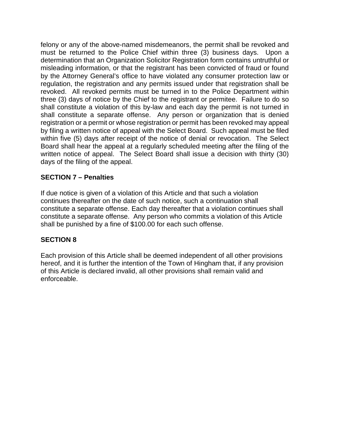felony or any of the above-named misdemeanors, the permit shall be revoked and must be returned to the Police Chief within three (3) business days. Upon a determination that an Organization Solicitor Registration form contains untruthful or misleading information, or that the registrant has been convicted of fraud or found by the Attorney General's office to have violated any consumer protection law or regulation, the registration and any permits issued under that registration shall be revoked. All revoked permits must be turned in to the Police Department within three (3) days of notice by the Chief to the registrant or permitee. Failure to do so shall constitute a violation of this by-law and each day the permit is not turned in shall constitute a separate offense. Any person or organization that is denied registration or a permit or whose registration or permit has been revoked may appeal by filing a written notice of appeal with the Select Board. Such appeal must be filed within five (5) days after receipt of the notice of denial or revocation. The Select Board shall hear the appeal at a regularly scheduled meeting after the filing of the written notice of appeal. The Select Board shall issue a decision with thirty (30) days of the filing of the appeal.

## **SECTION 7 – Penalties**

If due notice is given of a violation of this Article and that such a violation continues thereafter on the date of such notice, such a continuation shall constitute a separate offense. Each day thereafter that a violation continues shall constitute a separate offense. Any person who commits a violation of this Article shall be punished by a fine of \$100.00 for each such offense.

## **SECTION 8**

Each provision of this Article shall be deemed independent of all other provisions hereof, and it is further the intention of the Town of Hingham that, if any provision of this Article is declared invalid, all other provisions shall remain valid and enforceable.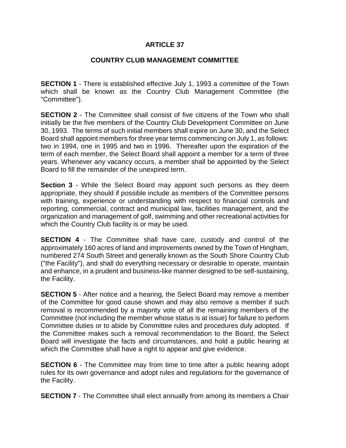### **COUNTRY CLUB MANAGEMENT COMMITTEE**

**SECTION 1** - There is established effective July 1, 1993 a committee of the Town which shall be known as the Country Club Management Committee (the "Committee").

**SECTION 2** - The Committee shall consist of five citizens of the Town who shall initially be the five members of the Country Club Development Committee on June 30, 1993. The terms of such initial members shall expire on June 30, and the Select Board shall appoint members for three year terms commencing on July 1, as follows: two in 1994, one in 1995 and two in 1996. Thereafter upon the expiration of the term of each member, the Select Board shall appoint a member for a term of three years. Whenever any vacancy occurs, a member shall be appointed by the Select Board to fill the remainder of the unexpired term.

**Section 3** - While the Select Board may appoint such persons as they deem appropriate, they should if possible include as members of the Committee persons with training, experience or understanding with respect to financial controls and reporting, commercial, contract and municipal law, facilities management, and the organization and management of golf, swimming and other recreational activities for which the Country Club facility is or may be used.

**SECTION 4** - The Committee shall have care, custody and control of the approximately 160 acres of land and improvements owned by the Town of Hingham, numbered 274 South Street and generally known as the South Shore Country Club ("the Facility"), and shall do everything necessary or desirable to operate, maintain and enhance, in a prudent and business-like manner designed to be self-sustaining, the Facility.

**SECTION 5** - After notice and a hearing, the Select Board may remove a member of the Committee for good cause shown and may also remove a member if such removal is recommended by a majority vote of all the remaining members of the Committee (not including the member whose status is at issue) for failure to perform Committee duties or to abide by Committee rules and procedures duly adopted. If the Committee makes such a removal recommendation to the Board, the Select Board will investigate the facts and circumstances, and hold a public hearing at which the Committee shall have a right to appear and give evidence.

**SECTION 6** - The Committee may from time to time after a public hearing adopt rules for its own governance and adopt rules and regulations for the governance of the Facility.

**SECTION 7** - The Committee shall elect annually from among its members a Chair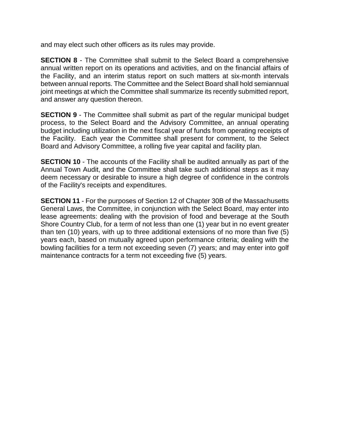and may elect such other officers as its rules may provide.

**SECTION 8** - The Committee shall submit to the Select Board a comprehensive annual written report on its operations and activities, and on the financial affairs of the Facility, and an interim status report on such matters at six-month intervals between annual reports. The Committee and the Select Board shall hold semiannual joint meetings at which the Committee shall summarize its recently submitted report, and answer any question thereon.

**SECTION 9** - The Committee shall submit as part of the regular municipal budget process, to the Select Board and the Advisory Committee, an annual operating budget including utilization in the next fiscal year of funds from operating receipts of the Facility. Each year the Committee shall present for comment, to the Select Board and Advisory Committee, a rolling five year capital and facility plan.

**SECTION 10** - The accounts of the Facility shall be audited annually as part of the Annual Town Audit, and the Committee shall take such additional steps as it may deem necessary or desirable to insure a high degree of confidence in the controls of the Facility's receipts and expenditures.

**SECTION 11** - For the purposes of Section 12 of Chapter 30B of the Massachusetts General Laws, the Committee, in conjunction with the Select Board, may enter into lease agreements: dealing with the provision of food and beverage at the South Shore Country Club, for a term of not less than one (1) year but in no event greater than ten (10) years, with up to three additional extensions of no more than five (5) years each, based on mutually agreed upon performance criteria; dealing with the bowling facilities for a term not exceeding seven (7) years; and may enter into golf maintenance contracts for a term not exceeding five (5) years.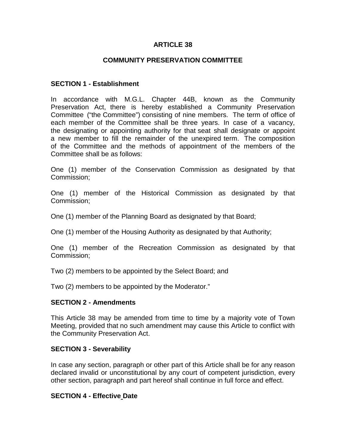### **COMMUNITY PRESERVATION COMMITTEE**

#### **SECTION 1 - Establishment**

In accordance with M.G.L. Chapter 44B, known as the Community Preservation Act, there is hereby established a Community Preservation Committee ("the Committee") consisting of nine members. The term of office of each member of the Committee shall be three years. In case of a vacancy, the designating or appointing authority for that seat shall designate or appoint a new member to fill the remainder of the unexpired term. The composition of the Committee and the methods of appointment of the members of the Committee shall be as follows:

One (1) member of the Conservation Commission as designated by that Commission;

One (1) member of the Historical Commission as designated by that Commission;

One (1) member of the Planning Board as designated by that Board;

One (1) member of the Housing Authority as designated by that Authority;

One (1) member of the Recreation Commission as designated by that Commission;

Two (2) members to be appointed by the Select Board; and

Two (2) members to be appointed by the Moderator."

#### **SECTION 2 - Amendments**

This Article 38 may be amended from time to time by a majority vote of Town Meeting, provided that no such amendment may cause this Article to conflict with the Community Preservation Act.

#### **SECTION 3 - Severability**

In case any section, paragraph or other part of this Article shall be for any reason declared invalid or unconstitutional by any court of competent jurisdiction, every other section, paragraph and part hereof shall continue in full force and effect.

#### **SECTION 4 - Effective Date**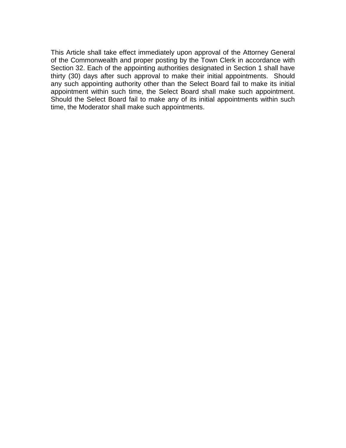This Article shall take effect immediately upon approval of the Attorney General of the Commonwealth and proper posting by the Town Clerk in accordance with Section 32. Each of the appointing authorities designated in Section 1 shall have thirty (30) days after such approval to make their initial appointments. Should any such appointing authority other than the Select Board fail to make its initial appointment within such time, the Select Board shall make such appointment. Should the Select Board fail to make any of its initial appointments within such time, the Moderator shall make such appointments.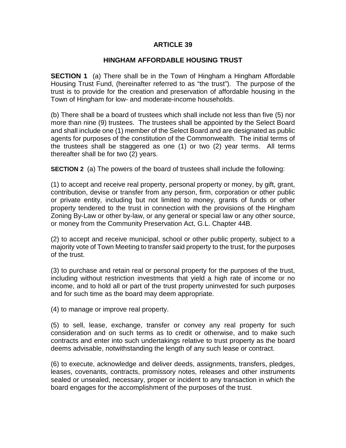### **HINGHAM AFFORDABLE HOUSING TRUST**

**SECTION 1** (a) There shall be in the Town of Hingham a Hingham Affordable Housing Trust Fund, (hereinafter referred to as "the trust"). The purpose of the trust is to provide for the creation and preservation of affordable housing in the Town of Hingham for low- and moderate-income households.

(b) There shall be a board of trustees which shall include not less than five (5) nor more than nine (9) trustees. The trustees shall be appointed by the Select Board and shall include one (1) member of the Select Board and are designated as public agents for purposes of the constitution of the Commonwealth. The initial terms of the trustees shall be staggered as one (1) or two (2) year terms. All terms thereafter shall be for two (2) years.

**SECTION 2** (a) The powers of the board of trustees shall include the following:

(1) to accept and receive real property, personal property or money, by gift, grant, contribution, devise or transfer from any person, firm, corporation or other public or private entity, including but not limited to money, grants of funds or other property tendered to the trust in connection with the provisions of the Hingham Zoning By-Law or other by-law, or any general or special law or any other source, or money from the Community Preservation Act, G.L. Chapter 44B.

(2) to accept and receive municipal, school or other public property, subject to a majority vote of Town Meeting to transfer said property to the trust, for the purposes of the trust.

(3) to purchase and retain real or personal property for the purposes of the trust, including without restriction investments that yield a high rate of income or no income, and to hold all or part of the trust property uninvested for such purposes and for such time as the board may deem appropriate.

(4) to manage or improve real property.

(5) to sell, lease, exchange, transfer or convey any real property for such consideration and on such terms as to credit or otherwise, and to make such contracts and enter into such undertakings relative to trust property as the board deems advisable, notwithstanding the length of any such lease or contract.

(6) to execute, acknowledge and deliver deeds, assignments, transfers, pledges, leases, covenants, contracts, promissory notes, releases and other instruments sealed or unsealed, necessary, proper or incident to any transaction in which the board engages for the accomplishment of the purposes of the trust.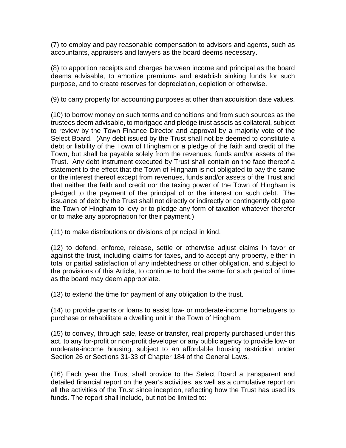(7) to employ and pay reasonable compensation to advisors and agents, such as accountants, appraisers and lawyers as the board deems necessary.

(8) to apportion receipts and charges between income and principal as the board deems advisable, to amortize premiums and establish sinking funds for such purpose, and to create reserves for depreciation, depletion or otherwise.

(9) to carry property for accounting purposes at other than acquisition date values.

(10) to borrow money on such terms and conditions and from such sources as the trustees deem advisable, to mortgage and pledge trust assets as collateral, subject to review by the Town Finance Director and approval by a majority vote of the Select Board. (Any debt issued by the Trust shall not be deemed to constitute a debt or liability of the Town of Hingham or a pledge of the faith and credit of the Town, but shall be payable solely from the revenues, funds and/or assets of the Trust. Any debt instrument executed by Trust shall contain on the face thereof a statement to the effect that the Town of Hingham is not obligated to pay the same or the interest thereof except from revenues, funds and/or assets of the Trust and that neither the faith and credit nor the taxing power of the Town of Hingham is pledged to the payment of the principal of or the interest on such debt. The issuance of debt by the Trust shall not directly or indirectly or contingently obligate the Town of Hingham to levy or to pledge any form of taxation whatever therefor or to make any appropriation for their payment.)

(11) to make distributions or divisions of principal in kind.

(12) to defend, enforce, release, settle or otherwise adjust claims in favor or against the trust, including claims for taxes, and to accept any property, either in total or partial satisfaction of any indebtedness or other obligation, and subject to the provisions of this Article, to continue to hold the same for such period of time as the board may deem appropriate.

(13) to extend the time for payment of any obligation to the trust.

(14) to provide grants or loans to assist low- or moderate-income homebuyers to purchase or rehabilitate a dwelling unit in the Town of Hingham.

(15) to convey, through sale, lease or transfer, real property purchased under this act, to any for-profit or non-profit developer or any public agency to provide low- or moderate-income housing, subject to an affordable housing restriction under Section 26 or Sections 31-33 of Chapter 184 of the General Laws.

(16) Each year the Trust shall provide to the Select Board a transparent and detailed financial report on the year's activities, as well as a cumulative report on all the activities of the Trust since inception, reflecting how the Trust has used its funds. The report shall include, but not be limited to: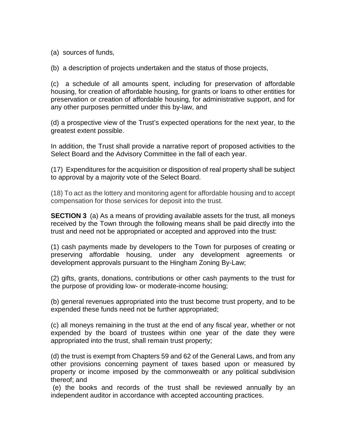(a) sources of funds,

(b) a description of projects undertaken and the status of those projects,

(c) a schedule of all amounts spent, including for preservation of affordable housing, for creation of affordable housing, for grants or loans to other entities for preservation or creation of affordable housing, for administrative support, and for any other purposes permitted under this by-law, and

(d) a prospective view of the Trust's expected operations for the next year, to the greatest extent possible.

In addition, the Trust shall provide a narrative report of proposed activities to the Select Board and the Advisory Committee in the fall of each year.

(17) Expenditures for the acquisition or disposition of real property shall be subject to approval by a majority vote of the Select Board.

(18) To act as the lottery and monitoring agent for affordable housing and to accept compensation for those services for deposit into the trust.

**SECTION 3** (a) As a means of providing available assets for the trust, all moneys received by the Town through the following means shall be paid directly into the trust and need not be appropriated or accepted and approved into the trust:

(1) cash payments made by developers to the Town for purposes of creating or preserving affordable housing, under any development agreements or development approvals pursuant to the Hingham Zoning By-Law;

(2) gifts, grants, donations, contributions or other cash payments to the trust for the purpose of providing low- or moderate-income housing;

(b) general revenues appropriated into the trust become trust property, and to be expended these funds need not be further appropriated;

(c) all moneys remaining in the trust at the end of any fiscal year, whether or not expended by the board of trustees within one year of the date they were appropriated into the trust, shall remain trust property;

(d) the trust is exempt from Chapters 59 and 62 of the General Laws, and from any other provisions concerning payment of taxes based upon or measured by property or income imposed by the commonwealth or any political subdivision thereof; and

(e) the books and records of the trust shall be reviewed annually by an independent auditor in accordance with accepted accounting practices.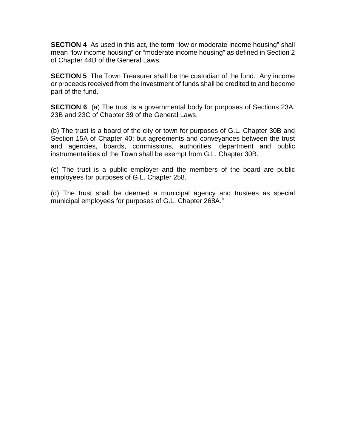**SECTION 4** As used in this act, the term "low or moderate income housing" shall mean "low income housing" or "moderate income housing" as defined in Section 2 of Chapter 44B of the General Laws.

**SECTION 5** The Town Treasurer shall be the custodian of the fund. Any income or proceeds received from the investment of funds shall be credited to and become part of the fund.

**SECTION 6** (a) The trust is a governmental body for purposes of Sections 23A, 23B and 23C of Chapter 39 of the General Laws.

(b) The trust is a board of the city or town for purposes of G.L. Chapter 30B and Section 15A of Chapter 40; but agreements and conveyances between the trust and agencies, boards, commissions, authorities, department and public instrumentalities of the Town shall be exempt from G.L. Chapter 30B.

(c) The trust is a public employer and the members of the board are public employees for purposes of G.L. Chapter 258.

(d) The trust shall be deemed a municipal agency and trustees as special municipal employees for purposes of G.L. Chapter 268A."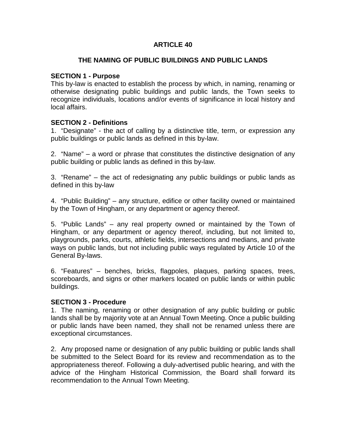### **THE NAMING OF PUBLIC BUILDINGS AND PUBLIC LANDS**

#### **SECTION 1 - Purpose**

This by-law is enacted to establish the process by which, in naming, renaming or otherwise designating public buildings and public lands, the Town seeks to recognize individuals, locations and/or events of significance in local history and local affairs.

### **SECTION 2 - Definitions**

1. "Designate" - the act of calling by a distinctive title, term, or expression any public buildings or public lands as defined in this by-law.

2. "Name" – a word or phrase that constitutes the distinctive designation of any public building or public lands as defined in this by-law.

3. "Rename" – the act of redesignating any public buildings or public lands as defined in this by-law

4. "Public Building" – any structure, edifice or other facility owned or maintained by the Town of Hingham, or any department or agency thereof.

5. "Public Lands" – any real property owned or maintained by the Town of Hingham, or any department or agency thereof, including, but not limited to, playgrounds, parks, courts, athletic fields, intersections and medians, and private ways on public lands, but not including public ways regulated by Article 10 of the General By-laws.

6. "Features" – benches, bricks, flagpoles, plaques, parking spaces, trees, scoreboards, and signs or other markers located on public lands or within public buildings.

#### **SECTION 3 - Procedure**

1. The naming, renaming or other designation of any public building or public lands shall be by majority vote at an Annual Town Meeting. Once a public building or public lands have been named, they shall not be renamed unless there are exceptional circumstances.

2. Any proposed name or designation of any public building or public lands shall be submitted to the Select Board for its review and recommendation as to the appropriateness thereof. Following a duly-advertised public hearing, and with the advice of the Hingham Historical Commission, the Board shall forward its recommendation to the Annual Town Meeting.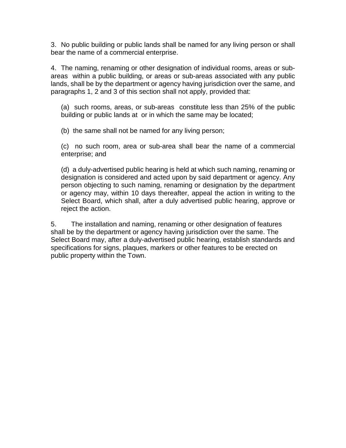3. No public building or public lands shall be named for any living person or shall bear the name of a commercial enterprise.

4. The naming, renaming or other designation of individual rooms, areas or subareas within a public building, or areas or sub-areas associated with any public lands, shall be by the department or agency having jurisdiction over the same, and paragraphs 1, 2 and 3 of this section shall not apply, provided that:

(a) such rooms, areas, or sub-areas constitute less than 25% of the public building or public lands at or in which the same may be located;

(b) the same shall not be named for any living person;

(c) no such room, area or sub-area shall bear the name of a commercial enterprise; and

(d) a duly-advertised public hearing is held at which such naming, renaming or designation is considered and acted upon by said department or agency. Any person objecting to such naming, renaming or designation by the department or agency may, within 10 days thereafter, appeal the action in writing to the Select Board, which shall, after a duly advertised public hearing, approve or reject the action.

5. The installation and naming, renaming or other designation of features shall be by the department or agency having jurisdiction over the same. The Select Board may, after a duly-advertised public hearing, establish standards and specifications for signs, plaques, markers or other features to be erected on public property within the Town.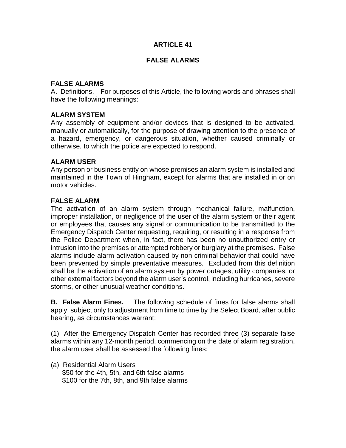### **FALSE ALARMS**

#### **FALSE ALARMS**

A. Definitions. For purposes of this Article, the following words and phrases shall have the following meanings:

#### **ALARM SYSTEM**

Any assembly of equipment and/or devices that is designed to be activated, manually or automatically, for the purpose of drawing attention to the presence of a hazard, emergency, or dangerous situation, whether caused criminally or otherwise, to which the police are expected to respond.

#### **ALARM USER**

Any person or business entity on whose premises an alarm system is installed and maintained in the Town of Hingham, except for alarms that are installed in or on motor vehicles.

#### **FALSE ALARM**

The activation of an alarm system through mechanical failure, malfunction, improper installation, or negligence of the user of the alarm system or their agent or employees that causes any signal or communication to be transmitted to the Emergency Dispatch Center requesting, requiring, or resulting in a response from the Police Department when, in fact, there has been no unauthorized entry or intrusion into the premises or attempted robbery or burglary at the premises. False alarms include alarm activation caused by non-criminal behavior that could have been prevented by simple preventative measures. Excluded from this definition shall be the activation of an alarm system by power outages, utility companies, or other external factors beyond the alarm user's control, including hurricanes, severe storms, or other unusual weather conditions.

**B. False Alarm Fines.** The following schedule of fines for false alarms shall apply, subject only to adjustment from time to time by the Select Board, after public hearing, as circumstances warrant:

(1) After the Emergency Dispatch Center has recorded three (3) separate false alarms within any 12-month period, commencing on the date of alarm registration, the alarm user shall be assessed the following fines:

(a) Residential Alarm Users \$50 for the 4th, 5th, and 6th false alarms \$100 for the 7th, 8th, and 9th false alarms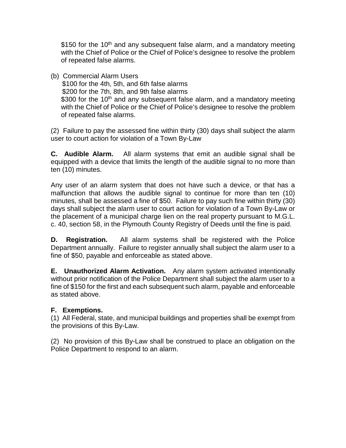\$150 for the 10<sup>th</sup> and any subsequent false alarm, and a mandatory meeting with the Chief of Police or the Chief of Police's designee to resolve the problem of repeated false alarms.

(b) Commercial Alarm Users

 \$100 for the 4th, 5th, and 6th false alarms \$200 for the 7th, 8th, and 9th false alarms \$300 for the 10<sup>th</sup> and any subsequent false alarm, and a mandatory meeting with the Chief of Police or the Chief of Police's designee to resolve the problem of repeated false alarms.

(2)Failure to pay the assessed fine within thirty (30) days shall subject the alarm user to court action for violation of a Town By-Law

**C. Audible Alarm.** All alarm systems that emit an audible signal shall be equipped with a device that limits the length of the audible signal to no more than ten (10) minutes.

Any user of an alarm system that does not have such a device, or that has a malfunction that allows the audible signal to continue for more than ten (10) minutes, shall be assessed a fine of \$50. Failure to pay such fine within thirty (30) days shall subject the alarm user to court action for violation of a Town By-Law or the placement of a municipal charge lien on the real property pursuant to M.G.L. c. 40, section 58, in the Plymouth County Registry of Deeds until the fine is paid.

**D. Registration.** All alarm systems shall be registered with the Police Department annually. Failure to register annually shall subject the alarm user to a fine of \$50, payable and enforceable as stated above.

**E. Unauthorized Alarm Activation.** Any alarm system activated intentionally without prior notification of the Police Department shall subject the alarm user to a fine of \$150 for the first and each subsequent such alarm, payable and enforceable as stated above.

# **F. Exemptions.**

(1) All Federal, state, and municipal buildings and properties shall be exempt from the provisions of this By-Law.

(2) No provision of this By-Law shall be construed to place an obligation on the Police Department to respond to an alarm.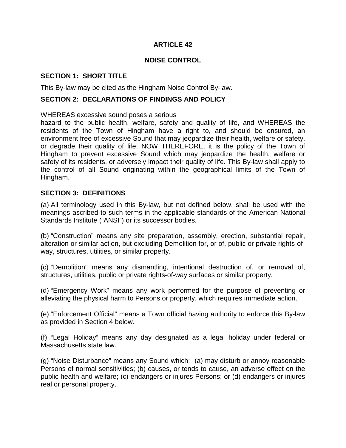#### **NOISE CONTROL**

### **SECTION 1: SHORT TITLE**

This By-law may be cited as the Hingham Noise Control By-law.

### **SECTION 2: DECLARATIONS OF FINDINGS AND POLICY**

#### WHEREAS excessive sound poses a serious

hazard to the public health, welfare, safety and quality of life, and WHEREAS the residents of the Town of Hingham have a right to, and should be ensured, an environment free of excessive Sound that may jeopardize their health, welfare or safety, or degrade their quality of life; NOW THEREFORE, it is the policy of the Town of Hingham to prevent excessive Sound which may jeopardize the health, welfare or safety of its residents, or adversely impact their quality of life. This By-law shall apply to the control of all Sound originating within the geographical limits of the Town of Hingham.

#### **SECTION 3: DEFINITIONS**

(a) All terminology used in this By-law, but not defined below, shall be used with the meanings ascribed to such terms in the applicable standards of the American National Standards Institute ("ANSI") or its successor bodies.

(b) "Construction" means any site preparation, assembly, erection, substantial repair, alteration or similar action, but excluding Demolition for, or of, public or private rights-ofway, structures, utilities, or similar property.

(c) "Demolition" means any dismantling, intentional destruction of, or removal of, structures, utilities, public or private rights-of-way surfaces or similar property.

(d) "Emergency Work" means any work performed for the purpose of preventing or alleviating the physical harm to Persons or property, which requires immediate action.

(e) "Enforcement Official" means a Town official having authority to enforce this By-law as provided in Section 4 below.

(f) "Legal Holiday" means any day designated as a legal holiday under federal or Massachusetts state law.

(g) "Noise Disturbance" means any Sound which: (a) may disturb or annoy reasonable Persons of normal sensitivities; (b) causes, or tends to cause, an adverse effect on the public health and welfare; (c) endangers or injures Persons; or (d) endangers or injures real or personal property.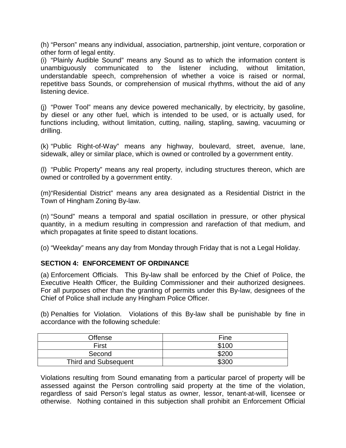(h) "Person" means any individual, association, partnership, joint venture, corporation or other form of legal entity.

(i) "Plainly Audible Sound" means any Sound as to which the information content is unambiguously communicated to the listener including, without limitation, understandable speech, comprehension of whether a voice is raised or normal, repetitive bass Sounds, or comprehension of musical rhythms, without the aid of any listening device.

(j) "Power Tool" means any device powered mechanically, by electricity, by gasoline, by diesel or any other fuel, which is intended to be used, or is actually used, for functions including, without limitation, cutting, nailing, stapling, sawing, vacuuming or drilling.

(k) "Public Right-of-Way" means any highway, boulevard, street, avenue, lane, sidewalk, alley or similar place, which is owned or controlled by a government entity.

(l) "Public Property" means any real property, including structures thereon, which are owned or controlled by a government entity.

(m)"Residential District" means any area designated as a Residential District in the Town of Hingham Zoning By-law.

(n) "Sound" means a temporal and spatial oscillation in pressure, or other physical quantity, in a medium resulting in compression and rarefaction of that medium, and which propagates at finite speed to distant locations.

(o) "Weekday" means any day from Monday through Friday that is not a Legal Holiday.

### **SECTION 4: ENFORCEMENT OF ORDINANCE**

(a) Enforcement Officials. This By-law shall be enforced by the Chief of Police, the Executive Health Officer, the Building Commissioner and their authorized designees. For all purposes other than the granting of permits under this By-law, designees of the Chief of Police shall include any Hingham Police Officer.

(b) Penalties for Violation. Violations of this By-law shall be punishable by fine in accordance with the following schedule:

| <b>Offense</b>              | Fine              |
|-----------------------------|-------------------|
| First                       | \$100             |
| Second                      | \$200             |
| <b>Third and Subsequent</b> | \$30 <sub>C</sub> |

Violations resulting from Sound emanating from a particular parcel of property will be assessed against the Person controlling said property at the time of the violation, regardless of said Person's legal status as owner, lessor, tenant-at-will, licensee or otherwise. Nothing contained in this subjection shall prohibit an Enforcement Official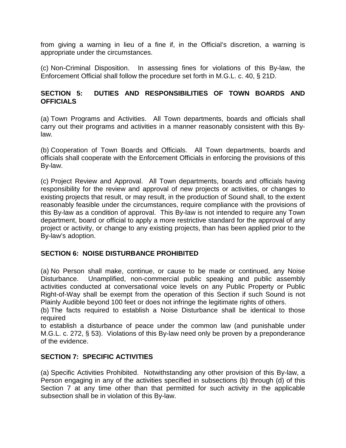from giving a warning in lieu of a fine if, in the Official's discretion, a warning is appropriate under the circumstances.

(c) Non-Criminal Disposition. In assessing fines for violations of this By-law, the Enforcement Official shall follow the procedure set forth in M.G.L. c. 40, § 21D.

# **SECTION 5: DUTIES AND RESPONSIBILITIES OF TOWN BOARDS AND OFFICIALS**

(a) Town Programs and Activities. All Town departments, boards and officials shall carry out their programs and activities in a manner reasonably consistent with this Bylaw.

(b) Cooperation of Town Boards and Officials. All Town departments, boards and officials shall cooperate with the Enforcement Officials in enforcing the provisions of this By-law.

(c) Project Review and Approval. All Town departments, boards and officials having responsibility for the review and approval of new projects or activities, or changes to existing projects that result, or may result, in the production of Sound shall, to the extent reasonably feasible under the circumstances, require compliance with the provisions of this By-law as a condition of approval. This By-law is not intended to require any Town department, board or official to apply a more restrictive standard for the approval of any project or activity, or change to any existing projects, than has been applied prior to the By-law's adoption.

# **SECTION 6: NOISE DISTURBANCE PROHIBITED**

(a) No Person shall make, continue, or cause to be made or continued, any Noise Disturbance. Unamplified, non-commercial public speaking and public assembly activities conducted at conversational voice levels on any Public Property or Public Right-of-Way shall be exempt from the operation of this Section if such Sound is not Plainly Audible beyond 100 feet or does not infringe the legitimate rights of others.

(b) The facts required to establish a Noise Disturbance shall be identical to those required

to establish a disturbance of peace under the common law (and punishable under M.G.L. c. 272, § 53). Violations of this By-law need only be proven by a preponderance of the evidence.

# **SECTION 7: SPECIFIC ACTIVITIES**

(a) Specific Activities Prohibited. Notwithstanding any other provision of this By-law, a Person engaging in any of the activities specified in subsections (b) through (d) of this Section 7 at any time other than that permitted for such activity in the applicable subsection shall be in violation of this By-law.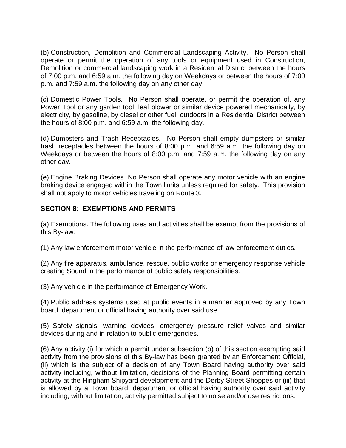(b) Construction, Demolition and Commercial Landscaping Activity. No Person shall operate or permit the operation of any tools or equipment used in Construction, Demolition or commercial landscaping work in a Residential District between the hours of 7:00 p.m. and 6:59 a.m. the following day on Weekdays or between the hours of 7:00 p.m. and 7:59 a.m. the following day on any other day.

(c) Domestic Power Tools. No Person shall operate, or permit the operation of, any Power Tool or any garden tool, leaf blower or similar device powered mechanically, by electricity, by gasoline, by diesel or other fuel, outdoors in a Residential District between the hours of 8:00 p.m. and 6:59 a.m. the following day.

(d) Dumpsters and Trash Receptacles. No Person shall empty dumpsters or similar trash receptacles between the hours of 8:00 p.m. and 6:59 a.m. the following day on Weekdays or between the hours of 8:00 p.m. and 7:59 a.m. the following day on any other day.

(e) Engine Braking Devices. No Person shall operate any motor vehicle with an engine braking device engaged within the Town limits unless required for safety. This provision shall not apply to motor vehicles traveling on Route 3.

# **SECTION 8: EXEMPTIONS AND PERMITS**

(a) Exemptions. The following uses and activities shall be exempt from the provisions of this By-law:

(1) Any law enforcement motor vehicle in the performance of law enforcement duties.

(2) Any fire apparatus, ambulance, rescue, public works or emergency response vehicle creating Sound in the performance of public safety responsibilities.

(3) Any vehicle in the performance of Emergency Work.

(4) Public address systems used at public events in a manner approved by any Town board, department or official having authority over said use.

(5) Safety signals, warning devices, emergency pressure relief valves and similar devices during and in relation to public emergencies.

(6) Any activity (i) for which a permit under subsection (b) of this section exempting said activity from the provisions of this By-law has been granted by an Enforcement Official, (ii) which is the subject of a decision of any Town Board having authority over said activity including, without limitation, decisions of the Planning Board permitting certain activity at the Hingham Shipyard development and the Derby Street Shoppes or (iii) that is allowed by a Town board, department or official having authority over said activity including, without limitation, activity permitted subject to noise and/or use restrictions.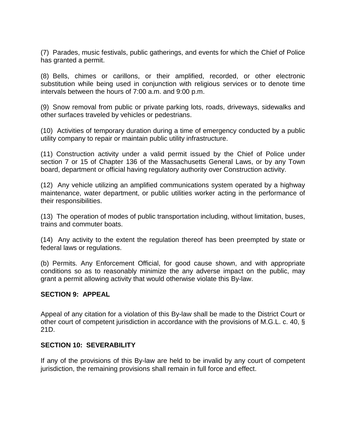(7) Parades, music festivals, public gatherings, and events for which the Chief of Police has granted a permit.

(8) Bells, chimes or carillons, or their amplified, recorded, or other electronic substitution while being used in conjunction with religious services or to denote time intervals between the hours of 7:00 a.m. and 9:00 p.m.

(9) Snow removal from public or private parking lots, roads, driveways, sidewalks and other surfaces traveled by vehicles or pedestrians.

(10) Activities of temporary duration during a time of emergency conducted by a public utility company to repair or maintain public utility infrastructure.

(11) Construction activity under a valid permit issued by the Chief of Police under section 7 or 15 of Chapter 136 of the Massachusetts General Laws, or by any Town board, department or official having regulatory authority over Construction activity.

(12) Any vehicle utilizing an amplified communications system operated by a highway maintenance, water department, or public utilities worker acting in the performance of their responsibilities.

(13) The operation of modes of public transportation including, without limitation, buses, trains and commuter boats.

(14) Any activity to the extent the regulation thereof has been preempted by state or federal laws or regulations.

(b) Permits. Any Enforcement Official, for good cause shown, and with appropriate conditions so as to reasonably minimize the any adverse impact on the public, may grant a permit allowing activity that would otherwise violate this By-law.

### **SECTION 9: APPEAL**

Appeal of any citation for a violation of this By-law shall be made to the District Court or other court of competent jurisdiction in accordance with the provisions of M.G.L. c. 40, § 21D.

### **SECTION 10: SEVERABILITY**

If any of the provisions of this By-law are held to be invalid by any court of competent jurisdiction, the remaining provisions shall remain in full force and effect.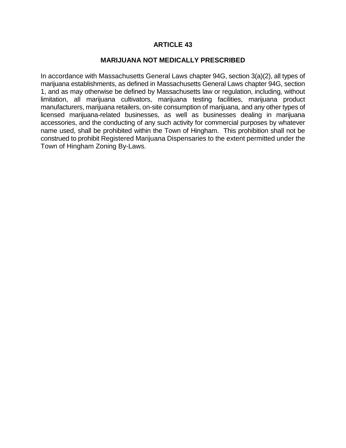#### **MARIJUANA NOT MEDICALLY PRESCRIBED**

In accordance with Massachusetts General Laws chapter 94G, section 3(a)(2), all types of marijuana establishments, as defined in Massachusetts General Laws chapter 94G, section 1, and as may otherwise be defined by Massachusetts law or regulation, including, without limitation, all marijuana cultivators, marijuana testing facilities, marijuana product manufacturers, marijuana retailers, on-site consumption of marijuana, and any other types of licensed marijuana-related businesses, as well as businesses dealing in marijuana accessories, and the conducting of any such activity for commercial purposes by whatever name used, shall be prohibited within the Town of Hingham. This prohibition shall not be construed to prohibit Registered Marijuana Dispensaries to the extent permitted under the Town of Hingham Zoning By-Laws.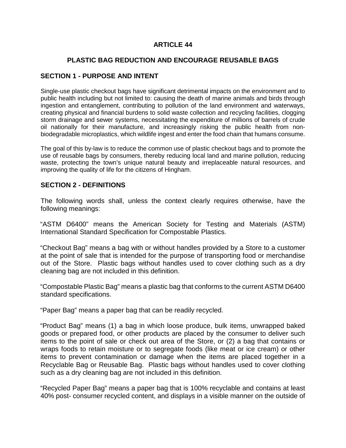# **PLASTIC BAG REDUCTION AND ENCOURAGE REUSABLE BAGS**

### **SECTION 1 - PURPOSE AND INTENT**

Single-use plastic checkout bags have significant detrimental impacts on the environment and to public health including but not limited to: causing the death of marine animals and birds through ingestion and entanglement, contributing to pollution of the land environment and waterways, creating physical and financial burdens to solid waste collection and recycling facilities, clogging storm drainage and sewer systems, necessitating the expenditure of millions of barrels of crude oil nationally for their manufacture, and increasingly risking the public health from nonbiodegradable microplastics, which wildlife ingest and enter the food chain that humans consume.

The goal of this by-law is to reduce the common use of plastic checkout bags and to promote the use of reusable bags by consumers, thereby reducing local land and marine pollution, reducing waste, protecting the town's unique natural beauty and irreplaceable natural resources, and improving the quality of life for the citizens of Hingham.

### **SECTION 2 - DEFINITIONS**

The following words shall, unless the context clearly requires otherwise, have the following meanings:

"ASTM D6400" means the American Society for Testing and Materials (ASTM) International Standard Specification for Compostable Plastics.

"Checkout Bag" means a bag with or without handles provided by a Store to a customer at the point of sale that is intended for the purpose of transporting food or merchandise out of the Store. Plastic bags without handles used to cover clothing such as a dry cleaning bag are not included in this definition.

"Compostable Plastic Bag" means a plastic bag that conforms to the current ASTM D6400 standard specifications.

"Paper Bag" means a paper bag that can be readily recycled.

"Product Bag" means (1) a bag in which loose produce, bulk items, unwrapped baked goods or prepared food, or other products are placed by the consumer to deliver such items to the point of sale or check out area of the Store, or (2) a bag that contains or wraps foods to retain moisture or to segregate foods (like meat or ice cream) or other items to prevent contamination or damage when the items are placed together in a Recyclable Bag or Reusable Bag. Plastic bags without handles used to cover clothing such as a dry cleaning bag are not included in this definition.

"Recycled Paper Bag" means a paper bag that is 100% recyclable and contains at least 40% post- consumer recycled content, and displays in a visible manner on the outside of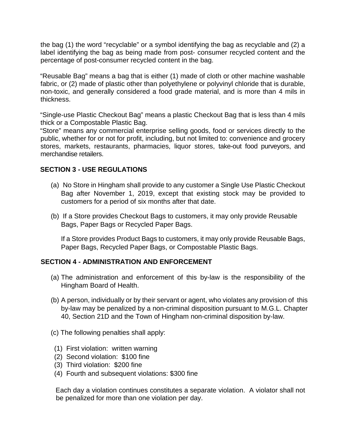the bag (1) the word "recyclable" or a symbol identifying the bag as recyclable and (2) a label identifying the bag as being made from post- consumer recycled content and the percentage of post-consumer recycled content in the bag.

"Reusable Bag" means a bag that is either (1) made of cloth or other machine washable fabric, or (2) made of plastic other than polyethylene or polyvinyl chloride that is durable, non-toxic, and generally considered a food grade material, and is more than 4 mils in thickness.

"Single-use Plastic Checkout Bag" means a plastic Checkout Bag that is less than 4 mils thick or a Compostable Plastic Bag.

"Store" means any commercial enterprise selling goods, food or services directly to the public, whether for or not for profit, including, but not limited to: convenience and grocery stores, markets, restaurants, pharmacies, liquor stores, take-out food purveyors, and merchandise retailers.

### **SECTION 3 - USE REGULATIONS**

- (a) No Store in Hingham shall provide to any customer a Single Use Plastic Checkout Bag after November 1, 2019, except that existing stock may be provided to customers for a period of six months after that date.
- (b) If a Store provides Checkout Bags to customers, it may only provide Reusable Bags, Paper Bags or Recycled Paper Bags.

If a Store provides Product Bags to customers, it may only provide Reusable Bags, Paper Bags, Recycled Paper Bags, or Compostable Plastic Bags.

### **SECTION 4 - ADMINISTRATION AND ENFORCEMENT**

- (a) The administration and enforcement of this by-law is the responsibility of the Hingham Board of Health.
- (b) A person, individually or by their servant or agent, who violates any provision of this by-law may be penalized by a non-criminal disposition pursuant to M.G.L. Chapter 40, Section 21D and the Town of Hingham non-criminal disposition by-law.
- (c) The following penalties shall apply:
- (1) First violation: written warning
- (2) Second violation: \$100 fine
- (3) Third violation: \$200 fine
- (4) Fourth and subsequent violations: \$300 fine

Each day a violation continues constitutes a separate violation. A violator shall not be penalized for more than one violation per day.